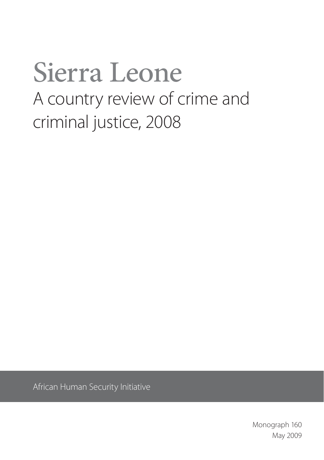# Sierra Leone A country review of crime and criminal justice, 2008

African Human Security Initiative

Monograph 160 May 2009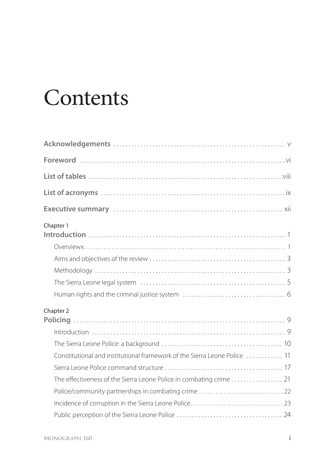## **Contents**

| Chapter 1                                                                 |  |
|---------------------------------------------------------------------------|--|
|                                                                           |  |
|                                                                           |  |
|                                                                           |  |
|                                                                           |  |
| Chapter 2                                                                 |  |
|                                                                           |  |
|                                                                           |  |
| Constitutional and institutional framework of the Sierra Leone Police  11 |  |
|                                                                           |  |
|                                                                           |  |
|                                                                           |  |
|                                                                           |  |
|                                                                           |  |
|                                                                           |  |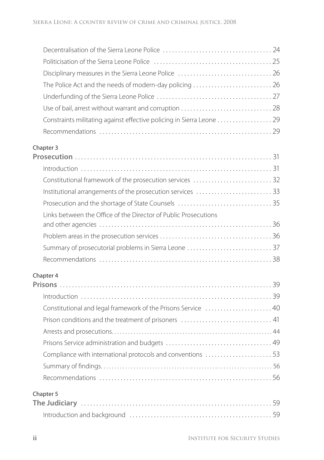| The Police Act and the needs of modern-day policing  26               |  |
|-----------------------------------------------------------------------|--|
|                                                                       |  |
|                                                                       |  |
| Constraints militating against effective policing in Sierra Leone  29 |  |
|                                                                       |  |
| Chapter 3                                                             |  |
|                                                                       |  |
|                                                                       |  |
|                                                                       |  |
| Institutional arrangements of the prosecution services 33             |  |
|                                                                       |  |
| Links between the Office of the Director of Public Prosecutions       |  |
|                                                                       |  |
| Summary of prosecutorial problems in Sierra Leone  37                 |  |
|                                                                       |  |
| Chapter 4                                                             |  |
|                                                                       |  |
|                                                                       |  |
| Constitutional and legal framework of the Prisons Service  40         |  |
|                                                                       |  |
|                                                                       |  |
|                                                                       |  |
| Compliance with international protocols and conventions  53           |  |
|                                                                       |  |
|                                                                       |  |
| Chapter 5                                                             |  |
|                                                                       |  |
|                                                                       |  |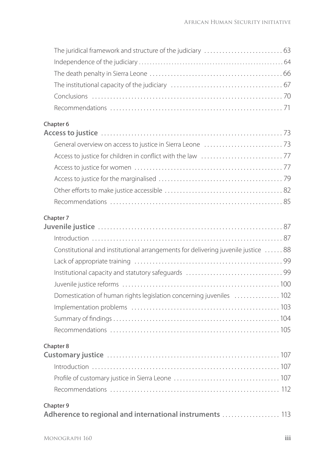| Chapter 6                                                                         |  |
|-----------------------------------------------------------------------------------|--|
|                                                                                   |  |
|                                                                                   |  |
|                                                                                   |  |
|                                                                                   |  |
|                                                                                   |  |
|                                                                                   |  |
|                                                                                   |  |
| Chapter 7                                                                         |  |
|                                                                                   |  |
|                                                                                   |  |
| Constitutional and institutional arrangements for delivering juvenile justice  88 |  |
|                                                                                   |  |
|                                                                                   |  |
|                                                                                   |  |
| Domestication of human rights legislation concerning juveniles  102               |  |
|                                                                                   |  |
|                                                                                   |  |
|                                                                                   |  |
| Chapter 8                                                                         |  |
|                                                                                   |  |
|                                                                                   |  |
|                                                                                   |  |
|                                                                                   |  |
| Chapter 9<br>Adherence to regional and international instruments  113             |  |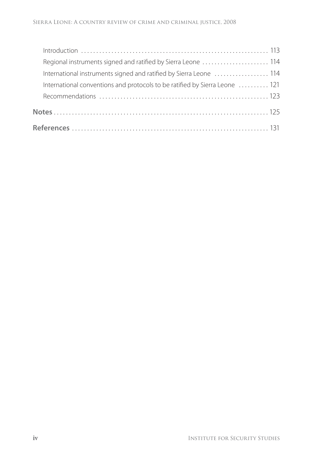| Regional instruments signed and ratified by Sierra Leone  114               |  |
|-----------------------------------------------------------------------------|--|
| International instruments signed and ratified by Sierra Leone  114          |  |
| International conventions and protocols to be ratified by Sierra Leone  121 |  |
|                                                                             |  |
|                                                                             |  |
|                                                                             |  |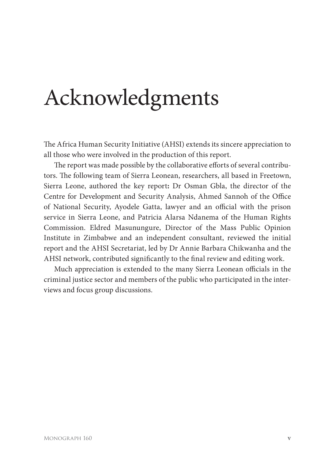## Acknowledgments

The Africa Human Security Initiative (AHSI) extends its sincere appreciation to all those who were involved in the production of this report.

The report was made possible by the collaborative efforts of several contributors. The following team of Sierra Leonean, researchers, all based in Freetown, Sierra Leone, authored the key report**:** Dr Osman Gbla, the director of the Centre for Development and Security Analysis, Ahmed Sannoh of the Office of National Security, Ayodele Gatta, lawyer and an official with the prison service in Sierra Leone, and Patricia Alarsa Ndanema of the Human Rights Commission. Eldred Masunungure, Director of the Mass Public Opinion Institute in Zimbabwe and an independent consultant, reviewed the initial report and the AHSI Secretariat, led by Dr Annie Barbara Chikwanha and the AHSI network, contributed significantly to the final review and editing work.

Much appreciation is extended to the many Sierra Leonean officials in the criminal justice sector and members of the public who participated in the interviews and focus group discussions.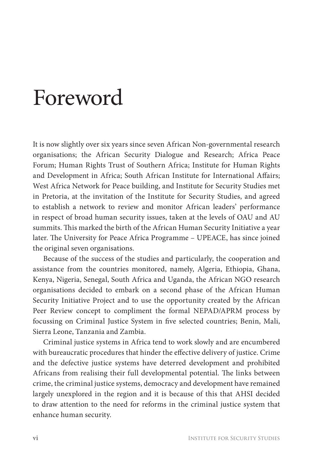## Foreword

It is now slightly over six years since seven African Non-governmental research organisations; the African Security Dialogue and Research; Africa Peace Forum; Human Rights Trust of Southern Africa; Institute for Human Rights and Development in Africa; South African Institute for International Affairs; West Africa Network for Peace building, and Institute for Security Studies met in Pretoria, at the invitation of the Institute for Security Studies, and agreed to establish a network to review and monitor African leaders' performance in respect of broad human security issues, taken at the levels of OAU and AU summits. This marked the birth of the African Human Security Initiative a year later. The University for Peace Africa Programme - UPEACE, has since joined the original seven organisations.

Because of the success of the studies and particularly, the cooperation and assistance from the countries monitored, namely, Algeria, Ethiopia, Ghana, Kenya, Nigeria, Senegal, South Africa and Uganda, the African NGO research organisations decided to embark on a second phase of the African Human Security Initiative Project and to use the opportunity created by the African Peer Review concept to compliment the formal NEPAD/APRM process by focussing on Criminal Justice System in five selected countries; Benin, Mali, Sierra Leone, Tanzania and Zambia.

Criminal justice systems in Africa tend to work slowly and are encumbered with bureaucratic procedures that hinder the effective delivery of justice. Crime and the defective justice systems have deterred development and prohibited Africans from realising their full developmental potential. The links between crime, the criminal justice systems, democracy and development have remained largely unexplored in the region and it is because of this that AHSI decided to draw attention to the need for reforms in the criminal justice system that enhance human security.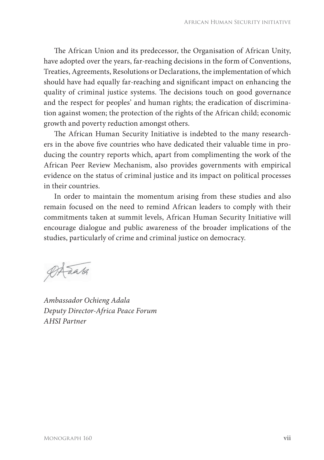The African Union and its predecessor, the Organisation of African Unity, have adopted over the years, far-reaching decisions in the form of Conventions, Treaties, Agreements, Resolutions or Declarations, the implementation of which should have had equally far-reaching and significant impact on enhancing the quality of criminal justice systems. The decisions touch on good governance and the respect for peoples' and human rights; the eradication of discrimination against women; the protection of the rights of the African child; economic growth and poverty reduction amongst others.

The African Human Security Initiative is indebted to the many researchers in the above five countries who have dedicated their valuable time in producing the country reports which, apart from complimenting the work of the African Peer Review Mechanism, also provides governments with empirical evidence on the status of criminal justice and its impact on political processes in their countries.

In order to maintain the momentum arising from these studies and also remain focused on the need to remind African leaders to comply with their commitments taken at summit levels, African Human Security Initiative will encourage dialogue and public awareness of the broader implications of the studies, particularly of crime and criminal justice on democracy.

 $\emptyset$ Arak

*Ambassador Ochieng Adala Deputy Director-Africa Peace Forum AHSI Partner*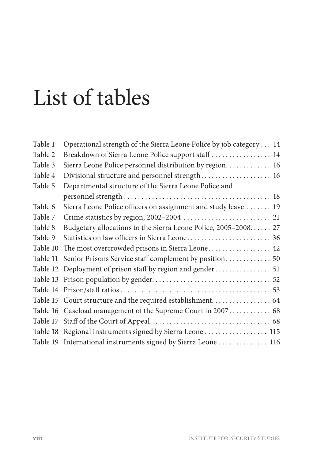# List of tables

| Table 1  | Operational strength of the Sierra Leone Police by job category 14 |
|----------|--------------------------------------------------------------------|
| Table 2  | Breakdown of Sierra Leone Police support staff  14                 |
| Table 3  | Sierra Leone Police personnel distribution by region 16            |
| Table 4  | Divisional structure and personnel strength 16                     |
| Table 5  | Departmental structure of the Sierra Leone Police and              |
|          |                                                                    |
| Table 6  | Sierra Leone Police officers on assignment and study leave  19     |
| Table 7  |                                                                    |
| Table 8  | Budgetary allocations to the Sierra Leone Police, 2005-2008 27     |
| Table 9  | Statistics on law officers in Sierra Leone 36                      |
| Table 10 | The most overcrowded prisons in Sierra Leone 42                    |
| Table 11 | Senior Prisons Service staff complement by position 50             |
|          | Table 12 Deployment of prison staff by region and gender 51        |
|          |                                                                    |
|          |                                                                    |
|          |                                                                    |
|          | Table 16 Caseload management of the Supreme Court in 2007 68       |
|          |                                                                    |
|          | Table 18 Regional instruments signed by Sierra Leone  115          |
|          | Table 19 International instruments signed by Sierra Leone  116     |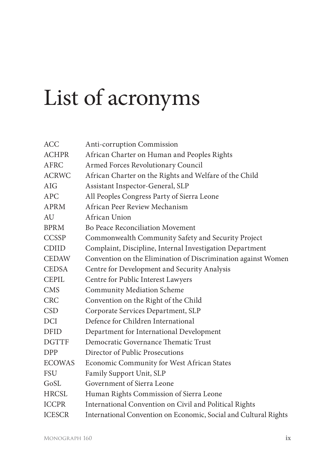# List of acronyms

| <b>ACC</b>    | Anti-corruption Commission                                       |
|---------------|------------------------------------------------------------------|
| <b>ACHPR</b>  | African Charter on Human and Peoples Rights                      |
| AFRC          | Armed Forces Revolutionary Council                               |
| <b>ACRWC</b>  | African Charter on the Rights and Welfare of the Child           |
| AIG           | Assistant Inspector-General, SLP                                 |
| APC           | All Peoples Congress Party of Sierra Leone                       |
| APRM          | African Peer Review Mechanism                                    |
| AU            | African Union                                                    |
| <b>BPRM</b>   | Bo Peace Reconciliation Movement                                 |
| <b>CCSSP</b>  | Commonwealth Community Safety and Security Project               |
| <b>CDIID</b>  | Complaint, Discipline, Internal Investigation Department         |
| <b>CEDAW</b>  | Convention on the Elimination of Discrimination against Women    |
| <b>CEDSA</b>  | Centre for Development and Security Analysis                     |
| <b>CEPIL</b>  | Centre for Public Interest Lawyers                               |
| <b>CMS</b>    | Community Mediation Scheme                                       |
| <b>CRC</b>    | Convention on the Right of the Child                             |
| <b>CSD</b>    | Corporate Services Department, SLP                               |
| <b>DCI</b>    | Defence for Children International                               |
| DFID          | Department for International Development                         |
| <b>DGTTF</b>  | Democratic Governance Thematic Trust                             |
| <b>DPP</b>    | Director of Public Prosecutions                                  |
| <b>ECOWAS</b> | Economic Community for West African States                       |
| <b>FSU</b>    | Family Support Unit, SLP                                         |
| GoSL          | Government of Sierra Leone                                       |
| <b>HRCSL</b>  | Human Rights Commission of Sierra Leone                          |
| <b>ICCPR</b>  | International Convention on Civil and Political Rights           |
| <b>ICESCR</b> | International Convention on Economic, Social and Cultural Rights |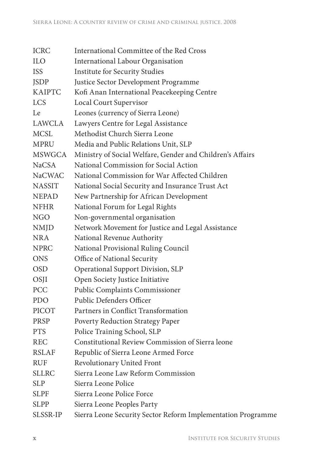| ICRC          | International Committee of the Red Cross                     |
|---------------|--------------------------------------------------------------|
| <b>ILO</b>    | International Labour Organisation                            |
| ISS           | <b>Institute for Security Studies</b>                        |
| <b>JSDP</b>   | Justice Sector Development Programme                         |
| KAIPTC        | Kofi Anan International Peacekeeping Centre                  |
| <b>LCS</b>    | Local Court Supervisor                                       |
| Le            | Leones (currency of Sierra Leone)                            |
| LAWCLA        | Lawyers Centre for Legal Assistance                          |
| <b>MCSL</b>   | Methodist Church Sierra Leone                                |
| MPRU          | Media and Public Relations Unit, SLP                         |
| MSWGCA        | Ministry of Social Welfare, Gender and Children's Affairs    |
| NaCSA         | National Commission for Social Action                        |
| <b>NaCWAC</b> | National Commission for War Affected Children                |
| <b>NASSIT</b> | National Social Security and Insurance Trust Act             |
| <b>NEPAD</b>  | New Partnership for African Development                      |
| <b>NFHR</b>   | National Forum for Legal Rights                              |
| NGO           | Non-governmental organisation                                |
| <b>NMJD</b>   | Network Movement for Justice and Legal Assistance            |
| NRA           | National Revenue Authority                                   |
| NPRC          | National Provisional Ruling Council                          |
| <b>ONS</b>    | Office of National Security                                  |
| <b>OSD</b>    | Operational Support Division, SLP                            |
| OSJI          | Open Society Justice Initiative                              |
| PCC           | Public Complaints Commissioner                               |
| <b>PDO</b>    | Public Defenders Officer                                     |
| PICOT         | Partners in Conflict Transformation                          |
| PRSP          | Poverty Reduction Strategy Paper                             |
| <b>PTS</b>    | Police Training School, SLP                                  |
| REC           | Constitutional Review Commission of Sierra leone             |
| RSLAF         | Republic of Sierra Leone Armed Force                         |
| <b>RUF</b>    | Revolutionary United Front                                   |
| SLLRC         | Sierra Leone Law Reform Commission                           |
| SLP           | Sierra Leone Police                                          |
| <b>SLPF</b>   | Sierra Leone Police Force                                    |
| SLPP          | Sierra Leone Peoples Party                                   |
| SLSSR-IP      | Sierra Leone Security Sector Reform Implementation Programme |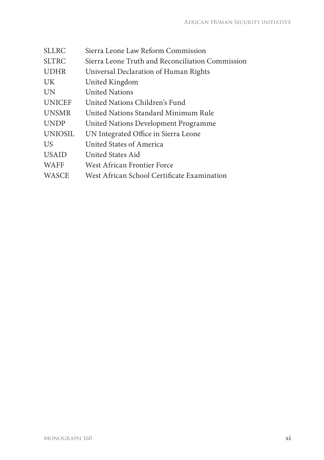| Sierra Leone Law Reform Commission               |
|--------------------------------------------------|
| Sierra Leone Truth and Reconciliation Commission |
| Universal Declaration of Human Rights            |
| United Kingdom                                   |
| <b>United Nations</b>                            |
| United Nations Children's Fund                   |
| United Nations Standard Minimum Rule             |
| United Nations Development Programme             |
| UN Integrated Office in Sierra Leone             |
| United States of America                         |
| United States Aid                                |
| West African Frontier Force                      |
| West African School Certificate Examination      |
|                                                  |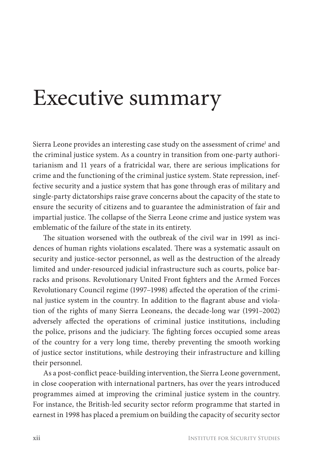## Executive summary

Sierra Leone provides an interesting case study on the assessment of crime<sup>1</sup> and the criminal justice system. As a country in transition from one-party authoritarianism and 11 years of a fratricidal war, there are serious implications for crime and the functioning of the criminal justice system. State repression, ineffective security and a justice system that has gone through eras of military and single-party dictatorships raise grave concerns about the capacity of the state to ensure the security of citizens and to guarantee the administration of fair and impartial justice. The collapse of the Sierra Leone crime and justice system was emblematic of the failure of the state in its entirety.

The situation worsened with the outbreak of the civil war in 1991 as incidences of human rights violations escalated. There was a systematic assault on security and justice-sector personnel, as well as the destruction of the already limited and under-resourced judicial infrastructure such as courts, police barracks and prisons. Revolutionary United Front fighters and the Armed Forces Revolutionary Council regime (1997–1998) affected the operation of the criminal justice system in the country. In addition to the flagrant abuse and violation of the rights of many Sierra Leoneans, the decade-long war (1991–2002) adversely affected the operations of criminal justice institutions, including the police, prisons and the judiciary. The fighting forces occupied some areas of the country for a very long time, thereby preventing the smooth working of justice sector institutions, while destroying their infrastructure and killing their personnel.

As a post-conflict peace-building intervention, the Sierra Leone government, in close cooperation with international partners, has over the years introduced programmes aimed at improving the criminal justice system in the country. For instance, the British-led security sector reform programme that started in earnest in 1998 has placed a premium on building the capacity of security sector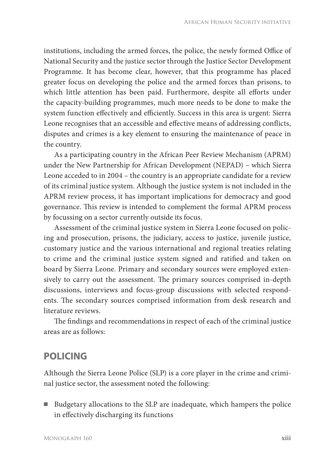institutions, including the armed forces, the police, the newly formed Office of National Security and the justice sector through the Justice Sector Development Programme. It has become clear, however, that this programme has placed greater focus on developing the police and the armed forces than prisons, to which little attention has been paid. Furthermore, despite all efforts under the capacity-building programmes, much more needs to be done to make the system function effectively and efficiently. Success in this area is urgent: Sierra Leone recognises that an accessible and effective means of addressing conflicts, disputes and crimes is a key element to ensuring the maintenance of peace in the country.

As a participating country in the African Peer Review Mechanism (APRM) under the New Partnership for African Development (NEPAD) – which Sierra Leone acceded to in 2004 – the country is an appropriate candidate for a review of its criminal justice system. Although the justice system is not included in the APRM review process, it has important implications for democracy and good governance. This review is intended to complement the formal APRM process by focussing on a sector currently outside its focus.

Assessment of the criminal justice system in Sierra Leone focused on policing and prosecution, prisons, the judiciary, access to justice, juvenile justice, customary justice and the various international and regional treaties relating to crime and the criminal justice system signed and ratified and taken on board by Sierra Leone. Primary and secondary sources were employed extensively to carry out the assessment. The primary sources comprised in-depth discussions, interviews and focus-group discussions with selected respondents. The secondary sources comprised information from desk research and literature reviews.

The findings and recommendations in respect of each of the criminal justice areas are as follows:

### **POLICING**

Although the Sierra Leone Police (SLP) is a core player in the crime and criminal justice sector, the assessment noted the following:

■ Budgetary allocations to the SLP are inadequate, which hampers the police in effectively discharging its functions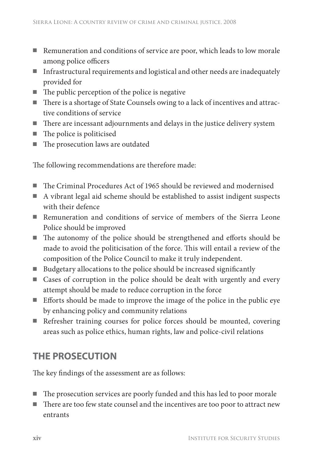- Remuneration and conditions of service are poor, which leads to low morale among police officers
- Infrastructural requirements and logistical and other needs are inadequately provided for
- $\blacksquare$  The public perception of the police is negative
- There is a shortage of State Counsels owing to a lack of incentives and attractive conditions of service
- $\blacksquare$  There are incessant adjournments and delays in the justice delivery system
- $\blacksquare$  The police is politicised
- $\blacksquare$  The prosecution laws are outdated

The following recommendations are therefore made:

- The Criminal Procedures Act of 1965 should be reviewed and modernised
- A vibrant legal aid scheme should be established to assist indigent suspects with their defence
- Remuneration and conditions of service of members of the Sierra Leone Police should be improved
- $\blacksquare$  The autonomy of the police should be strengthened and efforts should be made to avoid the politicisation of the force. This will entail a review of the composition of the Police Council to make it truly independent.
- Budgetary allocations to the police should be increased significantly
- Cases of corruption in the police should be dealt with urgently and every attempt should be made to reduce corruption in the force
- Efforts should be made to improve the image of the police in the public eye by enhancing policy and community relations
- Refresher training courses for police forces should be mounted, covering areas such as police ethics, human rights, law and police-civil relations

## **THE PROSECUTION**

The key findings of the assessment are as follows:

- $\blacksquare$  The prosecution services are poorly funded and this has led to poor morale
- There are too few state counsel and the incentives are too poor to attract new entrants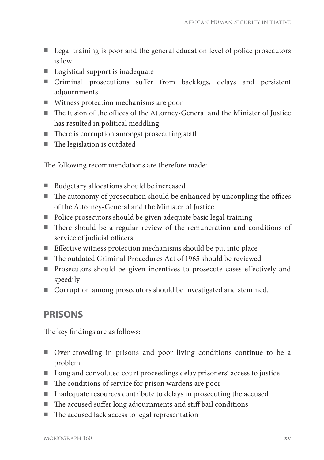- Legal training is poor and the general education level of police prosecutors is low
- Logistical support is inadequate
- Criminal prosecutions suffer from backlogs, delays and persistent adjournments
- Witness protection mechanisms are poor
- The fusion of the offices of the Attorney-General and the Minister of Justice has resulted in political meddling
- $\blacksquare$  There is corruption amongst prosecuting staff
- $\blacksquare$  The legislation is outdated

The following recommendations are therefore made:

- Budgetary allocations should be increased
- $\blacksquare$  The autonomy of prosecution should be enhanced by uncoupling the offices of the Attorney-General and the Minister of Justice
- Police prosecutors should be given adequate basic legal training
- There should be a regular review of the remuneration and conditions of service of judicial officers
- $\blacksquare$  Effective witness protection mechanisms should be put into place
- $\blacksquare$  The outdated Criminal Procedures Act of 1965 should be reviewed
- Prosecutors should be given incentives to prosecute cases effectively and speedily
- Corruption among prosecutors should be investigated and stemmed.

### **PRISONS**

The key findings are as follows:

- Over-crowding in prisons and poor living conditions continue to be a problem
- Long and convoluted court proceedings delay prisoners' access to justice
- $\blacksquare$  The conditions of service for prison wardens are poor
- Inadequate resources contribute to delays in prosecuting the accused
- $\blacksquare$  The accused suffer long adjournments and stiff bail conditions
- $\blacksquare$  The accused lack access to legal representation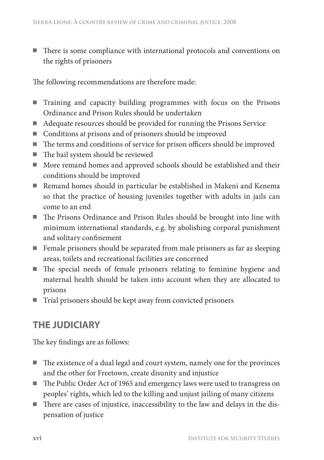There is some compliance with international protocols and conventions on the rights of prisoners

The following recommendations are therefore made:

- Training and capacity building programmes with focus on the Prisons Ordinance and Prison Rules should be undertaken
- Adequate resources should be provided for running the Prisons Service
- Conditions at prisons and of prisoners should be improved
- $\blacksquare$  The terms and conditions of service for prison officers should be improved
- $\blacksquare$  The bail system should be reviewed
- More remand homes and approved schools should be established and their conditions should be improved
- Remand homes should in particular be established in Makeni and Kenema so that the practice of housing juveniles together with adults in jails can come to an end
- The Prisons Ordinance and Prison Rules should be brought into line with minimum international standards, e.g. by abolishing corporal punishment and solitary confinement
- Female prisoners should be separated from male prisoners as far as sleeping areas, toilets and recreational facilities are concerned
- The special needs of female prisoners relating to feminine hygiene and maternal health should be taken into account when they are allocated to prisons
- Trial prisoners should be kept away from convicted prisoners

### **THE JUDICIARY**

The key findings are as follows:

- $\blacksquare$  The existence of a dual legal and court system, namely one for the provinces and the other for Freetown, create disunity and injustice
- The Public Order Act of 1965 and emergency laws were used to transgress on peoples' rights, which led to the killing and unjust jailing of many citizens
- There are cases of injustice, inaccessibility to the law and delays in the dispensation of justice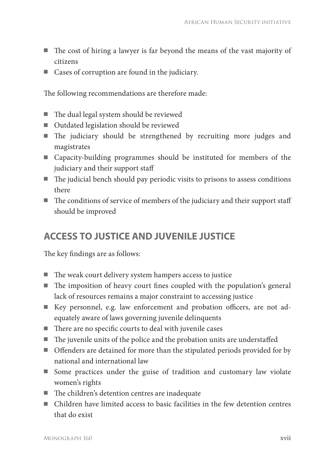- $\blacksquare$  The cost of hiring a lawyer is far beyond the means of the vast majority of citizens
- Cases of corruption are found in the judiciary.

The following recommendations are therefore made:

- $\blacksquare$  The dual legal system should be reviewed
- Outdated legislation should be reviewed
- $\blacksquare$  The judiciary should be strengthened by recruiting more judges and magistrates
- Capacity-building programmes should be instituted for members of the judiciary and their support staff
- $\blacksquare$  The judicial bench should pay periodic visits to prisons to assess conditions there
- $\blacksquare$  The conditions of service of members of the judiciary and their support staff should be improved

### **ACCESS TO JUSTICE AND JUVENILE JUSTICE**

The key findings are as follows:

- The weak court delivery system hampers access to justice
- $\blacksquare$  The imposition of heavy court fines coupled with the population's general lack of resources remains a major constraint to accessing justice
- Key personnel, e.g. law enforcement and probation officers, are not adequately aware of laws governing juvenile delinquents
- $\blacksquare$  There are no specific courts to deal with juvenile cases
- $\blacksquare$  The juvenile units of the police and the probation units are understaffed
- Offenders are detained for more than the stipulated periods provided for by national and international law
- Some practices under the guise of tradition and customary law violate women's rights
- $\blacksquare$  The children's detention centres are inadequate
- Children have limited access to basic facilities in the few detention centres that do exist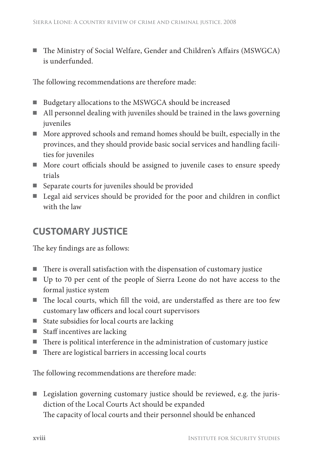The Ministry of Social Welfare, Gender and Children's Affairs (MSWGCA) is underfunded.

The following recommendations are therefore made:

- Budgetary allocations to the MSWGCA should be increased
- All personnel dealing with juveniles should be trained in the laws governing juveniles
- More approved schools and remand homes should be built, especially in the provinces, and they should provide basic social services and handling facilities for juveniles
- More court officials should be assigned to juvenile cases to ensure speedy trials
- Separate courts for juveniles should be provided
- Legal aid services should be provided for the poor and children in conflict with the law

### **CUSTOMARY JUSTICE**

The key findings are as follows:

- $\blacksquare$  There is overall satisfaction with the dispensation of customary justice
- Up to 70 per cent of the people of Sierra Leone do not have access to the formal justice system
- The local courts, which fill the void, are understaffed as there are too few customary law officers and local court supervisors
- State subsidies for local courts are lacking
- Staff incentives are lacking
- $\blacksquare$  There is political interference in the administration of customary justice
- There are logistical barriers in accessing local courts

The following recommendations are therefore made:

■ Legislation governing customary justice should be reviewed, e.g. the jurisdiction of the Local Courts Act should be expanded The capacity of local courts and their personnel should be enhanced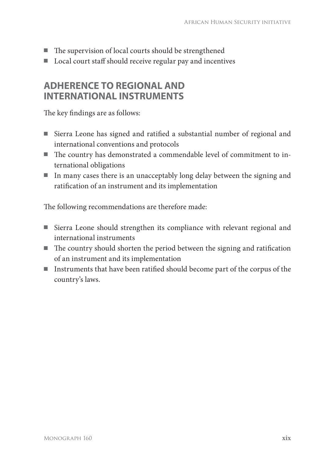- $\blacksquare$  The supervision of local courts should be strengthened
- Local court staff should receive regular pay and incentives

### **ADHERENCE TO REGIONAL AND INTERNATIONAL INSTRUMENTS**

The key findings are as follows:

- Sierra Leone has signed and ratified a substantial number of regional and international conventions and protocols
- The country has demonstrated a commendable level of commitment to international obligations
- In many cases there is an unacceptably long delay between the signing and ratification of an instrument and its implementation

The following recommendations are therefore made:

- Sierra Leone should strengthen its compliance with relevant regional and international instruments
- $\blacksquare$  The country should shorten the period between the signing and ratification of an instrument and its implementation
- Instruments that have been ratified should become part of the corpus of the country's laws.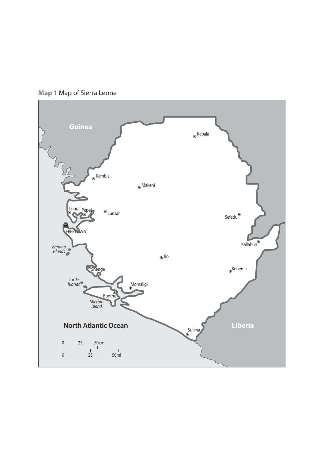

**Map 1** Map of Sierra Leone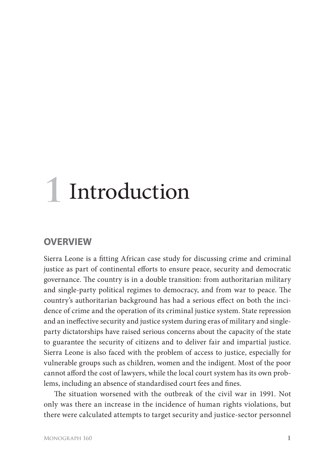# **1** Introduction

### **OVERVIEW**

Sierra Leone is a fitting African case study for discussing crime and criminal justice as part of continental efforts to ensure peace, security and democratic governance. The country is in a double transition: from authoritarian military and single-party political regimes to democracy, and from war to peace. The country's authoritarian background has had a serious effect on both the incidence of crime and the operation of its criminal justice system. State repression and an ineffective security and justice system during eras of military and singleparty dictatorships have raised serious concerns about the capacity of the state to guarantee the security of citizens and to deliver fair and impartial justice. Sierra Leone is also faced with the problem of access to justice, especially for vulnerable groups such as children, women and the indigent. Most of the poor cannot afford the cost of lawyers, while the local court system has its own problems, including an absence of standardised court fees and fines.

The situation worsened with the outbreak of the civil war in 1991. Not only was there an increase in the incidence of human rights violations, but there were calculated attempts to target security and justice-sector personnel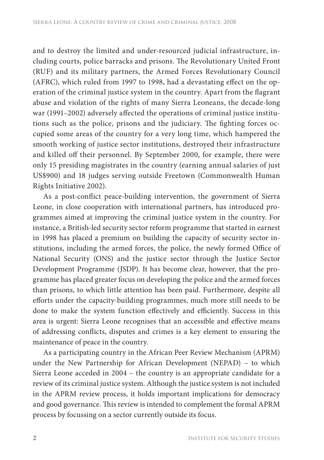and to destroy the limited and under-resourced judicial infrastructure, including courts, police barracks and prisons. The Revolutionary United Front (RUF) and its military partners, the Armed Forces Revolutionary Council (AFRC), which ruled from 1997 to 1998, had a devastating effect on the operation of the criminal justice system in the country. Apart from the flagrant abuse and violation of the rights of many Sierra Leoneans, the decade-long war (1991–2002) adversely affected the operations of criminal justice institutions such as the police, prisons and the judiciary. The fighting forces occupied some areas of the country for a very long time, which hampered the smooth working of justice sector institutions, destroyed their infrastructure and killed off their personnel. By September 2000, for example, there were only 15 presiding magistrates in the country (earning annual salaries of just US\$900) and 18 judges serving outside Freetown (Commonwealth Human Rights Initiative 2002).

As a post-conflict peace-building intervention, the government of Sierra Leone, in close cooperation with international partners, has introduced programmes aimed at improving the criminal justice system in the country. For instance, a British-led security sector reform programme that started in earnest in 1998 has placed a premium on building the capacity of security sector institutions, including the armed forces, the police, the newly formed Office of National Security (ONS) and the justice sector through the Justice Sector Development Programme (JSDP). It has become clear, however, that the programme has placed greater focus on developing the police and the armed forces than prisons, to which little attention has been paid. Furthermore, despite all efforts under the capacity-building programmes, much more still needs to be done to make the system function effectively and efficiently. Success in this area is urgent: Sierra Leone recognises that an accessible and effective means of addressing conflicts, disputes and crimes is a key element to ensuring the maintenance of peace in the country.

As a participating country in the African Peer Review Mechanism (APRM) under the New Partnership for African Development (NEPAD) – to which Sierra Leone acceded in 2004 – the country is an appropriate candidate for a review of its criminal justice system. Although the justice system is not included in the APRM review process, it holds important implications for democracy and good governance. This review is intended to complement the formal APRM process by focussing on a sector currently outside its focus.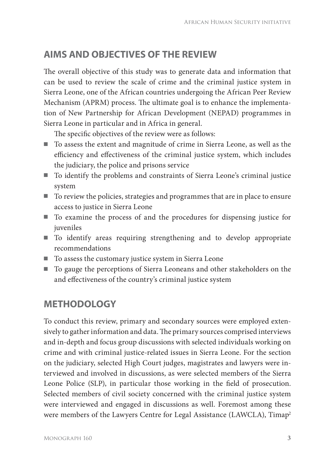## **AIMS AND OBJECTIVES OF THE REVIEW**

The overall objective of this study was to generate data and information that can be used to review the scale of crime and the criminal justice system in Sierra Leone, one of the African countries undergoing the African Peer Review Mechanism (APRM) process. The ultimate goal is to enhance the implementation of New Partnership for African Development (NEPAD) programmes in Sierra Leone in particular and in Africa in general.

The specific objectives of the review were as follows:

- To assess the extent and magnitude of crime in Sierra Leone, as well as the efficiency and effectiveness of the criminal justice system, which includes the judiciary, the police and prisons service
- To identify the problems and constraints of Sierra Leone's criminal justice system
- To review the policies, strategies and programmes that are in place to ensure access to justice in Sierra Leone
- To examine the process of and the procedures for dispensing justice for juveniles
- To identify areas requiring strengthening and to develop appropriate recommendations
- To assess the customary justice system in Sierra Leone
- To gauge the perceptions of Sierra Leoneans and other stakeholders on the and effectiveness of the country's criminal justice system

## **METHODOLOGY**

To conduct this review, primary and secondary sources were employed extensively to gather information and data. The primary sources comprised interviews and in-depth and focus group discussions with selected individuals working on crime and with criminal justice-related issues in Sierra Leone. For the section on the judiciary, selected High Court judges, magistrates and lawyers were interviewed and involved in discussions, as were selected members of the Sierra Leone Police (SLP), in particular those working in the field of prosecution. Selected members of civil society concerned with the criminal justice system were interviewed and engaged in discussions as well. Foremost among these were members of the Lawyers Centre for Legal Assistance (LAWCLA), Timap<sup>2</sup>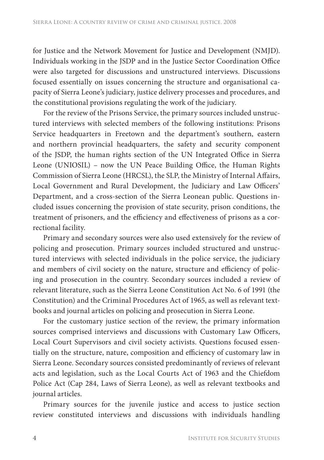for Justice and the Network Movement for Justice and Development (NMJD). Individuals working in the JSDP and in the Justice Sector Coordination Office were also targeted for discussions and unstructured interviews. Discussions focused essentially on issues concerning the structure and organisational capacity of Sierra Leone's judiciary, justice delivery processes and procedures, and the constitutional provisions regulating the work of the judiciary.

For the review of the Prisons Service, the primary sources included unstructured interviews with selected members of the following institutions: Prisons Service headquarters in Freetown and the department's southern, eastern and northern provincial headquarters, the safety and security component of the JSDP, the human rights section of the UN Integrated Office in Sierra Leone (UNIOSIL) - now the UN Peace Building Office, the Human Rights Commission of Sierra Leone (HRCSL), the SLP, the Ministry of Internal Affairs, Local Government and Rural Development, the Judiciary and Law Officers' Department, and a cross-section of the Sierra Leonean public. Questions included issues concerning the provision of state security, prison conditions, the treatment of prisoners, and the efficiency and effectiveness of prisons as a correctional facility.

Primary and secondary sources were also used extensively for the review of policing and prosecution. Primary sources included structured and unstructured interviews with selected individuals in the police service, the judiciary and members of civil society on the nature, structure and efficiency of policing and prosecution in the country. Secondary sources included a review of relevant literature, such as the Sierra Leone Constitution Act No. 6 of 1991 (the Constitution) and the Criminal Procedures Act of 1965, as well as relevant textbooks and journal articles on policing and prosecution in Sierra Leone.

For the customary justice section of the review, the primary information sources comprised interviews and discussions with Customary Law Officers, Local Court Supervisors and civil society activists. Questions focused essentially on the structure, nature, composition and efficiency of customary law in Sierra Leone. Secondary sources consisted predominantly of reviews of relevant acts and legislation, such as the Local Courts Act of 1963 and the Chiefdom Police Act (Cap 284, Laws of Sierra Leone), as well as relevant textbooks and journal articles.

Primary sources for the juvenile justice and access to justice section review constituted interviews and discussions with individuals handling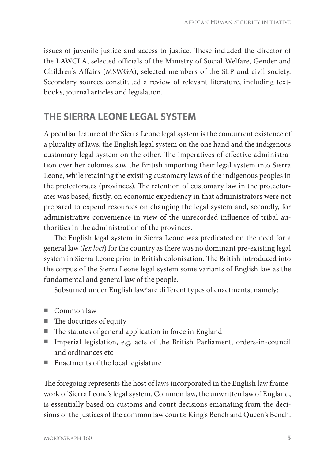issues of juvenile justice and access to justice. These included the director of the LAWCLA, selected officials of the Ministry of Social Welfare, Gender and Children's Affairs (MSWGA), selected members of the SLP and civil society. Secondary sources constituted a review of relevant literature, including textbooks, journal articles and legislation.

### **THE SIERRA LEONE LEGAL SYSTEM**

A peculiar feature of the Sierra Leone legal system is the concurrent existence of a plurality of laws: the English legal system on the one hand and the indigenous customary legal system on the other. The imperatives of effective administration over her colonies saw the British importing their legal system into Sierra Leone, while retaining the existing customary laws of the indigenous peoples in the protectorates (provinces). The retention of customary law in the protectorates was based, firstly, on economic expediency in that administrators were not prepared to expend resources on changing the legal system and, secondly, for administrative convenience in view of the unrecorded influence of tribal authorities in the administration of the provinces.

The English legal system in Sierra Leone was predicated on the need for a general law (*lex loci*) for the country as there was no dominant pre-existing legal system in Sierra Leone prior to British colonisation. The British introduced into the corpus of the Sierra Leone legal system some variants of English law as the fundamental and general law of the people.

Subsumed under English law<sup>3</sup> are different types of enactments, namely:

- Common law
- $\blacksquare$  The doctrines of equity
- The statutes of general application in force in England
- Imperial legislation, e.g. acts of the British Parliament, orders-in-council and ordinances etc
- Enactments of the local legislature

The foregoing represents the host of laws incorporated in the English law framework of Sierra Leone's legal system. Common law, the unwritten law of England, is essentially based on customs and court decisions emanating from the decisions of the justices of the common law courts: King's Bench and Queen's Bench.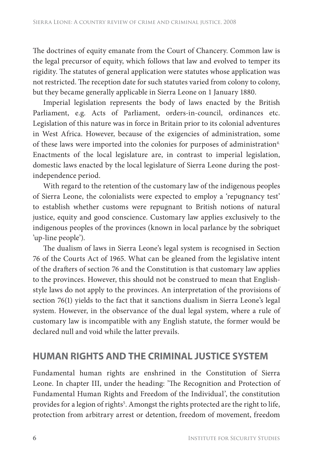The doctrines of equity emanate from the Court of Chancery. Common law is the legal precursor of equity, which follows that law and evolved to temper its rigidity. The statutes of general application were statutes whose application was not restricted. The reception date for such statutes varied from colony to colony, but they became generally applicable in Sierra Leone on 1 January 1880.

Imperial legislation represents the body of laws enacted by the British Parliament, e.g. Acts of Parliament, orders-in-council, ordinances etc. Legislation of this nature was in force in Britain prior to its colonial adventures in West Africa. However, because of the exigencies of administration, some of these laws were imported into the colonies for purposes of administration<sup>4.</sup> Enactments of the local legislature are, in contrast to imperial legislation, domestic laws enacted by the local legislature of Sierra Leone during the postindependence period.

With regard to the retention of the customary law of the indigenous peoples of Sierra Leone, the colonialists were expected to employ a 'repugnancy test' to establish whether customs were repugnant to British notions of natural justice, equity and good conscience. Customary law applies exclusively to the indigenous peoples of the provinces (known in local parlance by the sobriquet 'up-line people').

The dualism of laws in Sierra Leone's legal system is recognised in Section 76 of the Courts Act of 1965. What can be gleaned from the legislative intent of the drafters of section 76 and the Constitution is that customary law applies to the provinces. However, this should not be construed to mean that Englishstyle laws do not apply to the provinces. An interpretation of the provisions of section 76(1) yields to the fact that it sanctions dualism in Sierra Leone's legal system. However, in the observance of the dual legal system, where a rule of customary law is incompatible with any English statute, the former would be declared null and void while the latter prevails.

### **HUMAN RIGHTS AND THE CRIMINAL JUSTICE SYSTEM**

Fundamental human rights are enshrined in the Constitution of Sierra Leone. In chapter III, under the heading: 'The Recognition and Protection of Fundamental Human Rights and Freedom of the Individual', the constitution provides for a legion of rights<sup>5</sup>. Amongst the rights protected are the right to life, protection from arbitrary arrest or detention, freedom of movement, freedom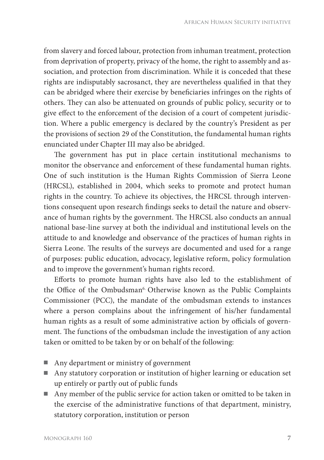from slavery and forced labour, protection from inhuman treatment, protection from deprivation of property, privacy of the home, the right to assembly and association, and protection from discrimination. While it is conceded that these rights are indisputably sacrosanct, they are nevertheless qualified in that they can be abridged where their exercise by beneficiaries infringes on the rights of others. They can also be attenuated on grounds of public policy, security or to give effect to the enforcement of the decision of a court of competent jurisdiction. Where a public emergency is declared by the country's President as per the provisions of section 29 of the Constitution, the fundamental human rights enunciated under Chapter III may also be abridged.

The government has put in place certain institutional mechanisms to monitor the observance and enforcement of these fundamental human rights. One of such institution is the Human Rights Commission of Sierra Leone (HRCSL), established in 2004, which seeks to promote and protect human rights in the country. To achieve its objectives, the HRCSL through interventions consequent upon research findings seeks to detail the nature and observance of human rights by the government. The HRCSL also conducts an annual national base-line survey at both the individual and institutional levels on the attitude to and knowledge and observance of the practices of human rights in Sierra Leone. The results of the surveys are documented and used for a range of purposes: public education, advocacy, legislative reform, policy formulation and to improve the government's human rights record.

Efforts to promote human rights have also led to the establishment of the Office of the Ombudsman<sup>6.</sup> Otherwise known as the Public Complaints Commissioner (PCC), the mandate of the ombudsman extends to instances where a person complains about the infringement of his/her fundamental human rights as a result of some administrative action by officials of government. The functions of the ombudsman include the investigation of any action taken or omitted to be taken by or on behalf of the following:

- Any department or ministry of government
- Any statutory corporation or institution of higher learning or education set up entirely or partly out of public funds
- Any member of the public service for action taken or omitted to be taken in the exercise of the administrative functions of that department, ministry, statutory corporation, institution or person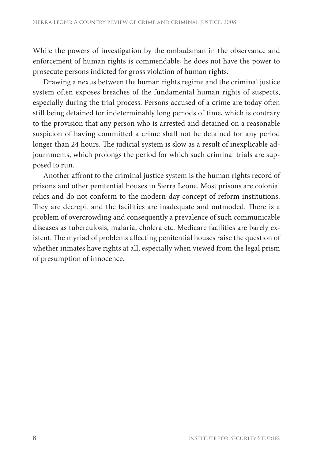While the powers of investigation by the ombudsman in the observance and enforcement of human rights is commendable, he does not have the power to prosecute persons indicted for gross violation of human rights.

Drawing a nexus between the human rights regime and the criminal justice system often exposes breaches of the fundamental human rights of suspects, especially during the trial process. Persons accused of a crime are today often still being detained for indeterminably long periods of time, which is contrary to the provision that any person who is arrested and detained on a reasonable suspicion of having committed a crime shall not be detained for any period longer than 24 hours. The judicial system is slow as a result of inexplicable adjournments, which prolongs the period for which such criminal trials are supposed to run.

Another affront to the criminal justice system is the human rights record of prisons and other penitential houses in Sierra Leone. Most prisons are colonial relics and do not conform to the modern-day concept of reform institutions. They are decrepit and the facilities are inadequate and outmoded. There is a problem of overcrowding and consequently a prevalence of such communicable diseases as tuberculosis, malaria, cholera etc. Medicare facilities are barely existent. The myriad of problems affecting penitential houses raise the question of whether inmates have rights at all, especially when viewed from the legal prism of presumption of innocence.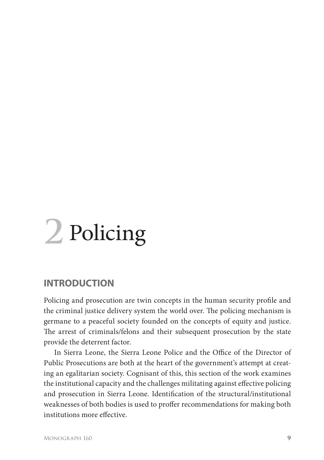# **2** Policing

### **INTRODUCTION**

Policing and prosecution are twin concepts in the human security profile and the criminal justice delivery system the world over. The policing mechanism is germane to a peaceful society founded on the concepts of equity and justice. The arrest of criminals/felons and their subsequent prosecution by the state provide the deterrent factor.

In Sierra Leone, the Sierra Leone Police and the Office of the Director of Public Prosecutions are both at the heart of the government's attempt at creating an egalitarian society. Cognisant of this, this section of the work examines the institutional capacity and the challenges militating against effective policing and prosecution in Sierra Leone. Identification of the structural/institutional weaknesses of both bodies is used to proffer recommendations for making both institutions more effective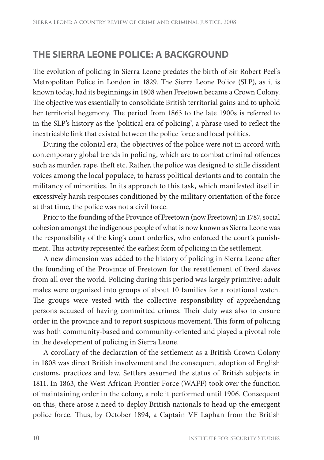### **THE SIERRA LEONE POLICE: A BACKGROUND**

The evolution of policing in Sierra Leone predates the birth of Sir Robert Peel's Metropolitan Police in London in 1829. The Sierra Leone Police (SLP), as it is known today, had its beginnings in 1808 when Freetown became a Crown Colony. The objective was essentially to consolidate British territorial gains and to uphold her territorial hegemony. The period from 1863 to the late 1900s is referred to in the SLP's history as the 'political era of policing', a phrase used to reflect the inextricable link that existed between the police force and local politics.

During the colonial era, the objectives of the police were not in accord with contemporary global trends in policing, which are to combat criminal offences such as murder, rape, theft etc. Rather, the police was designed to stifle dissident voices among the local populace, to harass political deviants and to contain the militancy of minorities. In its approach to this task, which manifested itself in excessively harsh responses conditioned by the military orientation of the force at that time, the police was not a civil force.

Prior to the founding of the Province of Freetown (now Freetown) in 1787, social cohesion amongst the indigenous people of what is now known as Sierra Leone was the responsibility of the king's court orderlies, who enforced the court's punishment. This activity represented the earliest form of policing in the settlement.

A new dimension was added to the history of policing in Sierra Leone after the founding of the Province of Freetown for the resettlement of freed slaves from all over the world. Policing during this period was largely primitive: adult males were organised into groups of about 10 families for a rotational watch. The groups were vested with the collective responsibility of apprehending persons accused of having committed crimes. Their duty was also to ensure order in the province and to report suspicious movement. This form of policing was both community-based and community-oriented and played a pivotal role in the development of policing in Sierra Leone.

A corollary of the declaration of the settlement as a British Crown Colony in 1808 was direct British involvement and the consequent adoption of English customs, practices and law. Settlers assumed the status of British subjects in 1811. In 1863, the West African Frontier Force (WAFF) took over the function of maintaining order in the colony, a role it performed until 1906. Consequent on this, there arose a need to deploy British nationals to head up the emergent police force. Thus, by October 1894, a Captain VF Laphan from the British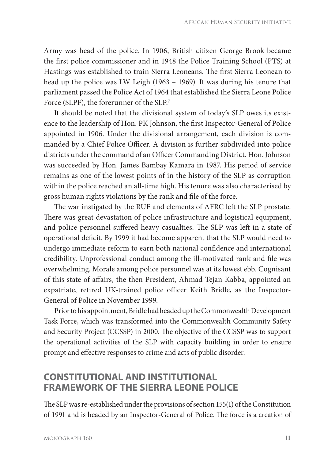Army was head of the police. In 1906, British citizen George Brook became the first police commissioner and in 1948 the Police Training School (PTS) at Hastings was established to train Sierra Leoneans. The first Sierra Leonean to head up the police was LW Leigh (1963 – 1969). It was during his tenure that parliament passed the Police Act of 1964 that established the Sierra Leone Police Force (SLPF), the forerunner of the SLP.<sup>7</sup>

It should be noted that the divisional system of today's SLP owes its existence to the leadership of Hon. PK Johnson, the first Inspector-General of Police appointed in 1906. Under the divisional arrangement, each division is commanded by a Chief Police Officer. A division is further subdivided into police districts under the command of an Officer Commanding District. Hon. Johnson was succeeded by Hon. James Bambay Kamara in 1987. His period of service remains as one of the lowest points of in the history of the SLP as corruption within the police reached an all-time high. His tenure was also characterised by gross human rights violations by the rank and file of the force.

The war instigated by the RUF and elements of AFRC left the SLP prostate. There was great devastation of police infrastructure and logistical equipment, and police personnel suffered heavy casualties. The SLP was left in a state of operational deficit. By 1999 it had become apparent that the SLP would need to undergo immediate reform to earn both national confidence and international credibility. Unprofessional conduct among the ill-motivated rank and file was overwhelming. Morale among police personnel was at its lowest ebb. Cognisant of this state of affairs, the then President, Ahmad Tejan Kabba, appointed an expatriate, retired UK-trained police officer Keith Bridle, as the Inspector-General of Police in November 1999.

Prior to his appointment, Bridle had headed up the Commonwealth Development Task Force, which was transformed into the Commonwealth Community Safety and Security Project (CCSSP) in 2000. The objective of the CCSSP was to support the operational activities of the SLP with capacity building in order to ensure prompt and effective responses to crime and acts of public disorder.

### **CONSTITUTIONAL AND INSTITUTIONAL FRAMEWORK OF THE SIERRA LEONE POLICE**

The SLP was re-established under the provisions of section 155(1) of the Constitution of 1991 and is headed by an Inspector-General of Police. The force is a creation of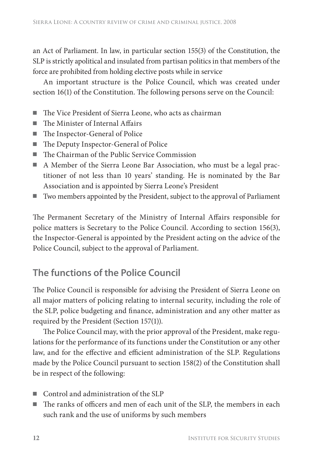an Act of Parliament. In law, in particular section 155(3) of the Constitution, the SLP is strictly apolitical and insulated from partisan politics in that members of the force are prohibited from holding elective posts while in service.

An important structure is the Police Council, which was created under section  $16(1)$  of the Constitution. The following persons serve on the Council:

- $\blacksquare$  The Vice President of Sierra Leone, who acts as chairman
- $\blacksquare$  The Minister of Internal Affairs
- The Inspector-General of Police
- The Deputy Inspector-General of Police
- $\blacksquare$  The Chairman of the Public Service Commission
- A Member of the Sierra Leone Bar Association, who must be a legal practitioner of not less than 10 years' standing. He is nominated by the Bar Association and is appointed by Sierra Leone's President
- Two members appointed by the President, subject to the approval of Parliament

The Permanent Secretary of the Ministry of Internal Affairs responsible for police matters is Secretary to the Police Council. According to section 156(3), the Inspector-General is appointed by the President acting on the advice of the Police Council, subject to the approval of Parliament.

### **The functions of the Police Council**

The Police Council is responsible for advising the President of Sierra Leone on all major matters of policing relating to internal security, including the role of the SLP, police budgeting and finance, administration and any other matter as required by the President (Section 157(1)).

The Police Council may, with the prior approval of the President, make regulations for the performance of its functions under the Constitution or any other law, and for the effective and efficient administration of the SLP. Regulations made by the Police Council pursuant to section 158(2) of the Constitution shall be in respect of the following:

- Control and administration of the SLP
- $\blacksquare$  The ranks of officers and men of each unit of the SLP, the members in each such rank and the use of uniforms by such members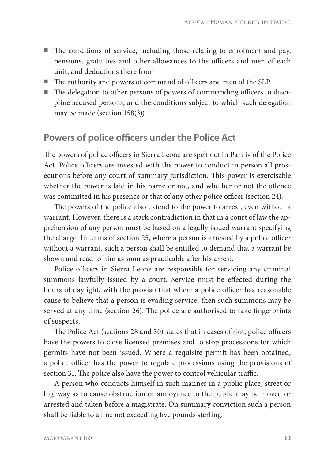- $\blacksquare$  The conditions of service, including those relating to enrolment and pay, pensions, gratuities and other allowances to the officers and men of each unit, and deductions there from
- The authority and powers of command of officers and men of the SLP
- The delegation to other persons of powers of commanding officers to discipline accused persons, and the conditions subject to which such delegation may be made (section 158(3))

### **Powers of police officers under the Police Act**

The powers of police officers in Sierra Leone are spelt out in Part iv of the Police Act. Police officers are invested with the power to conduct in person all prosecutions before any court of summary jurisdiction. This power is exercisable whether the power is laid in his name or not, and whether or not the offence was committed in his presence or that of any other police officer (section 24).

The powers of the police also extend to the power to arrest, even without a warrant. However, there is a stark contradiction in that in a court of law the apprehension of any person must be based on a legally issued warrant specifying the charge. In terms of section 25, where a person is arrested by a police officer without a warrant, such a person shall be entitled to demand that a warrant be shown and read to him as soon as practicable after his arrest.

Police officers in Sierra Leone are responsible for servicing any criminal summons lawfully issued by a court. Service must be effected during the hours of daylight, with the proviso that where a police officer has reasonable cause to believe that a person is evading service, then such summons may be served at any time (section 26). The police are authorised to take fingerprints of suspects.

The Police Act (sections 28 and 30) states that in cases of riot, police officers have the powers to close licensed premises and to stop processions for which permits have not been issued. Where a requisite permit has been obtained, a police officer has the power to regulate processions using the provisions of section 31. The police also have the power to control vehicular traffic.

A person who conducts himself in such manner in a public place, street or highway as to cause obstruction or annoyance to the public may be moved or arrested and taken before a magistrate. On summary conviction such a person shall be liable to a fine not exceeding five pounds sterling.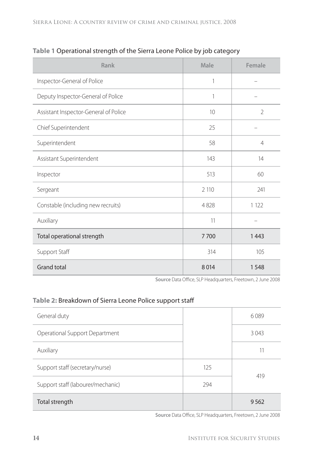| Rank                                  | Male | Female         |
|---------------------------------------|------|----------------|
| Inspector-General of Police           | 1    |                |
| Deputy Inspector-General of Police    | 1    |                |
| Assistant Inspector-General of Police | 10   | $\overline{2}$ |
| Chief Superintendent                  | 25   |                |
| Superintendent                        | 58   | $\overline{4}$ |
| Assistant Superintendent              | 143  | 14             |
| Inspector                             | 513  | 60             |
| Sergeant                              | 2110 | 241            |
| Constable (including new recruits)    | 4828 | 1 1 2 2        |
| Auxiliary                             | 11   |                |
| Total operational strength            | 7700 | 1443           |
| Support Staff                         | 314  | 105            |
| <b>Grand total</b>                    | 8014 | 1548           |

**Table 1** Operational strength of the Sierra Leone Police by job category

Source Data Office, SLP Headquarters, Freetown, 2 June 2008

#### **Table 2:** Breakdown of Sierra Leone Police support staff

| Support staff (labourer/mechanic) | 294 | 419  |
|-----------------------------------|-----|------|
| Support staff (secretary/nurse)   | 125 |      |
| Auxiliary                         |     | 11   |
| Operational Support Department    |     | 3043 |
| General duty                      |     | 6089 |

Source Data Office, SLP Headquarters, Freetown, 2 June 2008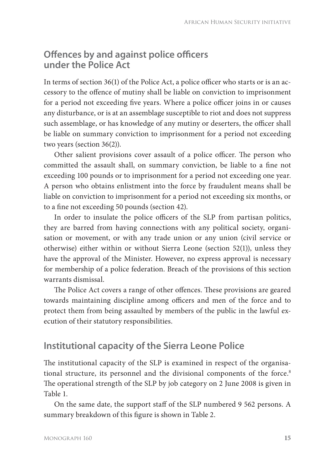#### **Offences by and against police officers under the Police Act**

In terms of section  $36(1)$  of the Police Act, a police officer who starts or is an accessory to the offence of mutiny shall be liable on conviction to imprisonment for a period not exceeding five years. Where a police officer joins in or causes any disturbance, or is at an assemblage susceptible to riot and does not suppress such assemblage, or has knowledge of any mutiny or deserters, the officer shall be liable on summary conviction to imprisonment for a period not exceeding two years (section 36(2)).

Other salient provisions cover assault of a police officer. The person who committed the assault shall, on summary conviction, be liable to a fine not exceeding 100 pounds or to imprisonment for a period not exceeding one year. A person who obtains enlistment into the force by fraudulent means shall be liable on conviction to imprisonment for a period not exceeding six months, or to a fine not exceeding 50 pounds (section 42).

In order to insulate the police officers of the SLP from partisan politics, they are barred from having connections with any political society, organisation or movement, or with any trade union or any union (civil service or otherwise) either within or without Sierra Leone (section  $52(1)$ ), unless they have the approval of the Minister. However, no express approval is necessary for membership of a police federation. Breach of the provisions of this section warrants dismissal.

The Police Act covers a range of other offences. These provisions are geared towards maintaining discipline among officers and men of the force and to protect them from being assaulted by members of the public in the lawful execution of their statutory responsibilities.

### **Institutional capacity of the Sierra Leone Police**

The institutional capacity of the SLP is examined in respect of the organisational structure, its personnel and the divisional components of the force.<sup>8</sup> The operational strength of the SLP by job category on 2 June 2008 is given in Table 1.

On the same date, the support staff of the SLP numbered 9 562 persons. A summary breakdown of this figure is shown in Table 2.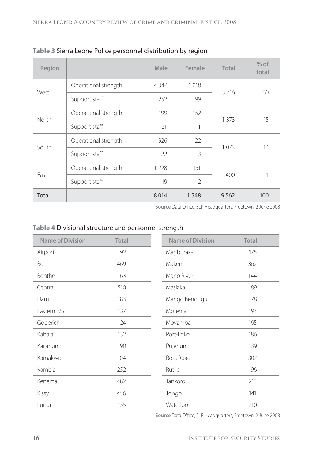| Region |                      | Male    | Female         | Total   | $%$ of<br>total |
|--------|----------------------|---------|----------------|---------|-----------------|
| West   | Operational strength | 4 3 4 7 | 1018           | 5716    | 60              |
|        | Support staff        | 252     | 99             |         |                 |
| North  | Operational strength | 1 1 9 9 | 152            |         | 15              |
|        | Support staff        | 21      | 1              | 1 3 7 3 |                 |
| South  | Operational strength | 926     | 122            |         | 14              |
|        | Support staff        | 22      | 3              | 1073    |                 |
| Fast   | Operational strength | 1 2 2 8 | 151            |         | 11              |
|        | Support staff        | 19      | $\mathfrak{D}$ | 1400    |                 |
| Total  |                      | 8014    | 1 5 4 8        | 9562    | 100             |

#### **Table 3** Sierra Leone Police personnel distribution by region

Source Data Office, SLP Headquarters, Freetown, 2 June 2008

#### **Table 4** Divisional structure and personnel strength

| <b>Name of Division</b> | Total | <b>Name of Division</b> | Total |
|-------------------------|-------|-------------------------|-------|
| Airport                 | 92    | Magburaka               | 175   |
| Bo                      | 469   | Makeni                  | 362   |
| Bonthe                  | 63    | Mano River              | 144   |
| Central                 | 510   | Masiaka                 | 89    |
| Daru                    | 183   | Mango Bendugu           | 78    |
| Eastern P/S             | 137   | Motema                  | 193   |
| Goderich                | 124   | Moyamba                 | 165   |
| Kabala                  | 132   | Port-Loko               | 186   |
| Kailahun                | 190   | Pujehun                 | 139   |
| Kamakwie                | 104   | Ross Road               | 307   |
| Kambia                  | 252   | Rutile                  | 96    |
| Kenema                  | 482   | Tankoro                 | 213   |
| Kissy                   | 456   | Tongo                   | 141   |
| Lungi                   | 155   | Waterloo                | 210   |

Source Data Office, SLP Headquarters, Freetown, 2 June 2008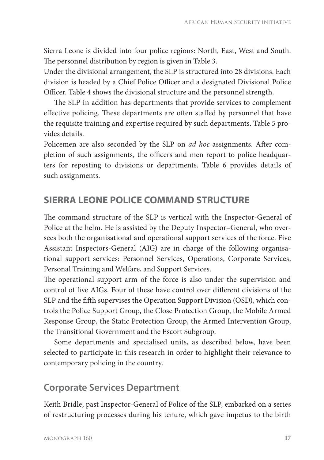Sierra Leone is divided into four police regions: North, East, West and South. The personnel distribution by region is given in Table 3.

Under the divisional arrangement, the SLP is structured into 28 divisions. Each division is headed by a Chief Police Officer and a designated Divisional Police Officer. Table 4 shows the divisional structure and the personnel strength.

The SLP in addition has departments that provide services to complement effective policing. These departments are often staffed by personnel that have the requisite training and expertise required by such departments. Table 5 provides details.

Policemen are also seconded by the SLP on *ad hoc* assignments. After completion of such assignments, the officers and men report to police headquarters for reposting to divisions or departments. Table 6 provides details of such assignments.

#### **SIERRA LEONE POLICE COMMAND STRUCTURE**

The command structure of the SLP is vertical with the Inspector-General of Police at the helm. He is assisted by the Deputy Inspector–General, who oversees both the organisational and operational support services of the force. Five Assistant Inspectors-General (AIG) are in charge of the following organisational support services: Personnel Services, Operations, Corporate Services, Personal Training and Welfare, and Support Services.

The operational support arm of the force is also under the supervision and control of five AIGs. Four of these have control over different divisions of the SLP and the fifth supervises the Operation Support Division (OSD), which controls the Police Support Group, the Close Protection Group, the Mobile Armed Response Group, the Static Protection Group, the Armed Intervention Group, the Transitional Government and the Escort Subgroup.

Some departments and specialised units, as described below, have been selected to participate in this research in order to highlight their relevance to contemporary policing in the country.

#### **Corporate Services Department**

Keith Bridle, past Inspector-General of Police of the SLP, embarked on a series of restructuring processes during his tenure, which gave impetus to the birth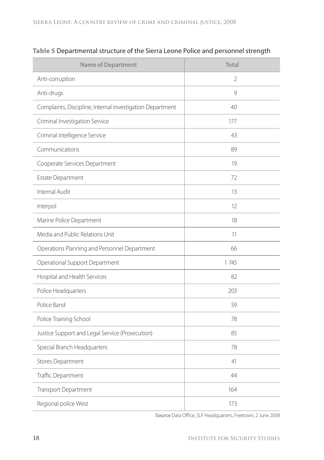| <b>Name of Department</b>                                 | Total |
|-----------------------------------------------------------|-------|
| Anti-corruption                                           | 2     |
| Anti-drugs                                                | 9     |
| Complaints, Discipline, Internal investigation Department | 40    |
| Criminal Investigation Service                            | 177   |
| Criminal Intelligence Service                             | 43    |
| Communications                                            | 89    |
| Cooperate Services Department                             | 19    |
| Estate Department                                         | 72    |
| Internal Audit                                            | 13    |
| Interpol                                                  | 12    |
| Marine Police Department                                  | 18    |
| Media and Public Relations Unit                           | 11    |
| Operations Planning and Personnel Department              | 66    |
| Operational Support Department                            | 1745  |
| Hospital and Health Services                              | 82    |
| Police Headquarters                                       | 203   |
| Police Band                                               | 59    |
| Police Training School                                    | 78    |
| Justice Support and Legal Service (Prosecution)           | 85    |
| Special Branch Headquarters                               | 78    |
| Stores Department                                         | 41    |
| Traffic Department                                        | 44    |
| Transport Department                                      | 164   |
| Regional police West                                      | 173   |

**Table 5** Departmental structure of the Sierra Leone Police and personnel strength

Source Data Office, SLP Headquarters, Freetown, 2 June 2008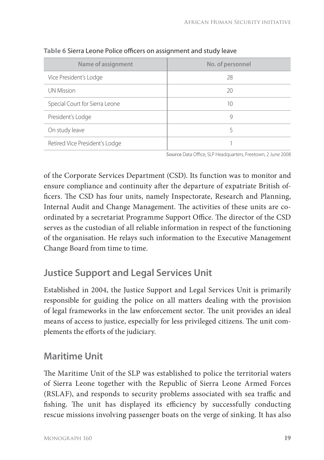| Name of assignment             | No. of personnel |
|--------------------------------|------------------|
| Vice President's Lodge         | 28               |
| <b>UN Mission</b>              | 20               |
| Special Court for Sierra Leone | 10               |
| President's Lodge              | 9                |
| On study leave                 | 5                |
| Retired Vice President's Lodge |                  |

Table 6 Sierra Leone Police officers on assignment and study leave

Source Data Office, SLP Headquarters, Freetown, 2 June 2008

of the Corporate Services Department (CSD). Its function was to monitor and ensure compliance and continuity after the departure of expatriate British officers. The CSD has four units, namely Inspectorate, Research and Planning, Internal Audit and Change Management. The activities of these units are coordinated by a secretariat Programme Support Office. The director of the CSD serves as the custodian of all reliable information in respect of the functioning of the organisation. He relays such information to the Executive Management Change Board from time to time.

# **Justice Support and Legal Services Unit**

Established in 2004, the Justice Support and Legal Services Unit is primarily responsible for guiding the police on all matters dealing with the provision of legal frameworks in the law enforcement sector. The unit provides an ideal means of access to justice, especially for less privileged citizens. The unit complements the efforts of the judiciary.

### **Maritime Unit**

The Maritime Unit of the SLP was established to police the territorial waters of Sierra Leone together with the Republic of Sierra Leone Armed Forces (RSLAF), and responds to security problems associated with sea traffic and fishing. The unit has displayed its efficiency by successfully conducting rescue missions involving passenger boats on the verge of sinking. It has also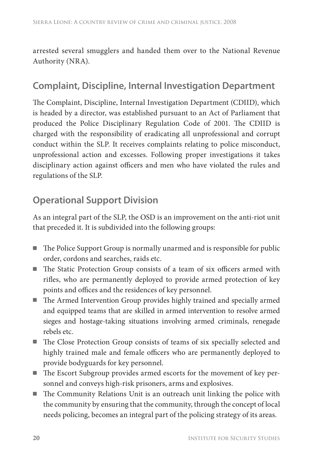arrested several smugglers and handed them over to the National Revenue Authority (NRA).

### **Complaint, Discipline, Internal Investigation Department**

The Complaint, Discipline, Internal Investigation Department (CDIID), which is headed by a director, was established pursuant to an Act of Parliament that produced the Police Disciplinary Regulation Code of 2001. The CDIID is charged with the responsibility of eradicating all unprofessional and corrupt conduct within the SLP. It receives complaints relating to police misconduct, unprofessional action and excesses. Following proper investigations it takes disciplinary action against officers and men who have violated the rules and regulations of the SLP.

# **Operational Support Division**

As an integral part of the SLP, the OSD is an improvement on the anti-riot unit that preceded it. It is subdivided into the following groups:

- The Police Support Group is normally unarmed and is responsible for public order, cordons and searches, raids etc.
- The Static Protection Group consists of a team of six officers armed with rifles, who are permanently deployed to provide armed protection of key points and offices and the residences of key personnel.
- The Armed Intervention Group provides highly trained and specially armed and equipped teams that are skilled in armed intervention to resolve armed sieges and hostage-taking situations involving armed criminals, renegade rebels etc.
- The Close Protection Group consists of teams of six specially selected and highly trained male and female officers who are permanently deployed to provide bodyguards for key personnel.
- The Escort Subgroup provides armed escorts for the movement of key personnel and conveys high-risk prisoners, arms and explosives.
- $\blacksquare$  The Community Relations Unit is an outreach unit linking the police with the community by ensuring that the community, through the concept of local needs policing, becomes an integral part of the policing strategy of its areas.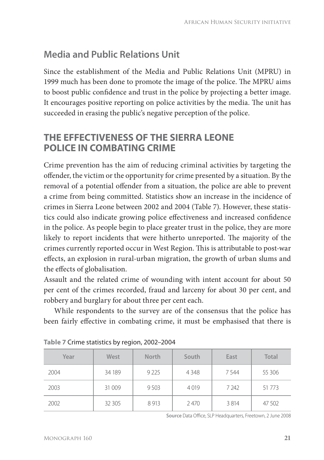# **Media and Public Relations Unit**

Since the establishment of the Media and Public Relations Unit (MPRU) in 1999 much has been done to promote the image of the police. The MPRU aims to boost public confidence and trust in the police by projecting a better image. It encourages positive reporting on police activities by the media. The unit has succeeded in erasing the public's negative perception of the police.

### **THE EFFECTIVENESS OF THE SIERRA LEONE POLICE IN COMBATING CRIME**

Crime prevention has the aim of reducing criminal activities by targeting the offender, the victim or the opportunity for crime presented by a situation. By the removal of a potential offender from a situation, the police are able to prevent a crime from being committed. Statistics show an increase in the incidence of crimes in Sierra Leone between 2002 and 2004 (Table 7). However, these statistics could also indicate growing police effectiveness and increased confidence in the police. As people begin to place greater trust in the police, they are more likely to report incidents that were hitherto unreported. The majority of the crimes currently reported occur in West Region. This is attributable to post-war effects, an explosion in rural-urban migration, the growth of urban slums and the effects of globalisation.

Assault and the related crime of wounding with intent account for about 50 per cent of the crimes recorded, fraud and larceny for about 30 per cent, and robbery and burglary for about three per cent each.

While respondents to the survey are of the consensus that the police has been fairly effective in combating crime, it must be emphasised that there is

| Year | West   | <b>North</b> | South | East    | Total    |
|------|--------|--------------|-------|---------|----------|
| 2004 | 34 189 | 9 2 2 5      | 4348  | 7544    | 55 30 6  |
| 2003 | 31 009 | 9 5 0 3      | 4019  | 7 2 4 2 | 51 7 7 3 |
| 2002 | 32 305 | 8913         | 2470  | 3814    | 47 502   |

| Table 7 Crime statistics by region, 2002–2004 |  |  |
|-----------------------------------------------|--|--|
|-----------------------------------------------|--|--|

Source Data Office, SLP Headquarters, Freetown, 2 June 2008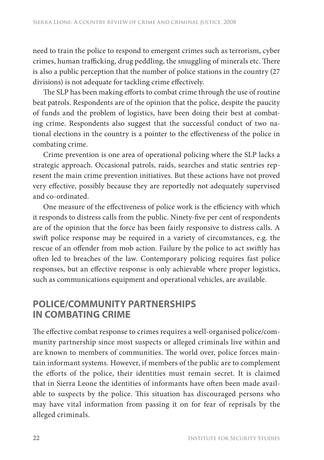need to train the police to respond to emergent crimes such as terrorism, cyber crimes, human trafficking, drug peddling, the smuggling of minerals etc. There is also a public perception that the number of police stations in the country (27 divisions) is not adequate for tackling crime effectively.

The SLP has been making efforts to combat crime through the use of routine beat patrols. Respondents are of the opinion that the police, despite the paucity of funds and the problem of logistics, have been doing their best at combating crime. Respondents also suggest that the successful conduct of two national elections in the country is a pointer to the effectiveness of the police in combating crime.

Crime prevention is one area of operational policing where the SLP lacks a strategic approach. Occasional patrols, raids, searches and static sentries represent the main crime prevention initiatives. But these actions have not proved very effective, possibly because they are reportedly not adequately supervised and co-ordinated.

One measure of the effectiveness of police work is the efficiency with which it responds to distress calls from the public. Ninety-five per cent of respondents are of the opinion that the force has been fairly responsive to distress calls. A swift police response may be required in a variety of circumstances, e.g. the rescue of an offender from mob action. Failure by the police to act swiftly has often led to breaches of the law. Contemporary policing requires fast police responses, but an effective response is only achievable where proper logistics, such as communications equipment and operational vehicles, are available.

#### **POLICE/COMMUNITY PARTNERSHIPS IN COMBATING CRIME**

The effective combat response to crimes requires a well-organised police/community partnership since most suspects or alleged criminals live within and are known to members of communities. The world over, police forces maintain informant systems. However, if members of the public are to complement the efforts of the police, their identities must remain secret. It is claimed that in Sierra Leone the identities of informants have often been made available to suspects by the police. This situation has discouraged persons who may have vital information from passing it on for fear of reprisals by the alleged criminals.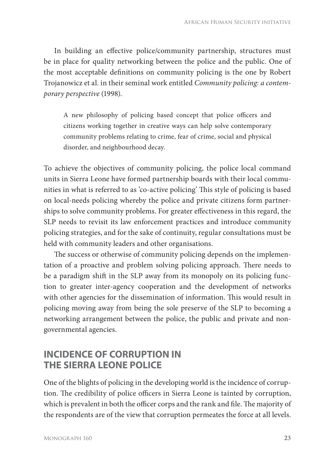In building an effective police/community partnership, structures must be in place for quality networking between the police and the public. One of the most acceptable definitions on community policing is the one by Robert Trojanowicz et al. in their seminal work entitled *Community policing: a contemporary perspective* (1998).

A new philosophy of policing based concept that police officers and citizens working together in creative ways can help solve contemporary community problems relating to crime, fear of crime, social and physical disorder, and neighbourhood decay.

To achieve the objectives of community policing, the police local command units in Sierra Leone have formed partnership boards with their local communities in what is referred to as 'co-active policing' This style of policing is based on local-needs policing whereby the police and private citizens form partnerships to solve community problems. For greater effectiveness in this regard, the SLP needs to revisit its law enforcement practices and introduce community policing strategies, and for the sake of continuity, regular consultations must be held with community leaders and other organisations.

The success or otherwise of community policing depends on the implementation of a proactive and problem solving policing approach. There needs to be a paradigm shift in the SLP away from its monopoly on its policing function to greater inter-agency cooperation and the development of networks with other agencies for the dissemination of information. This would result in policing moving away from being the sole preserve of the SLP to becoming a networking arrangement between the police, the public and private and nongovernmental agencies.

#### **INCIDENCE OF CORRUPTION IN THE SIERRA LEONE POLICE**

One of the blights of policing in the developing world is the incidence of corruption. The credibility of police officers in Sierra Leone is tainted by corruption, which is prevalent in both the officer corps and the rank and file. The majority of the respondents are of the view that corruption permeates the force at all levels.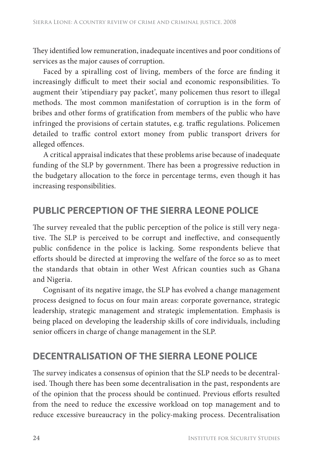They identified low remuneration, inadequate incentives and poor conditions of services as the major causes of corruption.

Faced by a spiralling cost of living, members of the force are finding it increasingly difficult to meet their social and economic responsibilities. To augment their 'stipendiary pay packet', many policemen thus resort to illegal methods. The most common manifestation of corruption is in the form of bribes and other forms of gratification from members of the public who have infringed the provisions of certain statutes, e.g. traffic regulations. Policemen detailed to traffic control extort money from public transport drivers for alleged offences.

A critical appraisal indicates that these problems arise because of inadequate funding of the SLP by government. There has been a progressive reduction in the budgetary allocation to the force in percentage terms, even though it has increasing responsibilities.

#### **PUBLIC PERCEPTION OF THE SIERRA LEONE POLICE**

The survey revealed that the public perception of the police is still very negative. The SLP is perceived to be corrupt and ineffective, and consequently public confidence in the police is lacking. Some respondents believe that efforts should be directed at improving the welfare of the force so as to meet the standards that obtain in other West African counties such as Ghana and Nigeria.

Cognisant of its negative image, the SLP has evolved a change management process designed to focus on four main areas: corporate governance, strategic leadership, strategic management and strategic implementation. Emphasis is being placed on developing the leadership skills of core individuals, including senior officers in charge of change management in the SLP.

#### **DECENTRALISATION OF THE SIERRA LEONE POLICE**

The survey indicates a consensus of opinion that the SLP needs to be decentralised. Though there has been some decentralisation in the past, respondents are of the opinion that the process should be continued. Previous efforts resulted from the need to reduce the excessive workload on top management and to reduce excessive bureaucracy in the policy-making process. Decentralisation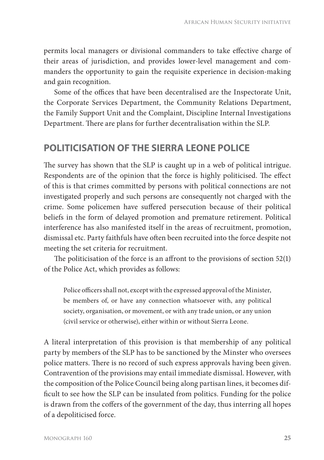permits local managers or divisional commanders to take effective charge of their areas of jurisdiction, and provides lower-level management and commanders the opportunity to gain the requisite experience in decision-making and gain recognition.

Some of the offices that have been decentralised are the Inspectorate Unit, the Corporate Services Department, the Community Relations Department, the Family Support Unit and the Complaint, Discipline Internal Investigations Department. There are plans for further decentralisation within the SLP.

#### **POLITICISATION OF THE SIERRA LEONE POLICE**

The survey has shown that the SLP is caught up in a web of political intrigue. Respondents are of the opinion that the force is highly politicised. The effect of this is that crimes committed by persons with political connections are not investigated properly and such persons are consequently not charged with the crime. Some policemen have suffered persecution because of their political beliefs in the form of delayed promotion and premature retirement. Political interference has also manifested itself in the areas of recruitment, promotion, dismissal etc. Party faithfuls have often been recruited into the force despite not meeting the set criteria for recruitment.

The politicisation of the force is an affront to the provisions of section  $52(1)$ of the Police Act, which provides as follows:

Police officers shall not, except with the expressed approval of the Minister, be members of, or have any connection whatsoever with, any political society, organisation, or movement, or with any trade union, or any union (civil service or otherwise), either within or without Sierra Leone.

A literal interpretation of this provision is that membership of any political party by members of the SLP has to be sanctioned by the Minster who oversees police matters. There is no record of such express approvals having been given. Contravention of the provisions may entail immediate dismissal. However, with the composition of the Police Council being along partisan lines, it becomes difficult to see how the SLP can be insulated from politics. Funding for the police is drawn from the coffers of the government of the day, thus interring all hopes of a depoliticised force.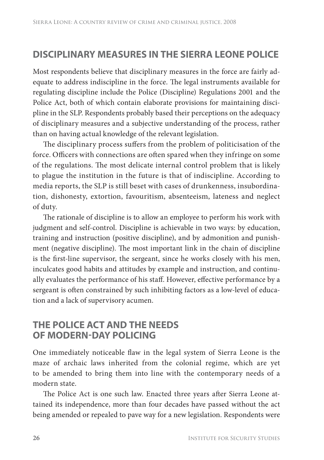# **DISCIPLINARY MEASURES IN THE SIERRA LEONE POLICE**

Most respondents believe that disciplinary measures in the force are fairly adequate to address indiscipline in the force. The legal instruments available for regulating discipline include the Police (Discipline) Regulations 2001 and the Police Act, both of which contain elaborate provisions for maintaining discipline in the SLP. Respondents probably based their perceptions on the adequacy of disciplinary measures and a subjective understanding of the process, rather than on having actual knowledge of the relevant legislation.

The disciplinary process suffers from the problem of politicisation of the force. Officers with connections are often spared when they infringe on some of the regulations. The most delicate internal control problem that is likely to plague the institution in the future is that of indiscipline. According to media reports, the SLP is still beset with cases of drunkenness, insubordination, dishonesty, extortion, favouritism, absenteeism, lateness and neglect of duty.

The rationale of discipline is to allow an employee to perform his work with judgment and self-control. Discipline is achievable in two ways: by education, training and instruction (positive discipline), and by admonition and punishment (negative discipline). The most important link in the chain of discipline is the first-line supervisor, the sergeant, since he works closely with his men, inculcates good habits and attitudes by example and instruction, and continually evaluates the performance of his staff. However, effective performance by a sergeant is often constrained by such inhibiting factors as a low-level of education and a lack of supervisory acumen.

#### **THE POLICE ACT AND THE NEEDS OF MODERN-DAY POLICING**

One immediately noticeable flaw in the legal system of Sierra Leone is the maze of archaic laws inherited from the colonial regime, which are yet to be amended to bring them into line with the contemporary needs of a modern state.

The Police Act is one such law. Enacted three years after Sierra Leone attained its independence, more than four decades have passed without the act being amended or repealed to pave way for a new legislation. Respondents were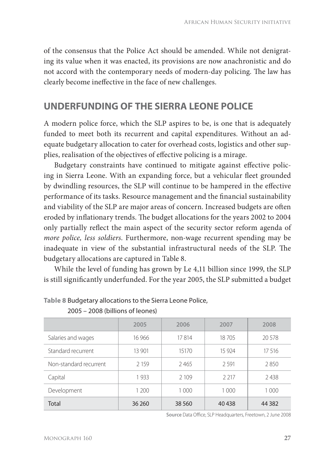of the consensus that the Police Act should be amended. While not denigrating its value when it was enacted, its provisions are now anachronistic and do not accord with the contemporary needs of modern-day policing. The law has clearly become ineffective in the face of new challenges.

#### **UNDERFUNDING OF THE SIERRA LEONE POLICE**

A modern police force, which the SLP aspires to be, is one that is adequately funded to meet both its recurrent and capital expenditures. Without an adequate budgetary allocation to cater for overhead costs, logistics and other supplies, realisation of the objectives of effective policing is a mirage.

Budgetary constraints have continued to mitigate against effective policing in Sierra Leone. With an expanding force, but a vehicular fleet grounded by dwindling resources, the SLP will continue to be hampered in the effective performance of its tasks. Resource management and the financial sustainability and viability of the SLP are major areas of concern. Increased budgets are often eroded by inflationary trends. The budget allocations for the years 2002 to 2004 only partially reflect the main aspect of the security sector reform agenda of *more police, less soldiers*. Furthermore, non-wage recurrent spending may be inadequate in view of the substantial infrastructural needs of the SLP. The budgetary allocations are captured in Table 8.

While the level of funding has grown by Le 4,11 billion since 1999, the SLP is still significantly underfunded. For the year 2005, the SLP submitted a budget

|                        | 2005    | 2006    | 2007    | 2008    |
|------------------------|---------|---------|---------|---------|
| Salaries and wages     | 16 966  | 17814   | 18705   | 20.578  |
| Standard recurrent     | 13 901  | 15170   | 15 9 24 | 17516   |
| Non-standard recurrent | 2 1 5 9 | 2465    | 2 5 9 1 | 2850    |
| Capital                | 1933    | 2 1 0 9 | 2 2 1 7 | 2438    |
| Development            | 1 200   | 1 0 0 0 | 1 0 0 0 | 1 0 0 0 |
| Total                  | 36 260  | 38 560  | 40 438  | 44 3 82 |

**Table 8** Budgetary allocations to the Sierra Leone Police,

2005 – 2008 (billions of leones)

Source Data Office, SLP Headquarters, Freetown, 2 June 2008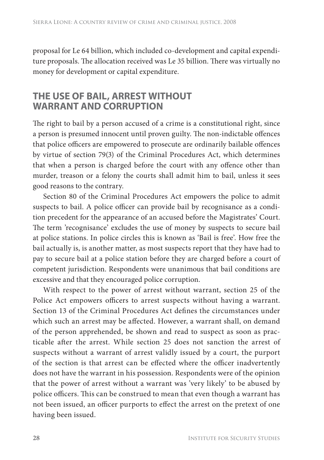proposal for Le 64 billion, which included co-development and capital expenditure proposals. The allocation received was Le 35 billion. There was virtually no money for development or capital expenditure.

#### **THE USE OF BAIL, ARREST WITHOUT WARRANT AND CORRUPTION**

The right to bail by a person accused of a crime is a constitutional right, since a person is presumed innocent until proven guilty. The non-indictable offences that police officers are empowered to prosecute are ordinarily bailable offences by virtue of section 79(3) of the Criminal Procedures Act, which determines that when a person is charged before the court with any offence other than murder, treason or a felony the courts shall admit him to bail, unless it sees good reasons to the contrary.

Section 80 of the Criminal Procedures Act empowers the police to admit suspects to bail. A police officer can provide bail by recognisance as a condition precedent for the appearance of an accused before the Magistrates' Court. The term 'recognisance' excludes the use of money by suspects to secure bail at police stations. In police circles this is known as 'Bail is free'. How free the bail actually is, is another matter, as most suspects report that they have had to pay to secure bail at a police station before they are charged before a court of competent jurisdiction. Respondents were unanimous that bail conditions are excessive and that they encouraged police corruption.

With respect to the power of arrest without warrant, section 25 of the Police Act empowers officers to arrest suspects without having a warrant. Section 13 of the Criminal Procedures Act defines the circumstances under which such an arrest may be affected. However, a warrant shall, on demand of the person apprehended, be shown and read to suspect as soon as practicable after the arrest. While section 25 does not sanction the arrest of suspects without a warrant of arrest validly issued by a court, the purport of the section is that arrest can be effected where the officer inadvertently does not have the warrant in his possession. Respondents were of the opinion that the power of arrest without a warrant was 'very likely' to be abused by police officers. This can be construed to mean that even though a warrant has not been issued, an officer purports to effect the arrest on the pretext of one having been issued.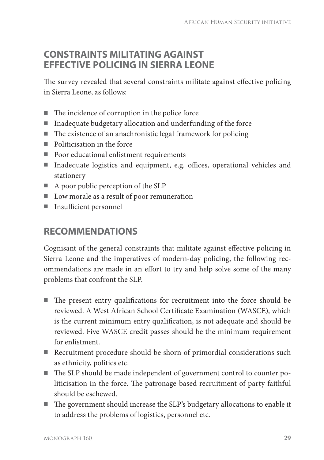#### **CONSTRAINTS MILITATING AGAINST EFFECTIVE POLICING IN SIERRA LEONE**

The survey revealed that several constraints militate against effective policing in Sierra Leone, as follows:

- $\blacksquare$  The incidence of corruption in the police force
- Inadequate budgetary allocation and underfunding of the force
- $\blacksquare$  The existence of an anachronistic legal framework for policing
- Politicisation in the force
- Poor educational enlistment requirements
- Inadequate logistics and equipment, e.g. offices, operational vehicles and stationery
- A poor public perception of the SLP
- Low morale as a result of poor remuneration
- Insufficient personnel

## **RECOMMENDATIONS**

Cognisant of the general constraints that militate against effective policing in Sierra Leone and the imperatives of modern-day policing, the following recommendations are made in an effort to try and help solve some of the many problems that confront the SLP.

- $\blacksquare$  The present entry qualifications for recruitment into the force should be reviewed. A West African School Certificate Examination (WASCE), which is the current minimum entry qualification, is not adequate and should be reviewed. Five WASCE credit passes should be the minimum requirement for enlistment.
- Recruitment procedure should be shorn of primordial considerations such as ethnicity, politics etc.
- The SLP should be made independent of government control to counter politicisation in the force. The patronage-based recruitment of party faithful should be eschewed.
- The government should increase the SLP's budgetary allocations to enable it to address the problems of logistics, personnel etc.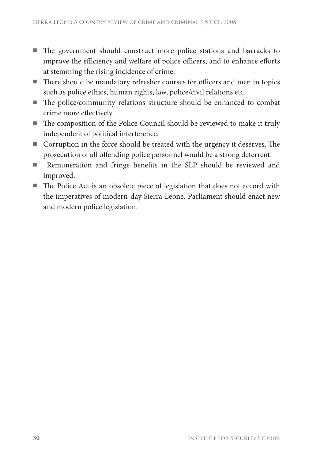- The government should construct more police stations and barracks to improve the efficiency and welfare of police officers, and to enhance efforts at stemming the rising incidence of crime.
- $\blacksquare$  There should be mandatory refresher courses for officers and men in topics such as police ethics, human rights, law, police/civil relations etc.
- $\blacksquare$  The police/community relations structure should be enhanced to combat crime more effectively.
- The composition of the Police Council should be reviewed to make it truly independent of political interference.
- $\blacksquare$  Corruption in the force should be treated with the urgency it deserves. The prosecution of all offending police personnel would be a strong deterrent.
- Remuneration and fringe benefits in the SLP should be reviewed and improved.
- $\blacksquare$  The Police Act is an obsolete piece of legislation that does not accord with the imperatives of modern-day Sierra Leone. Parliament should enact new and modern police legislation.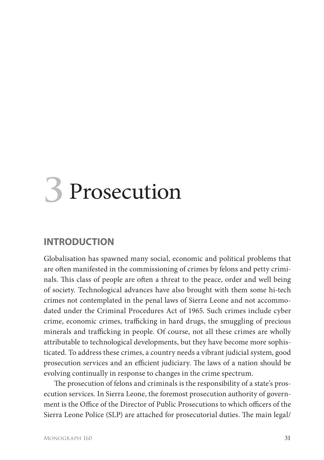# **3** Prosecution

#### **INTRODUCTION**

Globalisation has spawned many social, economic and political problems that are often manifested in the commissioning of crimes by felons and petty criminals. This class of people are often a threat to the peace, order and well being of society. Technological advances have also brought with them some hi-tech crimes not contemplated in the penal laws of Sierra Leone and not accommodated under the Criminal Procedures Act of 1965. Such crimes include cyber crime, economic crimes, trafficking in hard drugs, the smuggling of precious minerals and trafficking in people. Of course, not all these crimes are wholly attributable to technological developments, but they have become more sophisticated. To address these crimes, a country needs a vibrant judicial system, good prosecution services and an efficient judiciary. The laws of a nation should be evolving continually in response to changes in the crime spectrum.

The prosecution of felons and criminals is the responsibility of a state's prosecution services. In Sierra Leone, the foremost prosecution authority of government is the Office of the Director of Public Prosecutions to which officers of the Sierra Leone Police (SLP) are attached for prosecutorial duties. The main legal/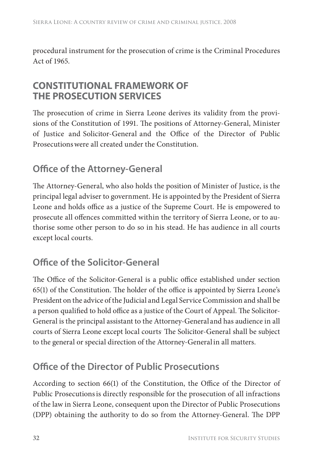procedural instrument for the prosecution of crime is the Criminal Procedures Act of 1965.

#### **CONSTITUTIONAL FRAMEWORK OF THE PROSECUTION SERVICES**

The prosecution of crime in Sierra Leone derives its validity from the provisions of the Constitution of 1991. The positions of Attorney-General, Minister of Justice and Solicitor-General and the Office of the Director of Public Prosecutionswere all created under the Constitution.

# **Office of the Attorney-General**

The Attorney-General, who also holds the position of Minister of Justice, is the principal legal adviser to government. He is appointed by the President of Sierra Leone and holds office as a justice of the Supreme Court. He is empowered to prosecute all offences committed within the territory of Sierra Leone, or to authorise some other person to do so in his stead. He has audience in all courts except local courts.

# **Office of the Solicitor-General**

The Office of the Solicitor-General is a public office established under section  $65(1)$  of the Constitution. The holder of the office is appointed by Sierra Leone's President on the advice of the Judicial and Legal Service Commission and shall be a person qualified to hold office as a justice of the Court of Appeal. The Solicitor-General is the principal assistant to the Attorney-General and has audience in all courts of Sierra Leone except local courts<sup>.</sup> The Solicitor-General shall be subject to the general or special direction of the Attorney-Generalin all matters.

# **Office of the Director of Public Prosecutions**

According to section  $66(1)$  of the Constitution, the Office of the Director of Public Prosecutionsis directly responsible for the prosecution of all infractions of the law in Sierra Leone, consequent upon the Director of Public Prosecutions (DPP) obtaining the authority to do so from the Attorney-General. The DPP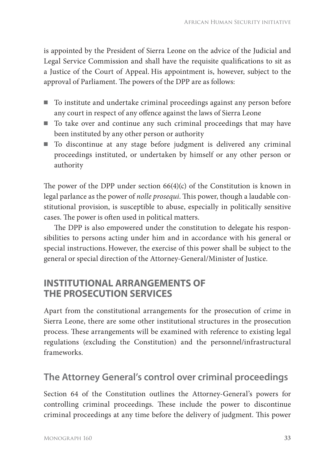is appointed by the President of Sierra Leone on the advice of the Judicial and Legal Service Commission and shall have the requisite qualifications to sit as a Justice of the Court of Appeal. His appointment is, however, subject to the approval of Parliament. The powers of the DPP are as follows:

- To institute and undertake criminal proceedings against any person before any court in respect of any offence against the laws of Sierra Leone
- To take over and continue any such criminal proceedings that may have been instituted by any other person or authority
- To discontinue at any stage before judgment is delivered any criminal proceedings instituted, or undertaken by himself or any other person or authority

The power of the DPP under section  $66(4)(c)$  of the Constitution is known in legal parlance as the power of *nolle prosequi*. This power, though a laudable constitutional provision, is susceptible to abuse, especially in politically sensitive cases. The power is often used in political matters.

The DPP is also empowered under the constitution to delegate his responsibilities to persons acting under him and in accordance with his general or special instructions. However, the exercise of this power shall be subject to the general or special direction of the Attorney-General/Minister of Justice.

#### **INSTITUTIONAL ARRANGEMENTS OF THE PROSECUTION SERVICES**

Apart from the constitutional arrangements for the prosecution of crime in Sierra Leone, there are some other institutional structures in the prosecution process. These arrangements will be examined with reference to existing legal regulations (excluding the Constitution) and the personnel/infrastructural frameworks.

### **The Attorney General's control over criminal proceedings**

Section 64 of the Constitution outlines the Attorney-General's powers for controlling criminal proceedings. These include the power to discontinue criminal proceedings at any time before the delivery of judgment. This power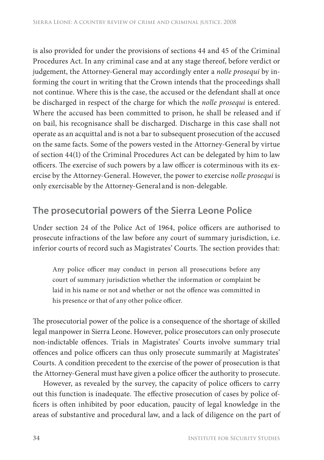is also provided for under the provisions of sections 44 and 45 of the Criminal Procedures Act. In any criminal case and at any stage thereof, before verdict or judgement, the Attorney-General may accordingly enter a *nolle prosequi* by informing the court in writing that the Crown intends that the proceedings shall not continue. Where this is the case, the accused or the defendant shall at once be discharged in respect of the charge for which the *nolle prosequi* is entered. Where the accused has been committed to prison, he shall be released and if on bail, his recognisance shall be discharged. Discharge in this case shall not operate as an acquittal and is not a bar to subsequent prosecution of the accused on the same facts. Some of the powers vested in the Attorney-General by virtue of section 44(1) of the Criminal Procedures Act can be delegated by him to law officers. The exercise of such powers by a law officer is coterminous with its exercise by the Attorney-General. However, the power to exercise *nolle prosequi* is only exercisable by the Attorney-General and is non-delegable.

#### **The prosecutorial powers of the Sierra Leone Police**

Under section 24 of the Police Act of 1964, police officers are authorised to prosecute infractions of the law before any court of summary jurisdiction, i.e. inferior courts of record such as Magistrates' Courts. The section provides that:

Any police officer may conduct in person all prosecutions before any court of summary jurisdiction whether the information or complaint be laid in his name or not and whether or not the offence was committed in his presence or that of any other police officer.

The prosecutorial power of the police is a consequence of the shortage of skilled legal manpower in Sierra Leone. However, police prosecutors can only prosecute non-indictable offences. Trials in Magistrates' Courts involve summary trial offences and police officers can thus only prosecute summarily at Magistrates' Courts. A condition precedent to the exercise of the power of prosecution is that the Attorney-General must have given a police officer the authority to prosecute.

However, as revealed by the survey, the capacity of police officers to carry out this function is inadequate. The effective prosecution of cases by police officers is often inhibited by poor education, paucity of legal knowledge in the areas of substantive and procedural law, and a lack of diligence on the part of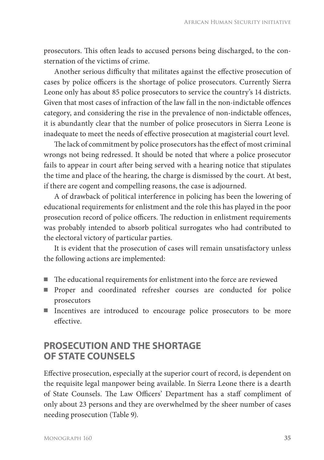prosecutors. This often leads to accused persons being discharged, to the consternation of the victims of crime.

Another serious difficulty that militates against the effective prosecution of cases by police officers is the shortage of police prosecutors. Currently Sierra Leone only has about 85 police prosecutors to service the country's 14 districts. Given that most cases of infraction of the law fall in the non-indictable offences category, and considering the rise in the prevalence of non-indictable offences, it is abundantly clear that the number of police prosecutors in Sierra Leone is inadequate to meet the needs of effective prosecution at magisterial court level.

The lack of commitment by police prosecutors has the effect of most criminal wrongs not being redressed. It should be noted that where a police prosecutor fails to appear in court after being served with a hearing notice that stipulates the time and place of the hearing, the charge is dismissed by the court. At best, if there are cogent and compelling reasons, the case is adjourned.

A of drawback of political interference in policing has been the lowering of educational requirements for enlistment and the role this has played in the poor prosecution record of police officers. The reduction in enlistment requirements was probably intended to absorb political surrogates who had contributed to the electoral victory of particular parties.

It is evident that the prosecution of cases will remain unsatisfactory unless the following actions are implemented:

- $\blacksquare$  The educational requirements for enlistment into the force are reviewed
- Proper and coordinated refresher courses are conducted for police prosecutors
- Incentives are introduced to encourage police prosecutors to be more effective.

### **PROSECUTION AND THE SHORTAGE OF STATE COUNSELS**

Effective prosecution, especially at the superior court of record, is dependent on the requisite legal manpower being available. In Sierra Leone there is a dearth of State Counsels. The Law Officers' Department has a staff compliment of only about 23 persons and they are overwhelmed by the sheer number of cases needing prosecution (Table 9).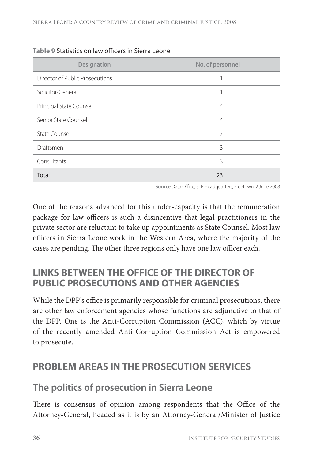| Designation                     | No. of personnel |
|---------------------------------|------------------|
| Director of Public Prosecutions |                  |
| Solicitor-General               |                  |
| Principal State Counsel         | $\overline{4}$   |
| Senior State Counsel            | $\overline{4}$   |
| State Counsel                   | 7                |
| Draftsmen                       | 3                |
| Consultants                     | 3                |
| Total                           | 23               |

#### **Table 9 Statistics on law officers in Sierra Leone**

Source Data Office, SLP Headquarters, Freetown, 2 June 2008

One of the reasons advanced for this under-capacity is that the remuneration package for law officers is such a disincentive that legal practitioners in the private sector are reluctant to take up appointments as State Counsel. Most law officers in Sierra Leone work in the Western Area, where the majority of the cases are pending. The other three regions only have one law officer each.

#### **LINKS BETWEEN THE OFFICE OF THE DIRECTOR OF PUBLIC PROSECUTIONS AND OTHER AGENCIES**

While the DPP's office is primarily responsible for criminal prosecutions, there are other law enforcement agencies whose functions are adjunctive to that of the DPP. One is the Anti-Corruption Commission (ACC), which by virtue of the recently amended Anti-Corruption Commission Act is empowered to prosecute.

### **PROBLEM AREAS IN THE PROSECUTION SERVICES**

#### **The politics of prosecution in Sierra Leone**

There is consensus of opinion among respondents that the Office of the Attorney-General, headed as it is by an Attorney-General/Minister of Justice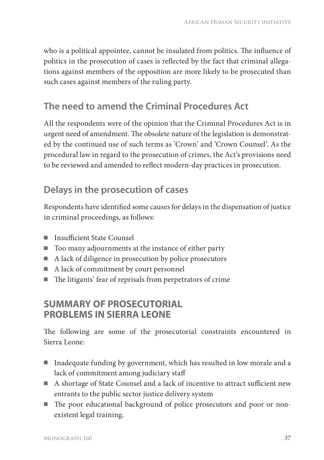who is a political appointee, cannot be insulated from politics. The influence of politics in the prosecution of cases is reflected by the fact that criminal allegations against members of the opposition are more likely to be prosecuted than such cases against members of the ruling party.

# **The need to amend the Criminal Procedures Act**

All the respondents were of the opinion that the Criminal Procedures Act is in urgent need of amendment. The obsolete nature of the legislation is demonstrated by the continued use of such terms as 'Crown' and 'Crown Counsel'. As the procedural law in regard to the prosecution of crimes, the Act's provisions need to be reviewed and amended to reflect modern-day practices in prosecution.

# **Delays in the prosecution of cases**

Respondents have identified some causes for delays in the dispensation of justice in criminal proceedings, as follows:

- Insufficient State Counsel
- Too many adjournments at the instance of either party
- A lack of diligence in prosecution by police prosecutors
- A lack of commitment by court personnel
- $\blacksquare$  The litigants' fear of reprisals from perpetrators of crime

#### **SUMMARY OF PROSECUTORIAL PROBLEMS IN SIERRA LEONE**

The following are some of the prosecutorial constraints encountered in Sierra Leone:

- Inadequate funding by government, which has resulted in low morale and a lack of commitment among judiciary staff
- A shortage of State Counsel and a lack of incentive to attract sufficient new entrants to the public sector justice delivery system
- The poor educational background of police prosecutors and poor or nonexistent legal training.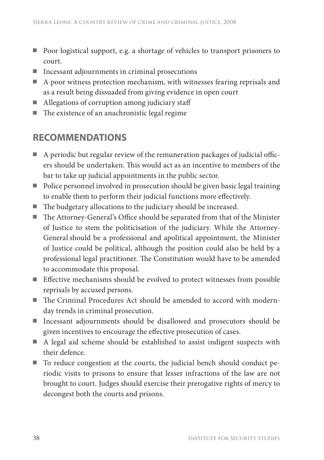- Poor logistical support, e.g. a shortage of vehicles to transport prisoners to court.
- Incessant adjournments in criminal prosecutions
- A poor witness protection mechanism, with witnesses fearing reprisals and as a result being dissuaded from giving evidence in open court
- Allegations of corruption among judiciary staff
- $\blacksquare$  The existence of an anachronistic legal regime

## **RECOMMENDATIONS**

- $\blacksquare$  A periodic but regular review of the remuneration packages of judicial officers should be undertaken. This would act as an incentive to members of the bar to take up judicial appointments in the public sector.
- Police personnel involved in prosecution should be given basic legal training to enable them to perform their judicial functions more effectively.
- $\blacksquare$  The budgetary allocations to the judiciary should be increased.
- The Attorney-General's Office should be separated from that of the Minister of Justice to stem the politicisation of the judiciary. While the Attorney-General should be a professional and apolitical appointment, the Minister of Justice could be political, although the position could also be held by a professional legal practitioner. The Constitution would have to be amended to accommodate this proposal.
- Effective mechanisms should be evolved to protect witnesses from possible reprisals by accused persons.
- The Criminal Procedures Act should be amended to accord with modernday trends in criminal prosecution.
- Incessant adjournments should be disallowed and prosecutors should be given incentives to encourage the effective prosecution of cases.
- A legal aid scheme should be established to assist indigent suspects with their defence.
- To reduce congestion at the courts, the judicial bench should conduct periodic visits to prisons to ensure that lesser infractions of the law are not brought to court. Judges should exercise their prerogative rights of mercy to decongest both the courts and prisons.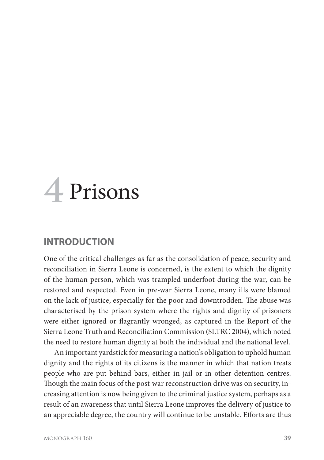# **4** Prisons

#### **INTRODUCTION**

One of the critical challenges as far as the consolidation of peace, security and reconciliation in Sierra Leone is concerned, is the extent to which the dignity of the human person, which was trampled underfoot during the war, can be restored and respected. Even in pre-war Sierra Leone, many ills were blamed on the lack of justice, especially for the poor and downtrodden. The abuse was characterised by the prison system where the rights and dignity of prisoners were either ignored or flagrantly wronged, as captured in the Report of the Sierra Leone Truth and Reconciliation Commission (SLTRC 2004), which noted the need to restore human dignity at both the individual and the national level.

An important yardstick for measuring a nation's obligation to uphold human dignity and the rights of its citizens is the manner in which that nation treats people who are put behind bars, either in jail or in other detention centres. Though the main focus of the post-war reconstruction drive was on security, increasing attention is now being given to the criminal justice system, perhaps as a result of an awareness that until Sierra Leone improves the delivery of justice to an appreciable degree, the country will continue to be unstable. Efforts are thus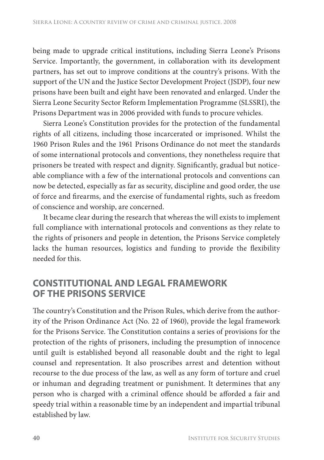being made to upgrade critical institutions, including Sierra Leone's Prisons Service. Importantly, the government, in collaboration with its development partners, has set out to improve conditions at the country's prisons. With the support of the UN and the Justice Sector Development Project (JSDP), four new prisons have been built and eight have been renovated and enlarged. Under the Sierra Leone Security Sector Reform Implementation Programme (SLSSRI), the Prisons Department was in 2006 provided with funds to procure vehicles.

Sierra Leone's Constitution provides for the protection of the fundamental rights of all citizens, including those incarcerated or imprisoned. Whilst the 1960 Prison Rules and the 1961 Prisons Ordinance do not meet the standards of some international protocols and conventions, they nonetheless require that prisoners be treated with respect and dignity. Significantly, gradual but noticeable compliance with a few of the international protocols and conventions can now be detected, especially as far as security, discipline and good order, the use of force and firearms, and the exercise of fundamental rights, such as freedom of conscience and worship, are concerned.

It became clear during the research that whereas the will exists to implement full compliance with international protocols and conventions as they relate to the rights of prisoners and people in detention, the Prisons Service completely lacks the human resources, logistics and funding to provide the flexibility needed for this.

#### **CONSTITUTIONAL AND LEGAL FRAMEWORK OF THE PRISONS SERVICE**

The country's Constitution and the Prison Rules, which derive from the authority of the Prison Ordinance Act (No. 22 of 1960), provide the legal framework for the Prisons Service. The Constitution contains a series of provisions for the protection of the rights of prisoners, including the presumption of innocence until guilt is established beyond all reasonable doubt and the right to legal counsel and representation. It also proscribes arrest and detention without recourse to the due process of the law, as well as any form of torture and cruel or inhuman and degrading treatment or punishment. It determines that any person who is charged with a criminal offence should be afforded a fair and speedy trial within a reasonable time by an independent and impartial tribunal established by law.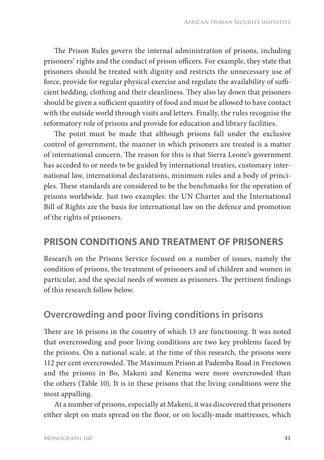The Prison Rules govern the internal administration of prisons, including prisoners' rights and the conduct of prison officers. For example, they state that prisoners should be treated with dignity and restricts the unnecessary use of force, provide for regular physical exercise and regulate the availability of sufficient bedding, clothing and their cleanliness. They also lay down that prisoners should be given a sufficient quantity of food and must be allowed to have contact with the outside world through visits and letters. Finally, the rules recognise the reformatory role of prisons and provide for education and library facilities.

The point must be made that although prisons fall under the exclusive control of government, the manner in which prisoners are treated is a matter of international concern. The reason for this is that Sierra Leone's government has acceded to or needs to be guided by international treaties, customary international law, international declarations, minimum rules and a body of principles. These standards are considered to be the benchmarks for the operation of prisons worldwide. Just two examples: the UN Charter and the International Bill of Rights are the basis for international law on the defence and promotion of the rights of prisoners.

#### **PRISON CONDITIONS AND TREATMENT OF PRISONERS**

Research on the Prisons Service focused on a number of issues, namely the condition of prisons, the treatment of prisoners and of children and women in particular, and the special needs of women as prisoners. The pertinent findings of this research follow below.

#### **Overcrowding and poor living conditions in prisons**

There are 16 prisons in the country of which 13 are functioning. It was noted that overcrowding and poor living conditions are two key problems faced by the prisons. On a national scale, at the time of this research, the prisons were 112 per cent overcrowded. The Maximum Prison at Pademba Road in Freetown and the prisons in Bo, Makeni and Kenema were more overcrowded than the others (Table 10). It is in these prisons that the living conditions were the most appalling.

At a number of prisons, especially at Makeni, it was discovered that prisoners either slept on mats spread on the floor, or on locally-made mattresses, which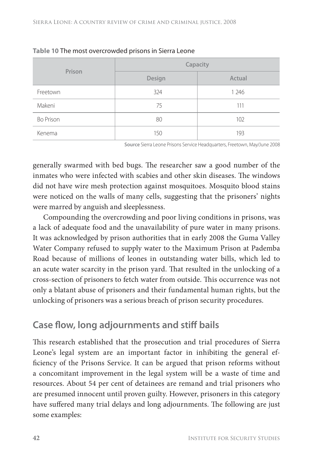| Prison           | Capacity |         |  |  |
|------------------|----------|---------|--|--|
|                  | Design   | Actual  |  |  |
| Freetown         | 324      | 1 2 4 6 |  |  |
| Makeni           | 75       | 111     |  |  |
| <b>Bo Prison</b> | 80       | 102     |  |  |
| Kenema           | 150      | 193     |  |  |

|  |  | Table 10 The most overcrowded prisons in Sierra Leone |  |  |  |  |
|--|--|-------------------------------------------------------|--|--|--|--|
|--|--|-------------------------------------------------------|--|--|--|--|

**Source** Sierra Leone Prisons Service Headquarters, Freetown, May/June 2008

generally swarmed with bed bugs. The researcher saw a good number of the inmates who were infected with scabies and other skin diseases. The windows did not have wire mesh protection against mosquitoes. Mosquito blood stains were noticed on the walls of many cells, suggesting that the prisoners' nights were marred by anguish and sleeplessness.

Compounding the overcrowding and poor living conditions in prisons, was a lack of adequate food and the unavailability of pure water in many prisons. It was acknowledged by prison authorities that in early 2008 the Guma Valley Water Company refused to supply water to the Maximum Prison at Pademba Road because of millions of leones in outstanding water bills, which led to an acute water scarcity in the prison yard. That resulted in the unlocking of a cross-section of prisoners to fetch water from outside. This occurrence was not only a blatant abuse of prisoners and their fundamental human rights, but the unlocking of prisoners was a serious breach of prison security procedures.

### **Case flow, long adjournments and stiff bails**

This research established that the prosecution and trial procedures of Sierra Leone's legal system are an important factor in inhibiting the general efficiency of the Prisons Service. It can be argued that prison reforms without a concomitant improvement in the legal system will be a waste of time and resources. About 54 per cent of detainees are remand and trial prisoners who are presumed innocent until proven guilty. However, prisoners in this category have suffered many trial delays and long adjournments. The following are just some examples: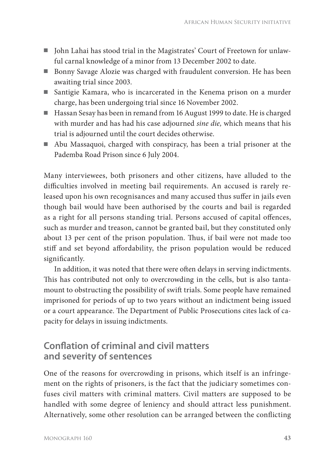- John Lahai has stood trial in the Magistrates' Court of Freetown for unlawful carnal knowledge of a minor from 13 December 2002 to date.
- Bonny Savage Alozie was charged with fraudulent conversion. He has been awaiting trial since 2003.
- Santigie Kamara, who is incarcerated in the Kenema prison on a murder charge, has been undergoing trial since 16 November 2002.
- Hassan Sesay has been in remand from 16 August 1999 to date. He is charged with murder and has had his case adjourned *sine die,* which means that his trial is adjourned until the court decides otherwise.
- Abu Massaquoi, charged with conspiracy, has been a trial prisoner at the Pademba Road Prison since 6 July 2004.

Many interviewees, both prisoners and other citizens, have alluded to the difficulties involved in meeting bail requirements. An accused is rarely released upon his own recognisances and many accused thus suffer in jails even though bail would have been authorised by the courts and bail is regarded as a right for all persons standing trial. Persons accused of capital offences, such as murder and treason, cannot be granted bail, but they constituted only about 13 per cent of the prison population. Thus, if bail were not made too stiff and set beyond affordability, the prison population would be reduced significantly.

In addition, it was noted that there were often delays in serving indictments. This has contributed not only to overcrowding in the cells, but is also tantamount to obstructing the possibility of swift trials. Some people have remained imprisoned for periods of up to two years without an indictment being issued or a court appearance. The Department of Public Prosecutions cites lack of capacity for delays in issuing indictments.

#### **Conflation of criminal and civil matters and severity of sentences**

One of the reasons for overcrowding in prisons, which itself is an infringement on the rights of prisoners, is the fact that the judiciary sometimes confuses civil matters with criminal matters. Civil matters are supposed to be handled with some degree of leniency and should attract less punishment. Alternatively, some other resolution can be arranged between the conflicting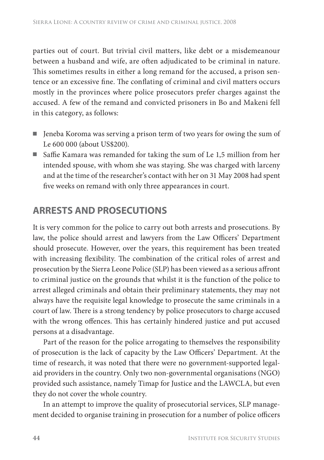parties out of court. But trivial civil matters, like debt or a misdemeanour between a husband and wife, are often adjudicated to be criminal in nature. This sometimes results in either a long remand for the accused, a prison sentence or an excessive fine. The conflating of criminal and civil matters occurs mostly in the provinces where police prosecutors prefer charges against the accused. A few of the remand and convicted prisoners in Bo and Makeni fell in this category, as follows:

- Jeneba Koroma was serving a prison term of two years for owing the sum of Le 600 000 (about US\$200).
- $\blacksquare$  Saffie Kamara was remanded for taking the sum of Le 1,5 million from her intended spouse, with whom she was staying. She was charged with larceny and at the time of the researcher's contact with her on 31 May 2008 had spent five weeks on remand with only three appearances in court.

### **ARRESTS AND PROSECUTIONS**

It is very common for the police to carry out both arrests and prosecutions. By law, the police should arrest and lawyers from the Law Officers' Department should prosecute. However, over the years, this requirement has been treated with increasing flexibility. The combination of the critical roles of arrest and prosecution by the Sierra Leone Police (SLP) has been viewed as a serious affront to criminal justice on the grounds that whilst it is the function of the police to arrest alleged criminals and obtain their preliminary statements, they may not always have the requisite legal knowledge to prosecute the same criminals in a court of law. There is a strong tendency by police prosecutors to charge accused with the wrong offences. This has certainly hindered justice and put accused persons at a disadvantage.

Part of the reason for the police arrogating to themselves the responsibility of prosecution is the lack of capacity by the Law Officers' Department. At the time of research, it was noted that there were no government-supported legalaid providers in the country. Only two non-governmental organisations (NGO) provided such assistance, namely Timap for Justice and the LAWCLA, but even they do not cover the whole country.

In an attempt to improve the quality of prosecutorial services, SLP management decided to organise training in prosecution for a number of police officers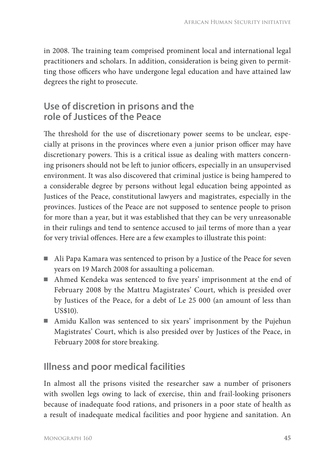in 2008. The training team comprised prominent local and international legal practitioners and scholars. In addition, consideration is being given to permitting those officers who have undergone legal education and have attained law degrees the right to prosecute.

#### **Use of discretion in prisons and the role of Justices of the Peace**

The threshold for the use of discretionary power seems to be unclear, especially at prisons in the provinces where even a junior prison officer may have discretionary powers. This is a critical issue as dealing with matters concerning prisoners should not be left to junior officers, especially in an unsupervised environment. It was also discovered that criminal justice is being hampered to a considerable degree by persons without legal education being appointed as Justices of the Peace, constitutional lawyers and magistrates, especially in the provinces. Justices of the Peace are not supposed to sentence people to prison for more than a year, but it was established that they can be very unreasonable in their rulings and tend to sentence accused to jail terms of more than a year for very trivial offences. Here are a few examples to illustrate this point:

- Ali Papa Kamara was sentenced to prison by a Justice of the Peace for seven years on 19 March 2008 for assaulting a policeman.
- Ahmed Kendeka was sentenced to five years' imprisonment at the end of February 2008 by the Mattru Magistrates' Court, which is presided over by Justices of the Peace, for a debt of Le 25 000 (an amount of less than US\$10).
- Amidu Kallon was sentenced to six years' imprisonment by the Pujehun Magistrates' Court, which is also presided over by Justices of the Peace, in February 2008 for store breaking.

# **Illness and poor medical facilities**

In almost all the prisons visited the researcher saw a number of prisoners with swollen legs owing to lack of exercise, thin and frail-looking prisoners because of inadequate food rations, and prisoners in a poor state of health as a result of inadequate medical facilities and poor hygiene and sanitation. An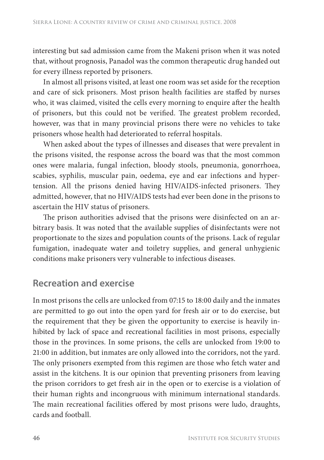interesting but sad admission came from the Makeni prison when it was noted that, without prognosis, Panadol was the common therapeutic drug handed out for every illness reported by prisoners.

In almost all prisons visited, at least one room was set aside for the reception and care of sick prisoners. Most prison health facilities are staffed by nurses who, it was claimed, visited the cells every morning to enquire after the health of prisoners, but this could not be verified. The greatest problem recorded, however, was that in many provincial prisons there were no vehicles to take prisoners whose health had deteriorated to referral hospitals.

When asked about the types of illnesses and diseases that were prevalent in the prisons visited, the response across the board was that the most common ones were malaria, fungal infection, bloody stools, pneumonia, gonorrhoea, scabies, syphilis, muscular pain, oedema, eye and ear infections and hypertension. All the prisons denied having HIV/AIDS-infected prisoners. They admitted, however, that no HIV/AIDS tests had ever been done in the prisons to ascertain the HIV status of prisoners.

The prison authorities advised that the prisons were disinfected on an arbitrary basis. It was noted that the available supplies of disinfectants were not proportionate to the sizes and population counts of the prisons. Lack of regular fumigation, inadequate water and toiletry supplies, and general unhygienic conditions make prisoners very vulnerable to infectious diseases.

### **Recreation and exercise**

In most prisons the cells are unlocked from 07:15 to 18:00 daily and the inmates are permitted to go out into the open yard for fresh air or to do exercise, but the requirement that they be given the opportunity to exercise is heavily inhibited by lack of space and recreational facilities in most prisons, especially those in the provinces. In some prisons, the cells are unlocked from 19:00 to 21:00 in addition, but inmates are only allowed into the corridors, not the yard. The only prisoners exempted from this regimen are those who fetch water and assist in the kitchens. It is our opinion that preventing prisoners from leaving the prison corridors to get fresh air in the open or to exercise is a violation of their human rights and incongruous with minimum international standards. The main recreational facilities offered by most prisons were ludo, draughts, cards and football.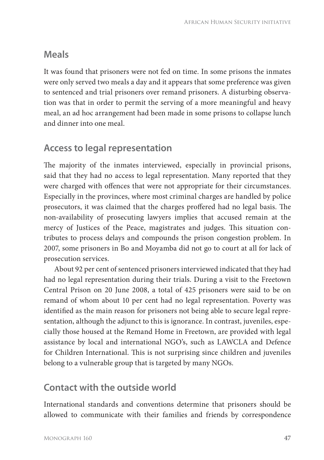### **Meals**

It was found that prisoners were not fed on time. In some prisons the inmates were only served two meals a day and it appears that some preference was given to sentenced and trial prisoners over remand prisoners. A disturbing observation was that in order to permit the serving of a more meaningful and heavy meal, an ad hoc arrangement had been made in some prisons to collapse lunch and dinner into one meal.

### **Access to legal representation**

The majority of the inmates interviewed, especially in provincial prisons, said that they had no access to legal representation. Many reported that they were charged with offences that were not appropriate for their circumstances. Especially in the provinces, where most criminal charges are handled by police prosecutors, it was claimed that the charges proffered had no legal basis. The non-availability of prosecuting lawyers implies that accused remain at the mercy of Justices of the Peace, magistrates and judges. This situation contributes to process delays and compounds the prison congestion problem. In 2007, some prisoners in Bo and Moyamba did not go to court at all for lack of prosecution services.

About 92 per cent of sentenced prisoners interviewed indicated that they had had no legal representation during their trials. During a visit to the Freetown Central Prison on 20 June 2008, a total of 425 prisoners were said to be on remand of whom about 10 per cent had no legal representation. Poverty was identified as the main reason for prisoners not being able to secure legal representation, although the adjunct to this is ignorance. In contrast, juveniles, especially those housed at the Remand Home in Freetown, are provided with legal assistance by local and international NGO's, such as LAWCLA and Defence for Children International. This is not surprising since children and juveniles belong to a vulnerable group that is targeted by many NGOs.

### **Contact with the outside world**

International standards and conventions determine that prisoners should be allowed to communicate with their families and friends by correspondence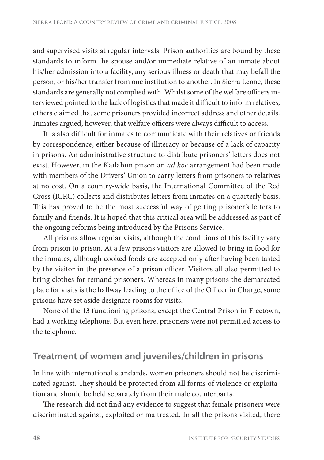and supervised visits at regular intervals. Prison authorities are bound by these standards to inform the spouse and/or immediate relative of an inmate about his/her admission into a facility, any serious illness or death that may befall the person, or his/her transfer from one institution to another. In Sierra Leone, these standards are generally not complied with. Whilst some of the welfare officers interviewed pointed to the lack of logistics that made it difficult to inform relatives, others claimed that some prisoners provided incorrect address and other details. Inmates argued, however, that welfare officers were always difficult to access.

It is also difficult for inmates to communicate with their relatives or friends by correspondence, either because of illiteracy or because of a lack of capacity in prisons. An administrative structure to distribute prisoners' letters does not exist. However, in the Kailahun prison an *ad hoc* arrangement had been made with members of the Drivers' Union to carry letters from prisoners to relatives at no cost. On a country-wide basis, the International Committee of the Red Cross (ICRC) collects and distributes letters from inmates on a quarterly basis. This has proved to be the most successful way of getting prisoner's letters to family and friends. It is hoped that this critical area will be addressed as part of the ongoing reforms being introduced by the Prisons Service.

All prisons allow regular visits, although the conditions of this facility vary from prison to prison. At a few prisons visitors are allowed to bring in food for the inmates, although cooked foods are accepted only after having been tasted by the visitor in the presence of a prison officer. Visitors all also permitted to bring clothes for remand prisoners. Whereas in many prisons the demarcated place for visits is the hallway leading to the office of the Officer in Charge, some prisons have set aside designate rooms for visits.

None of the 13 functioning prisons, except the Central Prison in Freetown, had a working telephone. But even here, prisoners were not permitted access to the telephone.

#### **Treatment of women and juveniles/children in prisons**

In line with international standards, women prisoners should not be discriminated against. They should be protected from all forms of violence or exploitation and should be held separately from their male counterparts.

The research did not find any evidence to suggest that female prisoners were discriminated against, exploited or maltreated. In all the prisons visited, there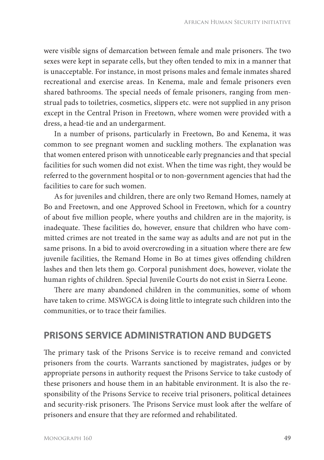were visible signs of demarcation between female and male prisoners. The two sexes were kept in separate cells, but they often tended to mix in a manner that is unacceptable. For instance, in most prisons males and female inmates shared recreational and exercise areas. In Kenema, male and female prisoners even shared bathrooms. The special needs of female prisoners, ranging from menstrual pads to toiletries, cosmetics, slippers etc. were not supplied in any prison except in the Central Prison in Freetown, where women were provided with a dress, a head-tie and an undergarment.

In a number of prisons, particularly in Freetown, Bo and Kenema, it was common to see pregnant women and suckling mothers. The explanation was that women entered prison with unnoticeable early pregnancies and that special facilities for such women did not exist. When the time was right, they would be referred to the government hospital or to non-government agencies that had the facilities to care for such women.

As for juveniles and children, there are only two Remand Homes, namely at Bo and Freetown, and one Approved School in Freetown, which for a country of about five million people, where youths and children are in the majority, is inadequate. These facilities do, however, ensure that children who have committed crimes are not treated in the same way as adults and are not put in the same prisons. In a bid to avoid overcrowding in a situation where there are few juvenile facilities, the Remand Home in Bo at times gives offending children lashes and then lets them go. Corporal punishment does, however, violate the human rights of children. Special Juvenile Courts do not exist in Sierra Leone.

There are many abandoned children in the communities, some of whom have taken to crime. MSWGCA is doing little to integrate such children into the communities, or to trace their families.

#### **PRISONS SERVICE ADMINISTRATION AND BUDGETS**

The primary task of the Prisons Service is to receive remand and convicted prisoners from the courts. Warrants sanctioned by magistrates, judges or by appropriate persons in authority request the Prisons Service to take custody of these prisoners and house them in an habitable environment. It is also the responsibility of the Prisons Service to receive trial prisoners, political detainees and security-risk prisoners. The Prisons Service must look after the welfare of prisoners and ensure that they are reformed and rehabilitated.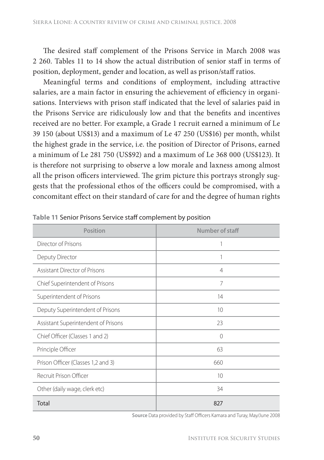The desired staff complement of the Prisons Service in March 2008 was 2 260. Tables 11 to 14 show the actual distribution of senior staff in terms of position, deployment, gender and location, as well as prison/staff ratios.

Meaningful terms and conditions of employment, including attractive salaries, are a main factor in ensuring the achievement of efficiency in organisations. Interviews with prison staff indicated that the level of salaries paid in the Prisons Service are ridiculously low and that the benefits and incentives received are no better. For example, a Grade 1 recruit earned a minimum of Le 39 150 (about US\$13) and a maximum of Le 47 250 (US\$16) per month, whilst the highest grade in the service, i.e. the position of Director of Prisons, earned a minimum of Le 281 750 (US\$92) and a maximum of Le 368 000 (US\$123). It is therefore not surprising to observe a low morale and laxness among almost all the prison officers interviewed. The grim picture this portrays strongly suggests that the professional ethos of the officers could be compromised, with a concomitant effect on their standard of care for and the degree of human rights

| Position                            | Number of staff |
|-------------------------------------|-----------------|
| Director of Prisons                 |                 |
| Deputy Director                     | 1               |
| Assistant Director of Prisons       | $\overline{4}$  |
| Chief Superintendent of Prisons     | 7               |
| Superintendent of Prisons           | 14              |
| Deputy Superintendent of Prisons    | 10              |
| Assistant Superintendent of Prisons | 23              |
| Chief Officer (Classes 1 and 2)     | 0               |
| Principle Officer                   | 63              |
| Prison Officer (Classes 1,2 and 3)  | 660             |
| Recruit Prison Officer              | 10              |
| Other (daily wage, clerk etc)       | 34              |
| Total                               | 827             |

**Table 11** Senior Prisons Service staff complement by position

**Source** Data provided by Staff Officers Kamara and Turay, May/June 2008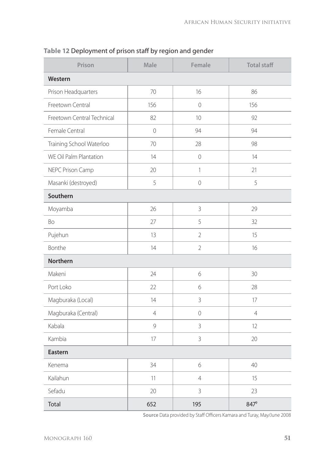| Prison                     | Male           | Female         | <b>Total staff</b> |  |  |
|----------------------------|----------------|----------------|--------------------|--|--|
| Western                    |                |                |                    |  |  |
| Prison Headquarters        | 70             | 16             | 86                 |  |  |
| Freetown Central           | 156            | $\mathbf 0$    | 156                |  |  |
| Freetown Central Technical | 82             | 10             | 92                 |  |  |
| Female Central             | $\overline{0}$ | 94             | 94                 |  |  |
| Training School Waterloo   | 70             | 28             | 98                 |  |  |
| WE Oil Palm Plantation     | 14             | $\overline{0}$ | 14                 |  |  |
| NEPC Prison Camp           | 20             | 1              | 21                 |  |  |
| Masanki (destroyed)        | 5              | $\overline{0}$ | 5                  |  |  |
| Southern                   |                |                |                    |  |  |
| Moyamba                    | 26             | 3              | 29                 |  |  |
| Bo                         | 27             | 5              | 32                 |  |  |
| Pujehun                    | 13             | $\overline{2}$ | 15                 |  |  |
| Bonthe                     | 14             | $\overline{2}$ | 16                 |  |  |
| <b>Northern</b>            |                |                |                    |  |  |
| Makeni                     | 24             | 6              | 30                 |  |  |
| Port Loko                  | 22             | 6              | 28                 |  |  |
| Magburaka (Local)          | 14             | 3              | 17                 |  |  |
| Magburaka (Central)        | 4              | 0              | $\overline{4}$     |  |  |
| Kabala                     | 9              | 3              | 12                 |  |  |
| Kambia                     | 17             | 3              | 20                 |  |  |
| Eastern                    |                |                |                    |  |  |
| Kenema                     | 34             | 6              | 40                 |  |  |
| Kailahun                   | 11             | $\overline{4}$ | 15                 |  |  |
| Sefadu                     | 20             | 3              | 23                 |  |  |
| Total                      | 652            | 195            | 8479               |  |  |

**Table 12** Deployment of prison staff by region and gender

Source Data provided by Staff Officers Kamara and Turay, May/June 2008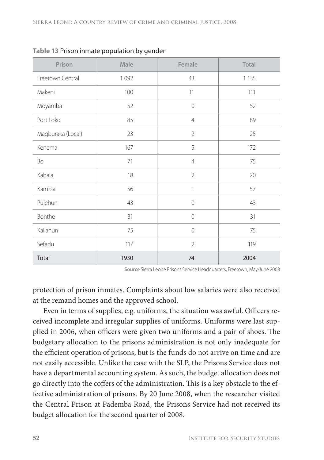| Prison            | Male | Female         | Total   |
|-------------------|------|----------------|---------|
| Freetown Central  | 1092 | 43             | 1 1 3 5 |
| Makeni            | 100  | 11             | 111     |
| Moyamba           | 52   | $\mathbf{0}$   | 52      |
| Port Loko         | 85   | $\overline{4}$ | 89      |
| Magburaka (Local) | 23   | $\overline{2}$ | 25      |
| Kenema            | 167  | 5              | 172     |
| Bo                | 71   | $\overline{4}$ | 75      |
| Kabala            | 18   | $\overline{2}$ | 20      |
| Kambia            | 56   | 1              | 57      |
| Pujehun           | 43   | 0              | 43      |
| Bonthe            | 31   | 0              | 31      |
| Kailahun          | 75   | 0              | 75      |
| Sefadu            | 117  | $\overline{2}$ | 119     |
| Total             | 1930 | 74             | 2004    |

|  |  |  | Table 13 Prison inmate population by gender |  |  |
|--|--|--|---------------------------------------------|--|--|
|--|--|--|---------------------------------------------|--|--|

**Source** Sierra Leone Prisons Service Headquarters, Freetown, May/June 2008

protection of prison inmates. Complaints about low salaries were also received at the remand homes and the approved school.

Even in terms of supplies, e.g. uniforms, the situation was awful. Officers received incomplete and irregular supplies of uniforms. Uniforms were last supplied in 2006, when officers were given two uniforms and a pair of shoes. The budgetary allocation to the prisons administration is not only inadequate for the efficient operation of prisons, but is the funds do not arrive on time and are not easily accessible. Unlike the case with the SLP, the Prisons Service does not have a departmental accounting system. As such, the budget allocation does not go directly into the coffers of the administration. This is a key obstacle to the effective administration of prisons. By 20 June 2008, when the researcher visited the Central Prison at Pademba Road, the Prisons Service had not received its budget allocation for the second quarter of 2008.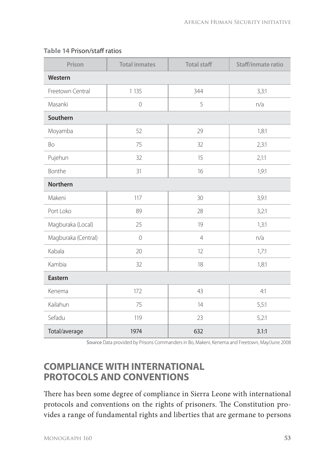| Prison              | <b>Total inmates</b> | <b>Total staff</b><br>Staff/inmate ratio |       |  |  |
|---------------------|----------------------|------------------------------------------|-------|--|--|
| Western             |                      |                                          |       |  |  |
| Freetown Central    | 1 1 3 5              | 344                                      | 3,3:1 |  |  |
| Masanki             | $\sqrt{a}$           | 5                                        | n/a   |  |  |
| Southern            |                      |                                          |       |  |  |
| Moyamba             | 52                   | 29                                       |       |  |  |
| Bo                  | 75                   | 32                                       | 2,3:1 |  |  |
| Pujehun             | 32                   | 15                                       | 2,1:1 |  |  |
| Bonthe              | 31                   | 16                                       | 1,9:1 |  |  |
| <b>Northern</b>     |                      |                                          |       |  |  |
| Makeni              | 117                  | 30                                       | 3,9:1 |  |  |
| Port Loko           | 89                   | 28                                       | 3,2:1 |  |  |
| Magburaka (Local)   | 25                   | 19                                       | 1,3:1 |  |  |
| Magburaka (Central) | $\overline{0}$       | $\overline{4}$                           | n/a   |  |  |
| Kabala              | 20                   | 12                                       | 1,7:1 |  |  |
| Kambia              | 32                   | 18                                       | 1,8:1 |  |  |
| Eastern             |                      |                                          |       |  |  |
| Kenema              | 172                  | 43<br>4:1                                |       |  |  |
| Kailahun            | 75                   | 14                                       | 5,5:1 |  |  |
| Sefadu              | 119                  | 23                                       | 5,2:1 |  |  |
| Total/average       | 1974                 | 632                                      | 3.1:1 |  |  |

#### **Table 14** Prison/staff ratios

**Source** Data provided by Prisons Commanders in Bo, Makeni, Kenema and Freetown, May/June 2008

# **COMPLIANCE WITH INTERNATIONAL PROTOCOLS AND CONVENTIONS**

There has been some degree of compliance in Sierra Leone with international protocols and conventions on the rights of prisoners. The Constitution provides a range of fundamental rights and liberties that are germane to persons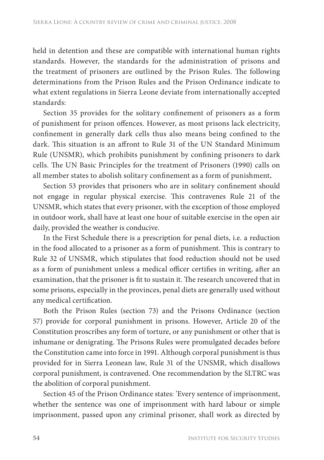held in detention and these are compatible with international human rights standards. However, the standards for the administration of prisons and the treatment of prisoners are outlined by the Prison Rules. The following determinations from the Prison Rules and the Prison Ordinance indicate to what extent regulations in Sierra Leone deviate from internationally accepted standards:

Section 35 provides for the solitary confinement of prisoners as a form of punishment for prison offences. However, as most prisons lack electricity, confinement in generally dark cells thus also means being confined to the dark. This situation is an affront to Rule 31 of the UN Standard Minimum Rule (UNSMR), which prohibits punishment by confining prisoners to dark cells. The UN Basic Principles for the treatment of Prisoners (1990) calls on all member states to abolish solitary confinement as a form of punishment.

Section 53 provides that prisoners who are in solitary confinement should not engage in regular physical exercise. This contravenes Rule 21 of the UNSMR, which states that every prisoner, with the exception of those employed in outdoor work, shall have at least one hour of suitable exercise in the open air daily, provided the weather is conducive.

In the First Schedule there is a prescription for penal diets, i.e. a reduction in the food allocated to a prisoner as a form of punishment. This is contrary to Rule 32 of UNSMR, which stipulates that food reduction should not be used as a form of punishment unless a medical officer certifies in writing, after an examination, that the prisoner is fit to sustain it. The research uncovered that in some prisons, especially in the provinces, penal diets are generally used without any medical certification.

Both the Prison Rules (section 73) and the Prisons Ordinance (section 57) provide for corporal punishment in prisons. However, Article 20 of the Constitution proscribes any form of torture, or any punishment or other that is inhumane or denigrating. The Prisons Rules were promulgated decades before the Constitution came into force in 1991. Although corporal punishment is thus provided for in Sierra Leonean law, Rule 31 of the UNSMR, which disallows corporal punishment, is contravened. One recommendation by the SLTRC was the abolition of corporal punishment.

Section 45 of the Prison Ordinance states: 'Every sentence of imprisonment, whether the sentence was one of imprisonment with hard labour or simple imprisonment, passed upon any criminal prisoner, shall work as directed by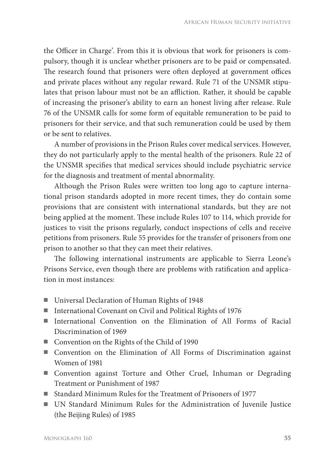the Officer in Charge'. From this it is obvious that work for prisoners is compulsory, though it is unclear whether prisoners are to be paid or compensated. The research found that prisoners were often deployed at government offices and private places without any regular reward. Rule 71 of the UNSMR stipulates that prison labour must not be an affliction. Rather, it should be capable of increasing the prisoner's ability to earn an honest living after release. Rule 76 of the UNSMR calls for some form of equitable remuneration to be paid to prisoners for their service, and that such remuneration could be used by them or be sent to relatives.

A number of provisions in the Prison Rules cover medical services. However, they do not particularly apply to the mental health of the prisoners. Rule 22 of the UNSMR specifies that medical services should include psychiatric service for the diagnosis and treatment of mental abnormality.

Although the Prison Rules were written too long ago to capture international prison standards adopted in more recent times, they do contain some provisions that are consistent with international standards, but they are not being applied at the moment. These include Rules 107 to 114, which provide for justices to visit the prisons regularly, conduct inspections of cells and receive petitions from prisoners. Rule 55 provides for the transfer of prisoners from one prison to another so that they can meet their relatives.

The following international instruments are applicable to Sierra Leone's Prisons Service, even though there are problems with ratification and application in most instances:

- Universal Declaration of Human Rights of 1948
- International Covenant on Civil and Political Rights of 1976
- International Convention on the Elimination of All Forms of Racial Discrimination of 1969
- Convention on the Rights of the Child of 1990
- Convention on the Elimination of All Forms of Discrimination against Women of 1981
- Convention against Torture and Other Cruel, Inhuman or Degrading Treatment or Punishment of 1987
- Standard Minimum Rules for the Treatment of Prisoners of 1977
- UN Standard Minimum Rules for the Administration of Juvenile Justice (the Beijing Rules) of 1985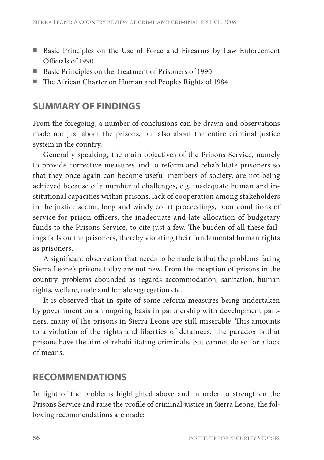- Basic Principles on the Use of Force and Firearms by Law Enforcement Officials of 1990
- Basic Principles on the Treatment of Prisoners of 1990
- The African Charter on Human and Peoples Rights of 1984

#### **SUMMARY OF FINDINGS**

From the foregoing, a number of conclusions can be drawn and observations made not just about the prisons, but also about the entire criminal justice system in the country.

Generally speaking, the main objectives of the Prisons Service, namely to provide corrective measures and to reform and rehabilitate prisoners so that they once again can become useful members of society, are not being achieved because of a number of challenges, e.g. inadequate human and institutional capacities within prisons, lack of cooperation among stakeholders in the justice sector, long and windy court proceedings, poor conditions of service for prison officers, the inadequate and late allocation of budgetary funds to the Prisons Service, to cite just a few. The burden of all these failings falls on the prisoners, thereby violating their fundamental human rights as prisoners.

A significant observation that needs to be made is that the problems facing Sierra Leone's prisons today are not new. From the inception of prisons in the country, problems abounded as regards accommodation, sanitation, human rights, welfare, male and female segregation etc.

It is observed that in spite of some reform measures being undertaken by government on an ongoing basis in partnership with development partners, many of the prisons in Sierra Leone are still miserable. This amounts to a violation of the rights and liberties of detainees. The paradox is that prisons have the aim of rehabilitating criminals, but cannot do so for a lack of means.

#### **RECOMMENDATIONS**

In light of the problems highlighted above and in order to strengthen the Prisons Service and raise the profile of criminal justice in Sierra Leone, the following recommendations are made: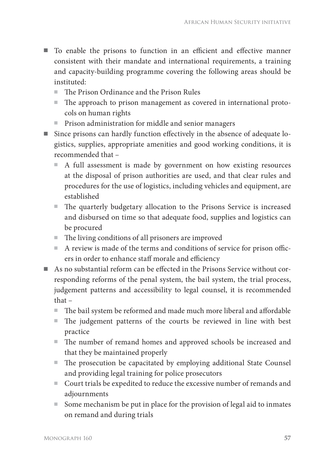- To enable the prisons to function in an efficient and effective manner consistent with their mandate and international requirements, a training and capacity-building programme covering the following areas should be instituted:
	- The Prison Ordinance and the Prison Rules
	- The approach to prison management as covered in international protocols on human rights
	- Prison administration for middle and senior managers
- $\blacksquare$  Since prisons can hardly function effectively in the absence of adequate logistics, supplies, appropriate amenities and good working conditions, it is recommended that –
	- A full assessment is made by government on how existing resources at the disposal of prison authorities are used, and that clear rules and procedures for the use of logistics, including vehicles and equipment, are established
	- The quarterly budgetary allocation to the Prisons Service is increased and disbursed on time so that adequate food, supplies and logistics can be procured
	- $\blacksquare$  The living conditions of all prisoners are improved
	- $\blacksquare$  A review is made of the terms and conditions of service for prison officers in order to enhance staff morale and efficiency
- $\blacksquare$  As no substantial reform can be effected in the Prisons Service without corresponding reforms of the penal system, the bail system, the trial process, judgement patterns and accessibility to legal counsel, it is recommended that –
	- $\blacksquare$  The bail system be reformed and made much more liberal and affordable
	- The judgement patterns of the courts be reviewed in line with best practice
	- The number of remand homes and approved schools be increased and that they be maintained properly
	- $\blacksquare$  The prosecution be capacitated by employing additional State Counsel and providing legal training for police prosecutors
	- Court trials be expedited to reduce the excessive number of remands and adjournments
	- Some mechanism be put in place for the provision of legal aid to inmates on remand and during trials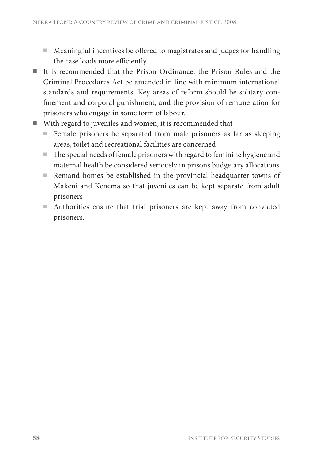- Meaningful incentives be offered to magistrates and judges for handling the case loads more efficiently
- It is recommended that the Prison Ordinance, the Prison Rules and the Criminal Procedures Act be amended in line with minimum international standards and requirements. Key areas of reform should be solitary confinement and corporal punishment, and the provision of remuneration for prisoners who engage in some form of labour.
- With regard to juveniles and women, it is recommended that
	- Female prisoners be separated from male prisoners as far as sleeping areas, toilet and recreational facilities are concerned
	- $\blacksquare$  The special needs of female prisoners with regard to feminine hygiene and maternal health be considered seriously in prisons budgetary allocations
	- Remand homes be established in the provincial headquarter towns of Makeni and Kenema so that juveniles can be kept separate from adult prisoners
	- Authorities ensure that trial prisoners are kept away from convicted prisoners.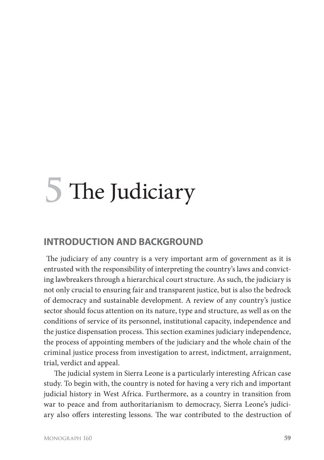# **5** The Judiciary

#### **INTRODUCTION AND BACKGROUND**

The judiciary of any country is a very important arm of government as it is entrusted with the responsibility of interpreting the country's laws and convicting lawbreakers through a hierarchical court structure. As such, the judiciary is not only crucial to ensuring fair and transparent justice, but is also the bedrock of democracy and sustainable development. A review of any country's justice sector should focus attention on its nature, type and structure, as well as on the conditions of service of its personnel, institutional capacity, independence and the justice dispensation process. This section examines judiciary independence, the process of appointing members of the judiciary and the whole chain of the criminal justice process from investigation to arrest, indictment, arraignment, trial, verdict and appeal.

The judicial system in Sierra Leone is a particularly interesting African case study. To begin with, the country is noted for having a very rich and important judicial history in West Africa. Furthermore, as a country in transition from war to peace and from authoritarianism to democracy, Sierra Leone's judiciary also offers interesting lessons. The war contributed to the destruction of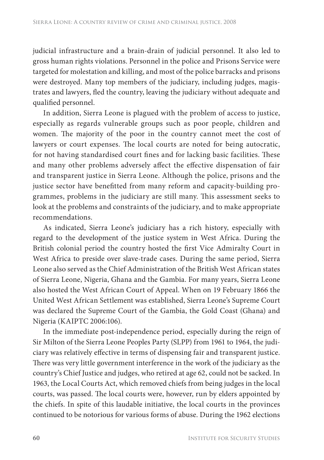judicial infrastructure and a brain-drain of judicial personnel. It also led to gross human rights violations. Personnel in the police and Prisons Service were targeted for molestation and killing, and most of the police barracks and prisons were destroyed. Many top members of the judiciary, including judges, magistrates and lawyers, fled the country, leaving the judiciary without adequate and qualified personnel.

In addition, Sierra Leone is plagued with the problem of access to justice, especially as regards vulnerable groups such as poor people, children and women. The majority of the poor in the country cannot meet the cost of lawyers or court expenses. The local courts are noted for being autocratic, for not having standardised court fines and for lacking basic facilities. These and many other problems adversely affect the effective dispensation of fair and transparent justice in Sierra Leone. Although the police, prisons and the justice sector have benefitted from many reform and capacity-building programmes, problems in the judiciary are still many. This assessment seeks to look at the problems and constraints of the judiciary, and to make appropriate recommendations.

As indicated, Sierra Leone's judiciary has a rich history, especially with regard to the development of the justice system in West Africa. During the British colonial period the country hosted the first Vice Admiralty Court in West Africa to preside over slave-trade cases. During the same period, Sierra Leone also served as the Chief Administration of the British West African states of Sierra Leone, Nigeria, Ghana and the Gambia. For many years, Sierra Leone also hosted the West African Court of Appeal. When on 19 February 1866 the United West African Settlement was established, Sierra Leone's Supreme Court was declared the Supreme Court of the Gambia, the Gold Coast (Ghana) and Nigeria (KAIPTC 2006:106).

In the immediate post-independence period, especially during the reign of Sir Milton of the Sierra Leone Peoples Party (SLPP) from 1961 to 1964, the judiciary was relatively effective in terms of dispensing fair and transparent justice. There was very little government interference in the work of the judiciary as the country's Chief Justice and judges, who retired at age 62, could not be sacked. In 1963, the Local Courts Act, which removed chiefs from being judges in the local courts, was passed. The local courts were, however, run by elders appointed by the chiefs. In spite of this laudable initiative, the local courts in the provinces continued to be notorious for various forms of abuse. During the 1962 elections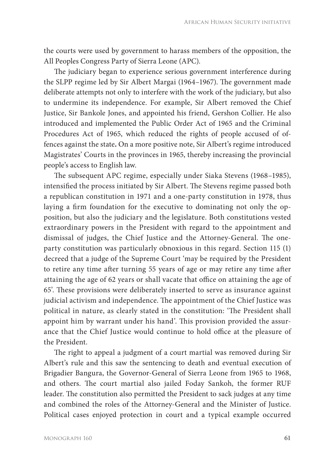the courts were used by government to harass members of the opposition, the All Peoples Congress Party of Sierra Leone (APC).

The judiciary began to experience serious government interference during the SLPP regime led by Sir Albert Margai (1964–1967). The government made deliberate attempts not only to interfere with the work of the judiciary, but also to undermine its independence. For example, Sir Albert removed the Chief Justice, Sir Bankole Jones, and appointed his friend, Gershon Collier. He also introduced and implemented the Public Order Act of 1965 and the Criminal Procedures Act of 1965, which reduced the rights of people accused of offences against the state**.** On a more positive note, Sir Albert's regime introduced Magistrates' Courts in the provinces in 1965, thereby increasing the provincial people's access to English law.

The subsequent APC regime, especially under Siaka Stevens (1968–1985), intensified the process initiated by Sir Albert. The Stevens regime passed both a republican constitution in 1971 and a one-party constitution in 1978, thus laying a firm foundation for the executive to dominating not only the opposition, but also the judiciary and the legislature. Both constitutions vested extraordinary powers in the President with regard to the appointment and dismissal of judges, the Chief Justice and the Attorney-General. The oneparty constitution was particularly obnoxious in this regard. Section 115 (1) decreed that a judge of the Supreme Court 'may be required by the President to retire any time after turning 55 years of age or may retire any time after attaining the age of 62 years or shall vacate that office on attaining the age of 65'. Th ese provisions were deliberately inserted to serve as insurance against judicial activism and independence. The appointment of the Chief Justice was political in nature, as clearly stated in the constitution: 'The President shall appoint him by warrant under his hand'. This provision provided the assurance that the Chief Justice would continue to hold office at the pleasure of the President.

The right to appeal a judgment of a court martial was removed during Sir Albert's rule and this saw the sentencing to death and eventual execution of Brigadier Bangura, the Governor-General of Sierra Leone from 1965 to 1968, and others. The court martial also jailed Foday Sankoh, the former RUF leader. The constitution also permitted the President to sack judges at any time and combined the roles of the Attorney-General and the Minister of Justice. Political cases enjoyed protection in court and a typical example occurred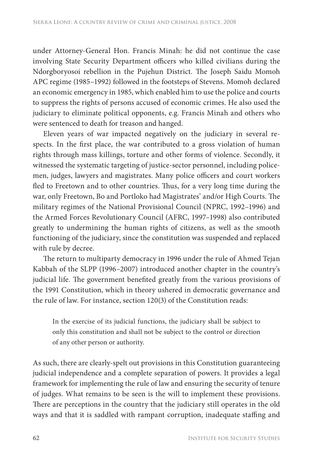under Attorney-General Hon. Francis Minah: he did not continue the case involving State Security Department officers who killed civilians during the Ndorgboryosoi rebellion in the Pujehun District. The Joseph Saidu Momoh APC regime (1985–1992) followed in the footsteps of Stevens. Momoh declared an economic emergency in 1985, which enabled him to use the police and courts to suppress the rights of persons accused of economic crimes. He also used the judiciary to eliminate political opponents, e.g. Francis Minah and others who were sentenced to death for treason and hanged.

Eleven years of war impacted negatively on the judiciary in several respects. In the first place, the war contributed to a gross violation of human rights through mass killings, torture and other forms of violence. Secondly, it witnessed the systematic targeting of justice-sector personnel, including policemen, judges, lawyers and magistrates. Many police officers and court workers fled to Freetown and to other countries. Thus, for a very long time during the war, only Freetown, Bo and Portloko had Magistrates' and/or High Courts. The military regimes of the National Provisional Council (NPRC, 1992–1996) and the Armed Forces Revolutionary Council (AFRC, 1997–1998) also contributed greatly to undermining the human rights of citizens, as well as the smooth functioning of the judiciary, since the constitution was suspended and replaced with rule by decree.

The return to multiparty democracy in 1996 under the rule of Ahmed Tejan Kabbah of the SLPP (1996–2007) introduced another chapter in the country's judicial life. The government benefited greatly from the various provisions of the 1991 Constitution, which in theory ushered in democratic governance and the rule of law. For instance, section 120(3) of the Constitution reads:

In the exercise of its judicial functions, the judiciary shall be subject to only this constitution and shall not be subject to the control or direction of any other person or authority.

As such, there are clearly-spelt out provisions in this Constitution guaranteeing judicial independence and a complete separation of powers. It provides a legal framework for implementing the rule of law and ensuring the security of tenure of judges. What remains to be seen is the will to implement these provisions. There are perceptions in the country that the judiciary still operates in the old ways and that it is saddled with rampant corruption, inadequate staffing and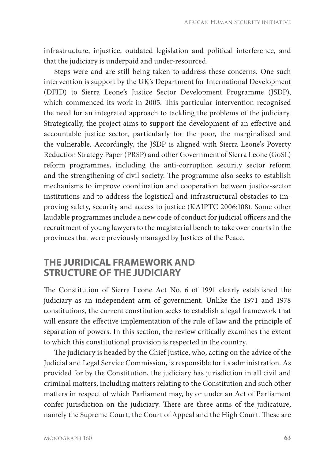infrastructure, injustice, outdated legislation and political interference, and that the judiciary is underpaid and under-resourced.

Steps were and are still being taken to address these concerns. One such intervention is support by the UK's Department for International Development (DFID) to Sierra Leone's Justice Sector Development Programme (JSDP), which commenced its work in 2005. This particular intervention recognised the need for an integrated approach to tackling the problems of the judiciary. Strategically, the project aims to support the development of an effective and accountable justice sector, particularly for the poor, the marginalised and the vulnerable. Accordingly, the JSDP is aligned with Sierra Leone's Poverty Reduction Strategy Paper (PRSP) and other Government of Sierra Leone (GoSL) reform programmes, including the anti-corruption security sector reform and the strengthening of civil society. The programme also seeks to establish mechanisms to improve coordination and cooperation between justice-sector institutions and to address the logistical and infrastructural obstacles to improving safety, security and access to justice (KAIPTC 2006:108). Some other laudable programmes include a new code of conduct for judicial officers and the recruitment of young lawyers to the magisterial bench to take over courts in the provinces that were previously managed by Justices of the Peace.

#### **THE JURIDICAL FRAMEWORK AND STRUCTURE OF THE JUDICIARY**

The Constitution of Sierra Leone Act No. 6 of 1991 clearly established the judiciary as an independent arm of government. Unlike the 1971 and 1978 constitutions, the current constitution seeks to establish a legal framework that will ensure the effective implementation of the rule of law and the principle of separation of powers. In this section, the review critically examines the extent to which this constitutional provision is respected in the country.

The judiciary is headed by the Chief Justice, who, acting on the advice of the Judicial and Legal Service Commission, is responsible for its administration. As provided for by the Constitution, the judiciary has jurisdiction in all civil and criminal matters, including matters relating to the Constitution and such other matters in respect of which Parliament may, by or under an Act of Parliament confer jurisdiction on the judiciary. There are three arms of the judicature, namely the Supreme Court, the Court of Appeal and the High Court. These are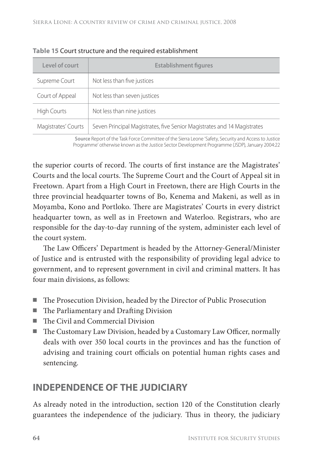| Level of court      | <b>Establishment figures</b>                                            |  |  |
|---------------------|-------------------------------------------------------------------------|--|--|
| Supreme Court       | Not less than five justices                                             |  |  |
| Court of Appeal     | Not less than seven justices                                            |  |  |
| <b>High Courts</b>  | Not less than nine justices                                             |  |  |
| Magistrates' Courts | Seven Principal Magistrates, five Senior Magistrates and 14 Magistrates |  |  |

**Table 15** Court structure and the required establishment

**Source** Report of the Task Force Committee of the Sierra Leone 'Safety, Security and Access to Justice Programme' otherwise known as the Justice Sector Development Programme (JSDP), January 2004:22

the superior courts of record. The courts of first instance are the Magistrates' Courts and the local courts. The Supreme Court and the Court of Appeal sit in Freetown. Apart from a High Court in Freetown, there are High Courts in the three provincial headquarter towns of Bo, Kenema and Makeni, as well as in Moyamba, Kono and Portloko. There are Magistrates' Courts in every district headquarter town, as well as in Freetown and Waterloo. Registrars, who are responsible for the day-to-day running of the system, administer each level of the court system.

The Law Officers' Department is headed by the Attorney-General/Minister of Justice and is entrusted with the responsibility of providing legal advice to government, and to represent government in civil and criminal matters. It has four main divisions, as follows:

- The Prosecution Division, headed by the Director of Public Prosecution
- $\blacksquare$  The Parliamentary and Drafting Division
- The Civil and Commercial Division
- The Customary Law Division, headed by a Customary Law Officer, normally deals with over 350 local courts in the provinces and has the function of advising and training court officials on potential human rights cases and sentencing.

# **INDEPENDENCE OF THE JUDICIARY**

As already noted in the introduction, section 120 of the Constitution clearly guarantees the independence of the judiciary. Thus in theory, the judiciary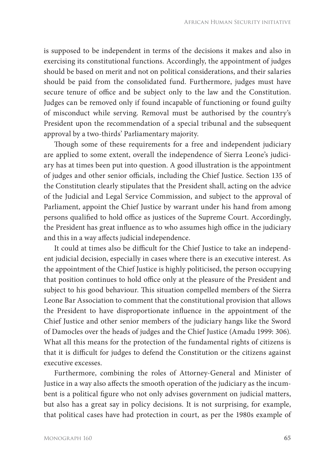is supposed to be independent in terms of the decisions it makes and also in exercising its constitutional functions. Accordingly, the appointment of judges should be based on merit and not on political considerations, and their salaries should be paid from the consolidated fund. Furthermore, judges must have secure tenure of office and be subject only to the law and the Constitution. Judges can be removed only if found incapable of functioning or found guilty of misconduct while serving. Removal must be authorised by the country's President upon the recommendation of a special tribunal and the subsequent approval by a two-thirds' Parliamentary majority.

Though some of these requirements for a free and independent judiciary are applied to some extent, overall the independence of Sierra Leone's judiciary has at times been put into question. A good illustration is the appointment of judges and other senior officials, including the Chief Justice. Section 135 of the Constitution clearly stipulates that the President shall, acting on the advice of the Judicial and Legal Service Commission, and subject to the approval of Parliament, appoint the Chief Justice by warrant under his hand from among persons qualified to hold office as justices of the Supreme Court. Accordingly, the President has great influence as to who assumes high office in the judiciary and this in a way affects judicial independence.

It could at times also be difficult for the Chief Justice to take an independent judicial decision, especially in cases where there is an executive interest. As the appointment of the Chief Justice is highly politicised, the person occupying that position continues to hold office only at the pleasure of the President and subject to his good behaviour. This situation compelled members of the Sierra Leone Bar Association to comment that the constitutional provision that allows the President to have disproportionate influence in the appointment of the Chief Justice and other senior members of the judiciary hangs like the Sword of Damocles over the heads of judges and the Chief Justice (Amadu 1999: 306). What all this means for the protection of the fundamental rights of citizens is that it is difficult for judges to defend the Constitution or the citizens against executive excesses.

Furthermore, combining the roles of Attorney-General and Minister of Justice in a way also affects the smooth operation of the judiciary as the incumbent is a political figure who not only advises government on judicial matters, but also has a great say in policy decisions. It is not surprising, for example, that political cases have had protection in court, as per the 1980s example of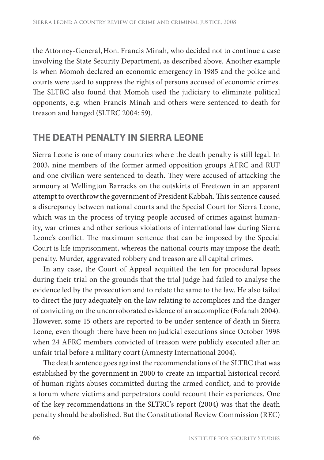the Attorney-General,Hon. Francis Minah, who decided not to continue a case involving the State Security Department, as described above. Another example is when Momoh declared an economic emergency in 1985 and the police and courts were used to suppress the rights of persons accused of economic crimes. The SLTRC also found that Momoh used the judiciary to eliminate political opponents, e.g. when Francis Minah and others were sentenced to death for treason and hanged (SLTRC 2004: 59).

#### **THE DEATH PENALTY IN SIERRA LEONE**

Sierra Leone is one of many countries where the death penalty is still legal. In 2003, nine members of the former armed opposition groups AFRC and RUF and one civilian were sentenced to death. They were accused of attacking the armoury at Wellington Barracks on the outskirts of Freetown in an apparent attempt to overthrow the government of President Kabbah. This sentence caused a discrepancy between national courts and the Special Court for Sierra Leone, which was in the process of trying people accused of crimes against humanity, war crimes and other serious violations of international law during Sierra Leone's conflict. The maximum sentence that can be imposed by the Special Court is life imprisonment, whereas the national courts may impose the death penalty. Murder, aggravated robbery and treason are all capital crimes.

In any case, the Court of Appeal acquitted the ten for procedural lapses during their trial on the grounds that the trial judge had failed to analyse the evidence led by the prosecution and to relate the same to the law. He also failed to direct the jury adequately on the law relating to accomplices and the danger of convicting on the uncorroborated evidence of an accomplice (Fofanah 2004). However, some 15 others are reported to be under sentence of death in Sierra Leone, even though there have been no judicial executions since October 1998 when 24 AFRC members convicted of treason were publicly executed after an unfair trial before a military court (Amnesty International 2004).

The death sentence goes against the recommendations of the SLTRC that was established by the government in 2000 to create an impartial historical record of human rights abuses committed during the armed conflict, and to provide a forum where victims and perpetrators could recount their experiences. One of the key recommendations in the SLTRC's report (2004) was that the death penalty should be abolished. But the Constitutional Review Commission (REC)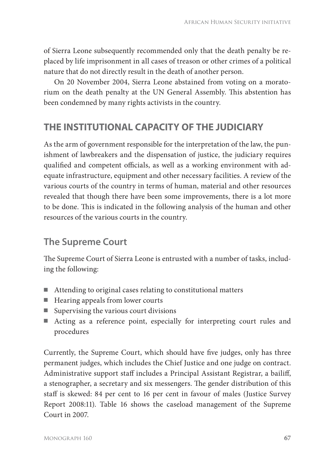of Sierra Leone subsequently recommended only that the death penalty be replaced by life imprisonment in all cases of treason or other crimes of a political nature that do not directly result in the death of another person.

On 20 November 2004, Sierra Leone abstained from voting on a moratorium on the death penalty at the UN General Assembly. This abstention has been condemned by many rights activists in the country.

# **THE INSTITUTIONAL CAPACITY OF THE JUDICIARY**

As the arm of government responsible for the interpretation of the law, the punishment of lawbreakers and the dispensation of justice, the judiciary requires qualified and competent officials, as well as a working environment with adequate infrastructure, equipment and other necessary facilities. A review of the various courts of the country in terms of human, material and other resources revealed that though there have been some improvements, there is a lot more to be done. This is indicated in the following analysis of the human and other resources of the various courts in the country.

# **The Supreme Court**

The Supreme Court of Sierra Leone is entrusted with a number of tasks, including the following:

- Attending to original cases relating to constitutional matters
- Hearing appeals from lower courts
- Supervising the various court divisions
- Acting as a reference point, especially for interpreting court rules and procedures

Currently, the Supreme Court, which should have five judges, only has three permanent judges, which includes the Chief Justice and one judge on contract. Administrative support staff includes a Principal Assistant Registrar, a bailiff, a stenographer, a secretary and six messengers. The gender distribution of this staff is skewed: 84 per cent to 16 per cent in favour of males (Justice Survey Report 2008:11). Table 16 shows the caseload management of the Supreme Court in 2007.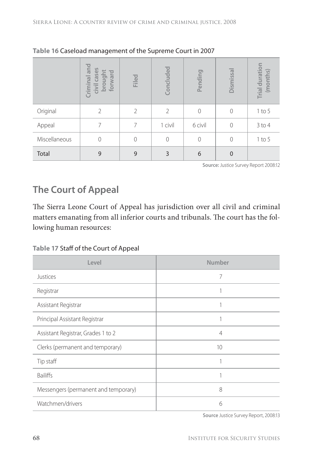|               | and<br>cases<br>brought<br>forward<br>Criminal<br>civil | Filed          | Concluded     | Pending       | Dismissal | Trial duration<br>(months) |
|---------------|---------------------------------------------------------|----------------|---------------|---------------|-----------|----------------------------|
| Original      | 2                                                       | $\mathfrak{D}$ | $\mathcal{P}$ | $\mathcal{O}$ | 0         | $1$ to $5$                 |
| Appeal        | 7                                                       | 7              | 1 civil       | 6 civil       | 0         | $3$ to 4                   |
| Miscellaneous | $\mathbf{0}$                                            | 0              | $\Omega$      | $\mathcal{O}$ | 0         | $1$ to $5$                 |
| Total         | 9                                                       | 9              | 3             | 6             | 0         |                            |

#### **Table 16** Caseload management of the Supreme Court in 2007

**Source:** Justice Survey Report 2008:12

# **The Court of Appeal**

The Sierra Leone Court of Appeal has jurisdiction over all civil and criminal matters emanating from all inferior courts and tribunals. The court has the following human resources:

**Table 17** Staff of the Court of Appeal

| Level                                | Number         |
|--------------------------------------|----------------|
| Justices                             | 7              |
| Registrar                            |                |
| Assistant Registrar                  |                |
| Principal Assistant Registrar        |                |
| Assistant Registrar, Grades 1 to 2   | $\overline{4}$ |
| Clerks (permanent and temporary)     | 10             |
| Tip staff                            |                |
| <b>Bailiffs</b>                      |                |
| Messengers (permanent and temporary) | 8              |
| Watchmen/drivers                     | 6              |

**Source** Justice Survey Report, 2008:13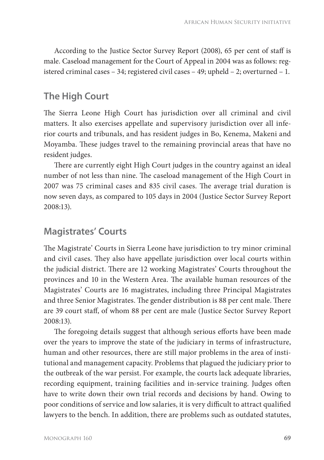According to the Justice Sector Survey Report (2008), 65 per cent of staff is male. Caseload management for the Court of Appeal in 2004 was as follows: registered criminal cases – 34; registered civil cases – 49; upheld – 2; overturned – 1.

#### **The High Court**

The Sierra Leone High Court has jurisdiction over all criminal and civil matters. It also exercises appellate and supervisory jurisdiction over all inferior courts and tribunals, and has resident judges in Bo, Kenema, Makeni and Moyamba. These judges travel to the remaining provincial areas that have no resident judges.

There are currently eight High Court judges in the country against an ideal number of not less than nine. The caseload management of the High Court in 2007 was 75 criminal cases and 835 civil cases. The average trial duration is now seven days, as compared to 105 days in 2004 (Justice Sector Survey Report 2008:13).

#### **Magistrates' Courts**

The Magistrate' Courts in Sierra Leone have jurisdiction to try minor criminal and civil cases. They also have appellate jurisdiction over local courts within the judicial district. There are 12 working Magistrates' Courts throughout the provinces and 10 in the Western Area. The available human resources of the Magistrates' Courts are 16 magistrates, including three Principal Magistrates and three Senior Magistrates. The gender distribution is 88 per cent male. There are 39 court staff, of whom 88 per cent are male (Justice Sector Survey Report 2008:13).

The foregoing details suggest that although serious efforts have been made over the years to improve the state of the judiciary in terms of infrastructure, human and other resources, there are still major problems in the area of institutional and management capacity. Problems that plagued the judiciary prior to the outbreak of the war persist. For example, the courts lack adequate libraries, recording equipment, training facilities and in-service training. Judges often have to write down their own trial records and decisions by hand. Owing to poor conditions of service and low salaries, it is very difficult to attract qualified lawyers to the bench. In addition, there are problems such as outdated statutes,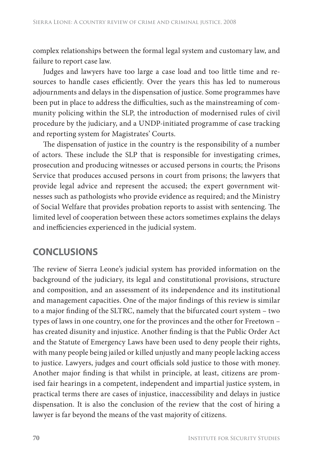complex relationships between the formal legal system and customary law, and failure to report case law.

Judges and lawyers have too large a case load and too little time and resources to handle cases efficiently. Over the years this has led to numerous adjournments and delays in the dispensation of justice. Some programmes have been put in place to address the difficulties, such as the mainstreaming of community policing within the SLP, the introduction of modernised rules of civil procedure by the judiciary, and a UNDP-initiated programme of case tracking and reporting system for Magistrates' Courts.

The dispensation of justice in the country is the responsibility of a number of actors. These include the SLP that is responsible for investigating crimes, prosecution and producing witnesses or accused persons in courts; the Prisons Service that produces accused persons in court from prisons; the lawyers that provide legal advice and represent the accused; the expert government witnesses such as pathologists who provide evidence as required; and the Ministry of Social Welfare that provides probation reports to assist with sentencing. The limited level of cooperation between these actors sometimes explains the delays and inefficiencies experienced in the judicial system.

# **CONCLUSIONS**

The review of Sierra Leone's judicial system has provided information on the background of the judiciary, its legal and constitutional provisions, structure and composition, and an assessment of its independence and its institutional and management capacities. One of the major findings of this review is similar to a major finding of the SLTRC, namely that the bifurcated court system – two types of laws in one country, one for the provinces and the other for Freetown – has created disunity and injustice. Another finding is that the Public Order Act and the Statute of Emergency Laws have been used to deny people their rights, with many people being jailed or killed unjustly and many people lacking access to justice. Lawyers, judges and court officials sold justice to those with money. Another major finding is that whilst in principle, at least, citizens are promised fair hearings in a competent, independent and impartial justice system, in practical terms there are cases of injustice, inaccessibility and delays in justice dispensation. It is also the conclusion of the review that the cost of hiring a lawyer is far beyond the means of the vast majority of citizens.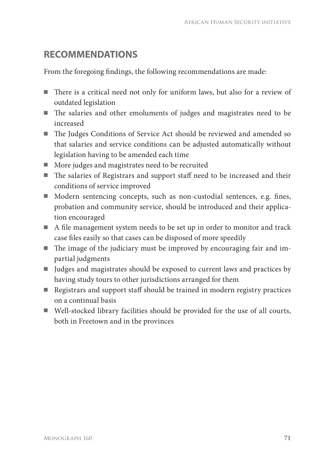# **RECOMMENDATIONS**

From the foregoing findings, the following recommendations are made:

- There is a critical need not only for uniform laws, but also for a review of outdated legislation
- $\blacksquare$  The salaries and other emoluments of judges and magistrates need to be increased
- The Judges Conditions of Service Act should be reviewed and amended so that salaries and service conditions can be adjusted automatically without legislation having to be amended each time
- More judges and magistrates need to be recruited
- $\blacksquare$  The salaries of Registrars and support staff need to be increased and their conditions of service improved
- Modern sentencing concepts, such as non-custodial sentences, e.g. fines, probation and community service, should be introduced and their application encouraged
- $\blacksquare$  A file management system needs to be set up in order to monitor and track case files easily so that cases can be disposed of more speedily
- $\blacksquare$  The image of the judiciary must be improved by encouraging fair and impartial judgments
- Judges and magistrates should be exposed to current laws and practices by having study tours to other jurisdictions arranged for them
- Registrars and support staff should be trained in modern registry practices on a continual basis
- Well-stocked library facilities should be provided for the use of all courts, both in Freetown and in the provinces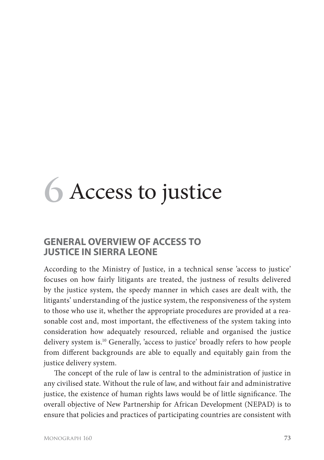# **6** Access to justice

#### **GENERAL OVERVIEW OF ACCESS TO JUSTICE IN SIERRA LEONE**

According to the Ministry of Justice, in a technical sense 'access to justice' focuses on how fairly litigants are treated, the justness of results delivered by the justice system, the speedy manner in which cases are dealt with, the litigants' understanding of the justice system, the responsiveness of the system to those who use it, whether the appropriate procedures are provided at a reasonable cost and, most important, the effectiveness of the system taking into consideration how adequately resourced, reliable and organised the justice delivery system is.10 Generally, 'access to justice' broadly refers to how people from different backgrounds are able to equally and equitably gain from the justice delivery system.

The concept of the rule of law is central to the administration of justice in any civilised state. Without the rule of law, and without fair and administrative justice, the existence of human rights laws would be of little significance. The overall objective of New Partnership for African Development (NEPAD) is to ensure that policies and practices of participating countries are consistent with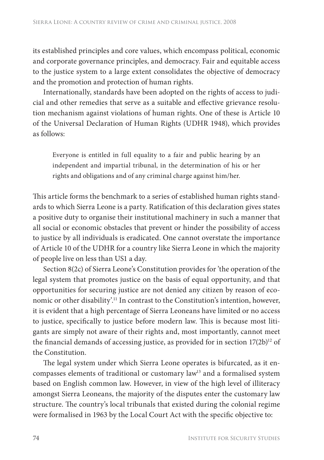its established principles and core values, which encompass political, economic and corporate governance principles, and democracy. Fair and equitable access to the justice system to a large extent consolidates the objective of democracy and the promotion and protection of human rights.

Internationally, standards have been adopted on the rights of access to judicial and other remedies that serve as a suitable and effective grievance resolution mechanism against violations of human rights. One of these is Article 10 of the Universal Declaration of Human Rights (UDHR 1948), which provides as follows:

Everyone is entitled in full equality to a fair and public hearing by an independent and impartial tribunal, in the determination of his or her rights and obligations and of any criminal charge against him/her.

This article forms the benchmark to a series of established human rights standards to which Sierra Leone is a party. Ratification of this declaration gives states a positive duty to organise their institutional machinery in such a manner that all social or economic obstacles that prevent or hinder the possibility of access to justice by all individuals is eradicated. One cannot overstate the importance of Article 10 of the UDHR for a country like Sierra Leone in which the majority of people live on less than US1 a day.

Section 8(2c) of Sierra Leone's Constitution provides for 'the operation of the legal system that promotes justice on the basis of equal opportunity, and that opportunities for securing justice are not denied any citizen by reason of economic or other disability'.11 In contrast to the Constitution's intention, however, it is evident that a high percentage of Sierra Leoneans have limited or no access to justice, specifically to justice before modern law. This is because most litigants are simply not aware of their rights and, most importantly, cannot meet the financial demands of accessing justice, as provided for in section 17(2b)<sup>12</sup> of the Constitution.

The legal system under which Sierra Leone operates is bifurcated, as it encompasses elements of traditional or customary law<sup>13</sup> and a formalised system based on English common law. However, in view of the high level of illiteracy amongst Sierra Leoneans, the majority of the disputes enter the customary law structure. The country's local tribunals that existed during the colonial regime were formalised in 1963 by the Local Court Act with the specific objective to: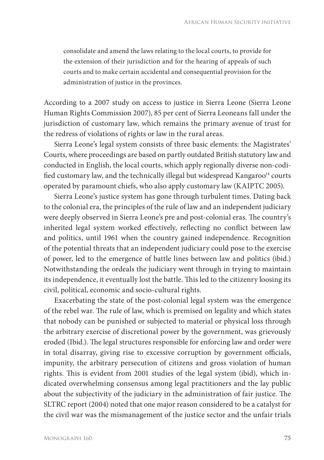consolidate and amend the laws relating to the local courts, to provide for the extension of their jurisdiction and for the hearing of appeals of such courts and to make certain accidental and consequential provision for the administration of justice in the provinces.

According to a 2007 study on access to justice in Sierra Leone (Sierra Leone Human Rights Commission 2007), 85 per cent of Sierra Leoneans fall under the jurisdiction of customary law, which remains the primary avenue of trust for the redress of violations of rights or law in the rural areas.

Sierra Leone's legal system consists of three basic elements: the Magistrates' Courts, where proceedings are based on partly outdated British statutory law and conducted in English, the local courts, which apply regionally diverse non-codified customary law, and the technically illegal but widespread Kangaroo $14$  courts operated by paramount chiefs, who also apply customary law (KAIPTC 2005).

Sierra Leone's justice system has gone through turbulent times. Dating back to the colonial era, the principles of the rule of law and an independent judiciary were deeply observed in Sierra Leone's pre and post-colonial eras. The country's inherited legal system worked effectively, reflecting no conflict between law and politics, until 1961 when the country gained independence. Recognition of the potential threats that an independent judiciary could pose to the exercise of power, led to the emergence of battle lines between law and politics (ibid.) Notwithstanding the ordeals the judiciary went through in trying to maintain its independence, it eventually lost the battle. This led to the citizenry loosing its civil, political, economic and socio-cultural rights.

Exacerbating the state of the post-colonial legal system was the emergence of the rebel war. The rule of law, which is premised on legality and which states that nobody can be punished or subjected to material or physical loss through the arbitrary exercise of discretional power by the government, was grievously eroded (Ibid.). The legal structures responsible for enforcing law and order were in total disarray, giving rise to excessive corruption by government officials, impunity, the arbitrary persecution of citizens and gross violation of human rights. This is evident from 2001 studies of the legal system (ibid), which indicated overwhelming consensus among legal practitioners and the lay public about the subjectivity of the judiciary in the administration of fair justice. The SLTRC report (2004) noted that one major reason considered to be a catalyst for the civil war was the mismanagement of the justice sector and the unfair trials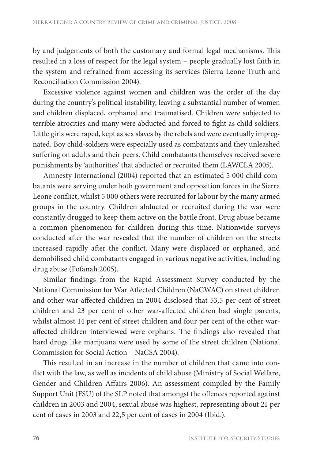by and judgements of both the customary and formal legal mechanisms. This resulted in a loss of respect for the legal system – people gradually lost faith in the system and refrained from accessing its services (Sierra Leone Truth and Reconciliation Commission 2004).

Excessive violence against women and children was the order of the day during the country's political instability, leaving a substantial number of women and children displaced, orphaned and traumatised. Children were subjected to terrible atrocities and many were abducted and forced to fight as child soldiers. Little girls were raped, kept as sex slaves by the rebels and were eventually impregnated. Boy child-soldiers were especially used as combatants and they unleashed suffering on adults and their peers. Child combatants themselves received severe punishments by 'authorities' that abducted or recruited them (LAWCLA 2005).

Amnesty International (2004) reported that an estimated 5 000 child combatants were serving under both government and opposition forces in the Sierra Leone conflict, whilst 5 000 others were recruited for labour by the many armed groups in the country. Children abducted or recruited during the war were constantly drugged to keep them active on the battle front. Drug abuse became a common phenomenon for children during this time. Nationwide surveys conducted after the war revealed that the number of children on the streets increased rapidly after the conflict. Many were displaced or orphaned, and demobilised child combatants engaged in various negative activities, including drug abuse (Fofanah 2005).

Similar findings from the Rapid Assessment Survey conducted by the National Commission for War Affected Children (NaCWAC) on street children and other war-affected children in 2004 disclosed that 53,5 per cent of street children and 23 per cent of other war-affected children had single parents, whilst almost 14 per cent of street children and four per cent of the other waraffected children interviewed were orphans. The findings also revealed that hard drugs like marijuana were used by some of the street children (National Commission for Social Action – NaCSA 2004).

This resulted in an increase in the number of children that came into conflict with the law, as well as incidents of child abuse (Ministry of Social Welfare, Gender and Children Affairs 2006). An assessment compiled by the Family Support Unit (FSU) of the SLP noted that amongst the offences reported against children in 2003 and 2004, sexual abuse was highest, representing about 21 per cent of cases in 2003 and 22,5 per cent of cases in 2004 (Ibid.).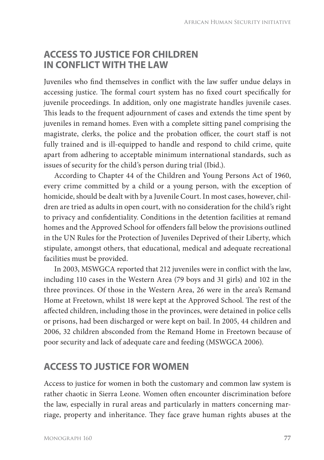### **ACCESS TO JUSTICE FOR CHILDREN IN CONFLICT WITH THE LAW**

Juveniles who find themselves in conflict with the law suffer undue delays in accessing justice. The formal court system has no fixed court specifically for juvenile proceedings. In addition, only one magistrate handles juvenile cases. This leads to the frequent adjournment of cases and extends the time spent by juveniles in remand homes. Even with a complete sitting panel comprising the magistrate, clerks, the police and the probation officer, the court staff is not fully trained and is ill-equipped to handle and respond to child crime, quite apart from adhering to acceptable minimum international standards, such as issues of security for the child's person during trial (Ibid.).

According to Chapter 44 of the Children and Young Persons Act of 1960, every crime committed by a child or a young person, with the exception of homicide, should be dealt with by a Juvenile Court. In most cases, however, children are tried as adults in open court, with no consideration for the child's right to privacy and confidentiality. Conditions in the detention facilities at remand homes and the Approved School for offenders fall below the provisions outlined in the UN Rules for the Protection of Juveniles Deprived of their Liberty, which stipulate, amongst others, that educational, medical and adequate recreational facilities must be provided.

In 2003, MSWGCA reported that 212 juveniles were in conflict with the law, including 110 cases in the Western Area (79 boys and 31 girls) and 102 in the three provinces. Of those in the Western Area, 26 were in the area's Remand Home at Freetown, whilst 18 were kept at the Approved School. The rest of the affected children, including those in the provinces, were detained in police cells or prisons, had been discharged or were kept on bail. In 2005, 44 children and 2006, 32 children absconded from the Remand Home in Freetown because of poor security and lack of adequate care and feeding (MSWGCA 2006).

#### **ACCESS TO JUSTICE FOR WOMEN**

Access to justice for women in both the customary and common law system is rather chaotic in Sierra Leone. Women often encounter discrimination before the law, especially in rural areas and particularly in matters concerning marriage, property and inheritance. They face grave human rights abuses at the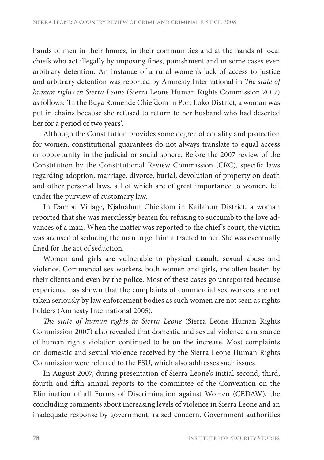hands of men in their homes, in their communities and at the hands of local chiefs who act illegally by imposing fines, punishment and in some cases even arbitrary detention. An instance of a rural women's lack of access to justice and arbitrary detention was reported by Amnesty International in *The state of human rights in Sierra Leone* (Sierra Leone Human Rights Commission 2007) as follows: 'In the Buya Romende Chiefdom in Port Loko District, a woman was put in chains because she refused to return to her husband who had deserted her for a period of two years'.

Although the Constitution provides some degree of equality and protection for women, constitutional guarantees do not always translate to equal access or opportunity in the judicial or social sphere. Before the 2007 review of the Constitution by the Constitutional Review Commission (CRC), specific laws regarding adoption, marriage, divorce, burial, devolution of property on death and other personal laws, all of which are of great importance to women, fell under the purview of customary law.

In Dambu Village, Njaluahun Chiefdom in Kailahun District, a woman reported that she was mercilessly beaten for refusing to succumb to the love advances of a man. When the matter was reported to the chief's court, the victim was accused of seducing the man to get him attracted to her. She was eventually fined for the act of seduction.

Women and girls are vulnerable to physical assault, sexual abuse and violence. Commercial sex workers, both women and girls, are often beaten by their clients and even by the police. Most of these cases go unreported because experience has shown that the complaints of commercial sex workers are not taken seriously by law enforcement bodies as such women are not seen as rights holders (Amnesty International 2005).

*The state of human rights in Sierra Leone* (Sierra Leone Human Rights Commission 2007) also revealed that domestic and sexual violence as a source of human rights violation continued to be on the increase. Most complaints on domestic and sexual violence received by the Sierra Leone Human Rights Commission were referred to the FSU, which also addresses such issues.

In August 2007, during presentation of Sierra Leone's initial second, third, fourth and fifth annual reports to the committee of the Convention on the Elimination of all Forms of Discrimination against Women (CEDAW), the concluding comments about increasing levels of violence in Sierra Leone and an inadequate response by government, raised concern. Government authorities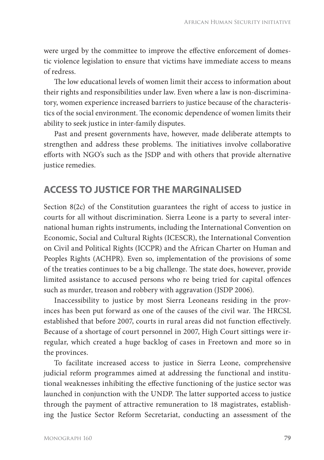were urged by the committee to improve the effective enforcement of domestic violence legislation to ensure that victims have immediate access to means of redress.

The low educational levels of women limit their access to information about their rights and responsibilities under law. Even where a law is non-discriminatory, women experience increased barriers to justice because of the characteristics of the social environment. The economic dependence of women limits their ability to seek justice in inter-family disputes.

Past and present governments have, however, made deliberate attempts to strengthen and address these problems. The initiatives involve collaborative efforts with NGO's such as the JSDP and with others that provide alternative justice remedies.

### **ACCESS TO JUSTICE FOR THE MARGINALISED**

Section 8(2c) of the Constitution guarantees the right of access to justice in courts for all without discrimination. Sierra Leone is a party to several international human rights instruments, including the International Convention on Economic, Social and Cultural Rights (ICESCR), the International Convention on Civil and Political Rights (ICCPR) and the African Charter on Human and Peoples Rights (ACHPR). Even so, implementation of the provisions of some of the treaties continues to be a big challenge. The state does, however, provide limited assistance to accused persons who re being tried for capital offences such as murder, treason and robbery with aggravation (JSDP 2006).

Inaccessibility to justice by most Sierra Leoneans residing in the provinces has been put forward as one of the causes of the civil war. The HRCSL established that before 2007, courts in rural areas did not function effectively. Because of a shortage of court personnel in 2007, High Court sittings were irregular, which created a huge backlog of cases in Freetown and more so in the provinces.

To facilitate increased access to justice in Sierra Leone, comprehensive judicial reform programmes aimed at addressing the functional and institutional weaknesses inhibiting the effective functioning of the justice sector was launched in conjunction with the UNDP. The latter supported access to justice through the payment of attractive remuneration to 18 magistrates, establishing the Justice Sector Reform Secretariat, conducting an assessment of the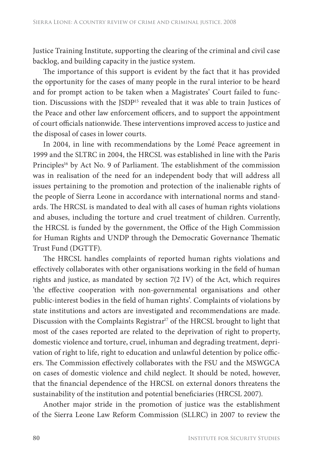Justice Training Institute, supporting the clearing of the criminal and civil case backlog, and building capacity in the justice system.

The importance of this support is evident by the fact that it has provided the opportunity for the cases of many people in the rural interior to be heard and for prompt action to be taken when a Magistrates' Court failed to function. Discussions with the JSDP15 revealed that it was able to train Justices of the Peace and other law enforcement officers, and to support the appointment of court officials nationwide. These interventions improved access to justice and the disposal of cases in lower courts.

In 2004, in line with recommendations by the Lomé Peace agreement in 1999 and the SLTRC in 2004, the HRCSL was established in line with the Paris Principles<sup>16</sup> by Act No. 9 of Parliament. The establishment of the commission was in realisation of the need for an independent body that will address all issues pertaining to the promotion and protection of the inalienable rights of the people of Sierra Leone in accordance with international norms and standards. The HRCSL is mandated to deal with all cases of human rights violations and abuses, including the torture and cruel treatment of children. Currently, the HRCSL is funded by the government, the Office of the High Commission for Human Rights and UNDP through the Democratic Governance Thematic Trust Fund (DGTTF).

The HRCSL handles complaints of reported human rights violations and effectively collaborates with other organisations working in the field of human rights and justice, as mandated by section 7(2 IV) of the Act, which requires 'the effective cooperation with non-governmental organisations and other public-interest bodies in the field of human rights'. Complaints of violations by state institutions and actors are investigated and recommendations are made. Discussion with the Complaints Registrar<sup>17</sup> of the HRCSL brought to light that most of the cases reported are related to the deprivation of right to property, domestic violence and torture, cruel, inhuman and degrading treatment, deprivation of right to life, right to education and unlawful detention by police officers. The Commission effectively collaborates with the FSU and the MSWGCA on cases of domestic violence and child neglect. It should be noted, however, that the financial dependence of the HRCSL on external donors threatens the sustainability of the institution and potential beneficiaries (HRCSL 2007).

Another major stride in the promotion of justice was the establishment of the Sierra Leone Law Reform Commission (SLLRC) in 2007 to review the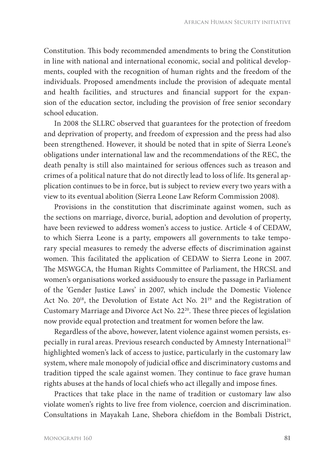Constitution. This body recommended amendments to bring the Constitution in line with national and international economic, social and political developments, coupled with the recognition of human rights and the freedom of the individuals. Proposed amendments include the provision of adequate mental and health facilities, and structures and financial support for the expansion of the education sector, including the provision of free senior secondary school education.

In 2008 the SLLRC observed that guarantees for the protection of freedom and deprivation of property, and freedom of expression and the press had also been strengthened. However, it should be noted that in spite of Sierra Leone's obligations under international law and the recommendations of the REC, the death penalty is still also maintained for serious offences such as treason and crimes of a political nature that do not directly lead to loss of life. Its general application continues to be in force, but is subject to review every two years with a view to its eventual abolition (Sierra Leone Law Reform Commission 2008).

Provisions in the constitution that discriminate against women, such as the sections on marriage, divorce, burial, adoption and devolution of property, have been reviewed to address women's access to justice. Article 4 of CEDAW, to which Sierra Leone is a party, empowers all governments to take temporary special measures to remedy the adverse effects of discrimination against women. This facilitated the application of CEDAW to Sierra Leone in 2007. The MSWGCA, the Human Rights Committee of Parliament, the HRCSL and women's organisations worked assiduously to ensure the passage in Parliament of the 'Gender Justice Laws' in 2007, which include the Domestic Violence Act No. 20<sup>18</sup>, the Devolution of Estate Act No. 21<sup>19</sup> and the Registration of Customary Marriage and Divorce Act No. 22<sup>20</sup>. These three pieces of legislation now provide equal protection and treatment for women before the law.

Regardless of the above, however, latent violence against women persists, especially in rural areas. Previous research conducted by Amnesty International<sup>21</sup> highlighted women's lack of access to justice, particularly in the customary law system, where male monopoly of judicial office and discriminatory customs and tradition tipped the scale against women. They continue to face grave human rights abuses at the hands of local chiefs who act illegally and impose fines.

Practices that take place in the name of tradition or customary law also violate women's rights to live free from violence, coercion and discrimination. Consultations in Mayakah Lane, Shebora chiefdom in the Bombali District,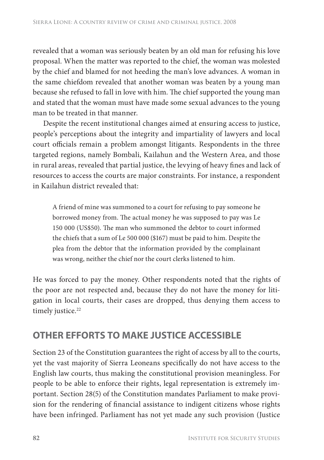revealed that a woman was seriously beaten by an old man for refusing his love proposal. When the matter was reported to the chief, the woman was molested by the chief and blamed for not heeding the man's love advances. A woman in the same chiefdom revealed that another woman was beaten by a young man because she refused to fall in love with him. The chief supported the young man and stated that the woman must have made some sexual advances to the young man to be treated in that manner.

Despite the recent institutional changes aimed at ensuring access to justice, people's perceptions about the integrity and impartiality of lawyers and local court officials remain a problem amongst litigants. Respondents in the three targeted regions, namely Bombali, Kailahun and the Western Area, and those in rural areas, revealed that partial justice, the levying of heavy fines and lack of resources to access the courts are major constraints. For instance, a respondent in Kailahun district revealed that:

A friend of mine was summoned to a court for refusing to pay someone he borrowed money from. The actual money he was supposed to pay was Le 150 000 (US\$50). The man who summoned the debtor to court informed the chiefs that a sum of Le 500 000 (\$167) must be paid to him. Despite the plea from the debtor that the information provided by the complainant was wrong, neither the chief nor the court clerks listened to him.

He was forced to pay the money. Other respondents noted that the rights of the poor are not respected and, because they do not have the money for litigation in local courts, their cases are dropped, thus denying them access to timely justice.<sup>22</sup>

# **OTHER EFFORTS TO MAKE JUSTICE ACCESSIBLE**

Section 23 of the Constitution guarantees the right of access by all to the courts, yet the vast majority of Sierra Leoneans specifically do not have access to the English law courts, thus making the constitutional provision meaningless. For people to be able to enforce their rights, legal representation is extremely important. Section 28(5) of the Constitution mandates Parliament to make provision for the rendering of financial assistance to indigent citizens whose rights have been infringed. Parliament has not yet made any such provision (Justice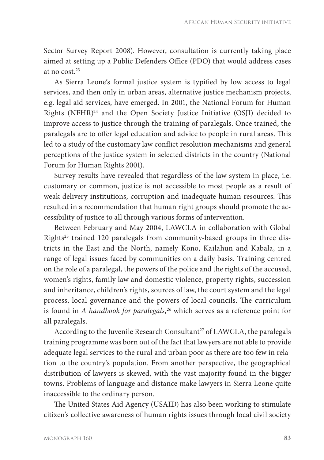Sector Survey Report 2008). However, consultation is currently taking place aimed at setting up a Public Defenders Office (PDO) that would address cases at no cost.23

As Sierra Leone's formal justice system is typified by low access to legal services, and then only in urban areas, alternative justice mechanism projects, e.g. legal aid services, have emerged. In 2001, the National Forum for Human Rights (NFHR)24 and the Open Society Justice Initiative (OSJI) decided to improve access to justice through the training of paralegals. Once trained, the paralegals are to offer legal education and advice to people in rural areas. This led to a study of the customary law conflict resolution mechanisms and general perceptions of the justice system in selected districts in the country (National Forum for Human Rights 2001).

Survey results have revealed that regardless of the law system in place, i.e. customary or common, justice is not accessible to most people as a result of weak delivery institutions, corruption and inadequate human resources. This resulted in a recommendation that human right groups should promote the accessibility of justice to all through various forms of intervention.

Between February and May 2004, LAWCLA in collaboration with Global Rights<sup>25</sup> trained 120 paralegals from community-based groups in three districts in the East and the North, namely Kono, Kailahun and Kabala, in a range of legal issues faced by communities on a daily basis. Training centred on the role of a paralegal, the powers of the police and the rights of the accused, women's rights, family law and domestic violence, property rights, succession and inheritance, children's rights, sources of law, the court system and the legal process, local governance and the powers of local councils. The curriculum is found in *A handbook for paralegals,26* which serves as a reference point for all paralegals.

According to the Juvenile Research Consultant<sup>27</sup> of LAWCLA, the paralegals training programme was born out of the fact that lawyers are not able to provide adequate legal services to the rural and urban poor as there are too few in relation to the country's population. From another perspective, the geographical distribution of lawyers is skewed, with the vast majority found in the bigger towns. Problems of language and distance make lawyers in Sierra Leone quite inaccessible to the ordinary person.

The United States Aid Agency (USAID) has also been working to stimulate citizen's collective awareness of human rights issues through local civil society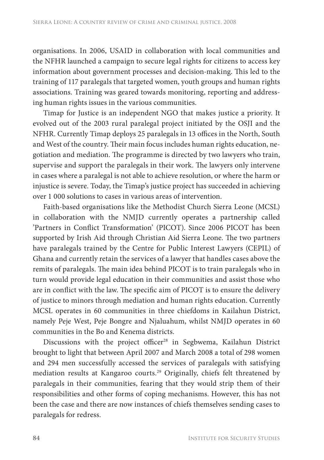organisations. In 2006, USAID in collaboration with local communities and the NFHR launched a campaign to secure legal rights for citizens to access key information about government processes and decision-making. This led to the training of 117 paralegals that targeted women, youth groups and human rights associations. Training was geared towards monitoring, reporting and addressing human rights issues in the various communities.

Timap for Justice is an independent NGO that makes justice a priority. It evolved out of the 2003 rural paralegal project initiated by the OSJI and the NFHR. Currently Timap deploys 25 paralegals in 13 offices in the North, South and West of the country. Their main focus includes human rights education, negotiation and mediation. The programme is directed by two lawyers who train, supervise and support the paralegals in their work. The lawyers only intervene in cases where a paralegal is not able to achieve resolution, or where the harm or injustice is severe. Today, the Timap's justice project has succeeded in achieving over 1 000 solutions to cases in various areas of intervention.

Faith-based organisations like the Methodist Church Sierra Leone (MCSL) in collaboration with the NMJD currently operates a partnership called 'Partners in Conflict Transformation' (PICOT). Since 2006 PICOT has been supported by Irish Aid through Christian Aid Sierra Leone. The two partners have paralegals trained by the Centre for Public Interest Lawyers (CEPIL) of Ghana and currently retain the services of a lawyer that handles cases above the remits of paralegals. The main idea behind PICOT is to train paralegals who in turn would provide legal education in their communities and assist those who are in conflict with the law. The specific aim of PICOT is to ensure the delivery of justice to minors through mediation and human rights education. Currently MCSL operates in 60 communities in three chiefdoms in Kailahun District, namely Peje West, Peje Bongre and Njaluahum, whilst NMJD operates in 60 communities in the Bo and Kenema districts.

Discussions with the project officer<sup>28</sup> in Segbwema, Kailahun District brought to light that between April 2007 and March 2008 a total of 298 women and 294 men successfully accessed the services of paralegals with satisfying mediation results at Kangaroo courts.29 Originally, chiefs felt threatened by paralegals in their communities, fearing that they would strip them of their responsibilities and other forms of coping mechanisms. However, this has not been the case and there are now instances of chiefs themselves sending cases to paralegals for redress.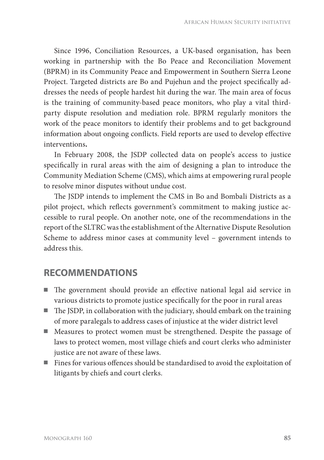Since 1996, Conciliation Resources, a UK-based organisation, has been working in partnership with the Bo Peace and Reconciliation Movement (BPRM) in its Community Peace and Empowerment in Southern Sierra Leone Project. Targeted districts are Bo and Pujehun and the project specifically addresses the needs of people hardest hit during the war. The main area of focus is the training of community-based peace monitors, who play a vital thirdparty dispute resolution and mediation role. BPRM regularly monitors the work of the peace monitors to identify their problems and to get background information about ongoing conflicts. Field reports are used to develop effective interventions**.**

In February 2008, the JSDP collected data on people's access to justice specifically in rural areas with the aim of designing a plan to introduce the Community Mediation Scheme (CMS), which aims at empowering rural people to resolve minor disputes without undue cost.

The JSDP intends to implement the CMS in Bo and Bombali Districts as a pilot project, which reflects government's commitment to making justice accessible to rural people. On another note, one of the recommendations in the report of the SLTRC was the establishment of the Alternative Dispute Resolution Scheme to address minor cases at community level – government intends to address this.

#### **RECOMMENDATIONS**

- $\blacksquare$  The government should provide an effective national legal aid service in various districts to promote justice specifically for the poor in rural areas
- $\blacksquare$  The JSDP, in collaboration with the judiciary, should embark on the training of more paralegals to address cases of injustice at the wider district level
- Measures to protect women must be strengthened. Despite the passage of laws to protect women, most village chiefs and court clerks who administer justice are not aware of these laws.
- $\blacksquare$  Fines for various offences should be standardised to avoid the exploitation of litigants by chiefs and court clerks.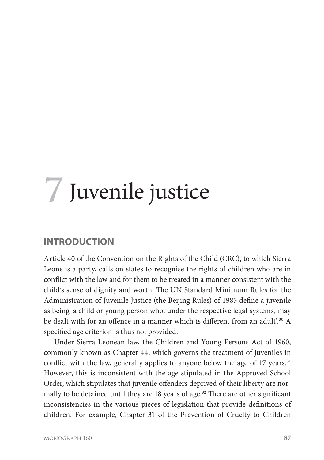# **7** Juvenile justice

#### **INTRODUCTION**

Article 40 of the Convention on the Rights of the Child (CRC), to which Sierra Leone is a party, calls on states to recognise the rights of children who are in conflict with the law and for them to be treated in a manner consistent with the child's sense of dignity and worth. The UN Standard Minimum Rules for the Administration of Juvenile Justice (the Beijing Rules) of 1985 define a juvenile as being 'a child or young person who, under the respective legal systems, may be dealt with for an offence in a manner which is different from an adult'.<sup>30</sup> A specified age criterion is thus not provided.

Under Sierra Leonean law, the Children and Young Persons Act of 1960, commonly known as Chapter 44, which governs the treatment of juveniles in conflict with the law, generally applies to anyone below the age of 17 years.<sup>31</sup> However, this is inconsistent with the age stipulated in the Approved School Order, which stipulates that juvenile offenders deprived of their liberty are normally to be detained until they are  $18$  years of age.<sup>32</sup> There are other significant inconsistencies in the various pieces of legislation that provide definitions of children. For example, Chapter 31 of the Prevention of Cruelty to Children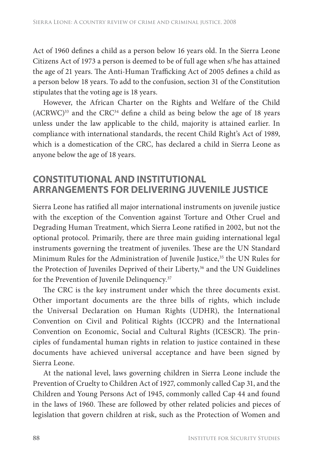Act of 1960 defines a child as a person below 16 years old. In the Sierra Leone Citizens Act of 1973 a person is deemed to be of full age when s/he has attained the age of 21 years. The Anti-Human Trafficking Act of 2005 defines a child as a person below 18 years. To add to the confusion, section 31 of the Constitution stipulates that the voting age is 18 years.

However, the African Charter on the Rights and Welfare of the Child  $(ACRWC)^{33}$  and the  $CRC^{34}$  define a child as being below the age of 18 years unless under the law applicable to the child, majority is attained earlier. In compliance with international standards, the recent Child Right's Act of 1989, which is a domestication of the CRC, has declared a child in Sierra Leone as anyone below the age of 18 years.

#### **CONSTITUTIONAL AND INSTITUTIONAL ARRANGEMENTS FOR DELIVERING JUVENILE JUSTICE**

Sierra Leone has ratified all major international instruments on juvenile justice with the exception of the Convention against Torture and Other Cruel and Degrading Human Treatment, which Sierra Leone ratified in 2002, but not the optional protocol. Primarily, there are three main guiding international legal instruments governing the treatment of juveniles. These are the UN Standard Minimum Rules for the Administration of Juvenile Justice,<sup>35</sup> the UN Rules for the Protection of Juveniles Deprived of their Liberty,<sup>36</sup> and the UN Guidelines for the Prevention of Juvenile Delinquency.<sup>37</sup>

The CRC is the key instrument under which the three documents exist. Other important documents are the three bills of rights, which include the Universal Declaration on Human Rights (UDHR), the International Convention on Civil and Political Rights (ICCPR) and the International Convention on Economic, Social and Cultural Rights (ICESCR). The principles of fundamental human rights in relation to justice contained in these documents have achieved universal acceptance and have been signed by Sierra Leone.

At the national level, laws governing children in Sierra Leone include the Prevention of Cruelty to Children Act of 1927, commonly called Cap 31, and the Children and Young Persons Act of 1945, commonly called Cap 44 and found in the laws of 1960. These are followed by other related policies and pieces of legislation that govern children at risk, such as the Protection of Women and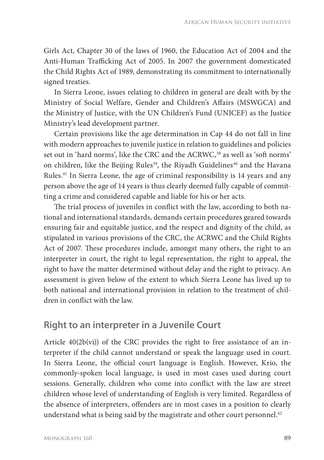Girls Act, Chapter 30 of the laws of 1960, the Education Act of 2004 and the Anti-Human Trafficking Act of 2005. In 2007 the government domesticated the Child Rights Act of 1989, demonstrating its commitment to internationally signed treaties.

In Sierra Leone, issues relating to children in general are dealt with by the Ministry of Social Welfare, Gender and Children's Affairs (MSWGCA) and the Ministry of Justice, with the UN Children's Fund (UNICEF) as the Justice Ministry's lead development partner.

Certain provisions like the age determination in Cap 44 do not fall in line with modern approaches to juvenile justice in relation to guidelines and policies set out in 'hard norms', like the CRC and the ACRWC,<sup>38</sup> as well as 'soft norms' on children, like the Beijing Rules<sup>39</sup>, the Riyadh Guidelines<sup>40</sup> and the Havana Rules.41 In Sierra Leone, the age of criminal responsibility is 14 years and any person above the age of 14 years is thus clearly deemed fully capable of committing a crime and considered capable and liable for his or her acts.

The trial process of juveniles in conflict with the law, according to both national and international standards, demands certain procedures geared towards ensuring fair and equitable justice, and the respect and dignity of the child, as stipulated in various provisions of the CRC, the ACRWC and the Child Rights Act of 2007. These procedures include, amongst many others, the right to an interpreter in court, the right to legal representation, the right to appeal, the right to have the matter determined without delay and the right to privacy. An assessment is given below of the extent to which Sierra Leone has lived up to both national and international provision in relation to the treatment of children in conflict with the law.

#### **Right to an interpreter in a Juvenile Court**

Article  $40(2b(vi))$  of the CRC provides the right to free assistance of an interpreter if the child cannot understand or speak the language used in court. In Sierra Leone, the official court language is English. However, Krio, the commonly-spoken local language, is used in most cases used during court sessions. Generally, children who come into conflict with the law are street children whose level of understanding of English is very limited. Regardless of the absence of interpreters, offenders are in most cases in a position to clearly understand what is being said by the magistrate and other court personnel.<sup>42</sup>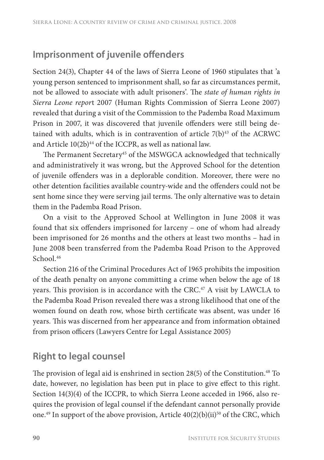## **Imprisonment of juvenile offenders**

Section 24(3), Chapter 44 of the laws of Sierra Leone of 1960 stipulates that 'a young person sentenced to imprisonment shall, so far as circumstances permit, not be allowed to associate with adult prisoners'. The *state of human rights in Sierra Leone repor*t 2007 (Human Rights Commission of Sierra Leone 2007) revealed that during a visit of the Commission to the Pademba Road Maximum Prison in 2007, it was discovered that juvenile offenders were still being detained with adults, which is in contravention of article  $7(b)^{43}$  of the ACRWC and Article  $10(2b)^{44}$  of the ICCPR, as well as national law.

The Permanent Secretary<sup>45</sup> of the MSWGCA acknowledged that technically and administratively it was wrong, but the Approved School for the detention of juvenile offenders was in a deplorable condition. Moreover, there were no other detention facilities available country-wide and the offenders could not be sent home since they were serving jail terms. The only alternative was to detain them in the Pademba Road Prison.

On a visit to the Approved School at Wellington in June 2008 it was found that six offenders imprisoned for larceny – one of whom had already been imprisoned for 26 months and the others at least two months – had in June 2008 been transferred from the Pademba Road Prison to the Approved School.<sup>46</sup>

Section 216 of the Criminal Procedures Act of 1965 prohibits the imposition of the death penalty on anyone committing a crime when below the age of 18 years. This provision is in accordance with the CRC. $47$  A visit by LAWCLA to the Pademba Road Prison revealed there was a strong likelihood that one of the women found on death row, whose birth certificate was absent, was under 16 years. This was discerned from her appearance and from information obtained from prison officers (Lawyers Centre for Legal Assistance 2005)

## **Right to legal counsel**

The provision of legal aid is enshrined in section  $28(5)$  of the Constitution.<sup>48</sup> To date, however, no legislation has been put in place to give effect to this right. Section 14(3)(4) of the ICCPR, to which Sierra Leone acceded in 1966, also requires the provision of legal counsel if the defendant cannot personally provide one.<sup>49</sup> In support of the above provision, Article  $40(2)(b)(ii)^{50}$  of the CRC, which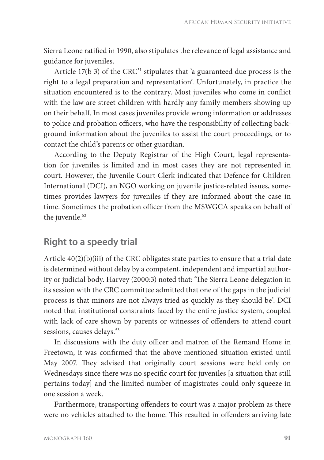Sierra Leone ratified in 1990, also stipulates the relevance of legal assistance and guidance for juveniles.

Article  $17(b\ 3)$  of the CRC<sup>51</sup> stipulates that 'a guaranteed due process is the right to a legal preparation and representation'. Unfortunately, in practice the situation encountered is to the contrary. Most juveniles who come in conflict with the law are street children with hardly any family members showing up on their behalf. In most cases juveniles provide wrong information or addresses to police and probation officers, who have the responsibility of collecting background information about the juveniles to assist the court proceedings, or to contact the child's parents or other guardian.

According to the Deputy Registrar of the High Court, legal representation for juveniles is limited and in most cases they are not represented in court. However, the Juvenile Court Clerk indicated that Defence for Children International (DCI), an NGO working on juvenile justice-related issues, sometimes provides lawyers for juveniles if they are informed about the case in time. Sometimes the probation officer from the MSWGCA speaks on behalf of the juvenile.<sup>52</sup>

#### **Right to a speedy trial**

Article 40(2)(b)(iii) of the CRC obligates state parties to ensure that a trial date is determined without delay by a competent, independent and impartial authority or judicial body. Harvey (2000:3) noted that: 'The Sierra Leone delegation in its session with the CRC committee admitted that one of the gaps in the judicial process is that minors are not always tried as quickly as they should be'. DCI noted that institutional constraints faced by the entire justice system, coupled with lack of care shown by parents or witnesses of offenders to attend court sessions, causes delays.<sup>53</sup>

In discussions with the duty officer and matron of the Remand Home in Freetown, it was confirmed that the above-mentioned situation existed until May 2007. They advised that originally court sessions were held only on Wednesdays since there was no specific court for juveniles [a situation that still pertains today] and the limited number of magistrates could only squeeze in one session a week.

Furthermore, transporting offenders to court was a major problem as there were no vehicles attached to the home. This resulted in offenders arriving late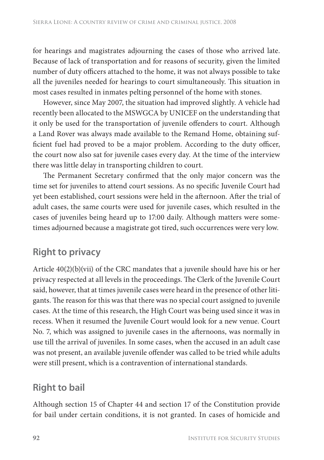for hearings and magistrates adjourning the cases of those who arrived late. Because of lack of transportation and for reasons of security, given the limited number of duty officers attached to the home, it was not always possible to take all the juveniles needed for hearings to court simultaneously. This situation in most cases resulted in inmates pelting personnel of the home with stones.

However, since May 2007, the situation had improved slightly. A vehicle had recently been allocated to the MSWGCA by UNICEF on the understanding that it only be used for the transportation of juvenile offenders to court. Although a Land Rover was always made available to the Remand Home, obtaining sufficient fuel had proved to be a major problem. According to the duty officer, the court now also sat for juvenile cases every day. At the time of the interview there was little delay in transporting children to court.

The Permanent Secretary confirmed that the only major concern was the time set for juveniles to attend court sessions. As no specific Juvenile Court had yet been established, court sessions were held in the afternoon. After the trial of adult cases, the same courts were used for juvenile cases, which resulted in the cases of juveniles being heard up to 17:00 daily. Although matters were sometimes adjourned because a magistrate got tired, such occurrences were very low.

## **Right to privacy**

Article 40(2)(b)(vii) of the CRC mandates that a juvenile should have his or her privacy respected at all levels in the proceedings. The Clerk of the Juvenile Court said, however, that at times juvenile cases were heard in the presence of other litigants. The reason for this was that there was no special court assigned to juvenile cases. At the time of this research, the High Court was being used since it was in recess. When it resumed the Juvenile Court would look for a new venue. Court No. 7, which was assigned to juvenile cases in the afternoons, was normally in use till the arrival of juveniles. In some cases, when the accused in an adult case was not present, an available juvenile offender was called to be tried while adults were still present, which is a contravention of international standards.

## **Right to bail**

Although section 15 of Chapter 44 and section 17 of the Constitution provide for bail under certain conditions, it is not granted. In cases of homicide and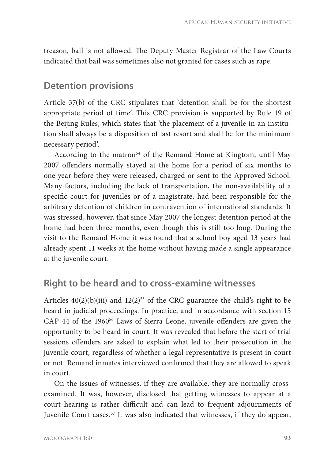treason, bail is not allowed. The Deputy Master Registrar of the Law Courts indicated that bail was sometimes also not granted for cases such as rape.

#### **Detention provisions**

Article 37(b) of the CRC stipulates that 'detention shall be for the shortest appropriate period of time'. This CRC provision is supported by Rule 19 of the Beijing Rules, which states that 'the placement of a juvenile in an institution shall always be a disposition of last resort and shall be for the minimum necessary period'.

According to the matron<sup>54</sup> of the Remand Home at Kingtom, until May 2007 offenders normally stayed at the home for a period of six months to one year before they were released, charged or sent to the Approved School. Many factors, including the lack of transportation, the non-availability of a specific court for juveniles or of a magistrate, had been responsible for the arbitrary detention of children in contravention of international standards. It was stressed, however, that since May 2007 the longest detention period at the home had been three months, even though this is still too long. During the visit to the Remand Home it was found that a school boy aged 13 years had already spent 11 weeks at the home without having made a single appearance at the juvenile court.

#### **Right to be heard and to cross-examine witnesses**

Articles  $40(2)(b)(iii)$  and  $12(2)^{55}$  of the CRC guarantee the child's right to be heard in judicial proceedings. In practice, and in accordance with section 15 CAP 44 of the 1960<sup>56</sup> Laws of Sierra Leone, juvenile offenders are given the opportunity to be heard in court. It was revealed that before the start of trial sessions offenders are asked to explain what led to their prosecution in the juvenile court, regardless of whether a legal representative is present in court or not. Remand inmates interviewed confirmed that they are allowed to speak in court.

On the issues of witnesses, if they are available, they are normally crossexamined. It was, however, disclosed that getting witnesses to appear at a court hearing is rather difficult and can lead to frequent adjournments of Juvenile Court cases.57 It was also indicated that witnesses, if they do appear,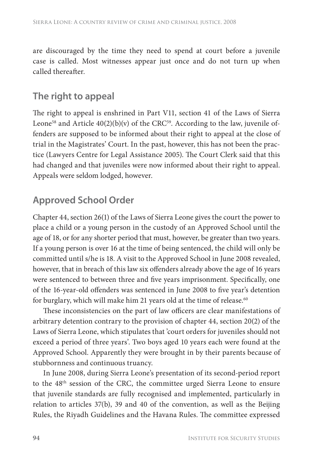are discouraged by the time they need to spend at court before a juvenile case is called. Most witnesses appear just once and do not turn up when called thereafter.

## **The right to appeal**

The right to appeal is enshrined in Part V11, section 41 of the Laws of Sierra Leone<sup>58</sup> and Article  $40(2)(b)(v)$  of the CRC<sup>59</sup>. According to the law, juvenile offenders are supposed to be informed about their right to appeal at the close of trial in the Magistrates' Court. In the past, however, this has not been the practice (Lawyers Centre for Legal Assistance 2005). The Court Clerk said that this had changed and that juveniles were now informed about their right to appeal. Appeals were seldom lodged, however.

## **Approved School Order**

Chapter 44, section 26(1) of the Laws of Sierra Leone gives the court the power to place a child or a young person in the custody of an Approved School until the age of 18, or for any shorter period that must, however, be greater than two years. If a young person is over 16 at the time of being sentenced, the child will only be committed until s/he is 18. A visit to the Approved School in June 2008 revealed, however, that in breach of this law six offenders already above the age of 16 years were sentenced to between three and five years imprisonment. Specifically, one of the 16-year-old offenders was sentenced in June 2008 to five year's detention for burglary, which will make him 21 years old at the time of release.<sup>60</sup>

These inconsistencies on the part of law officers are clear manifestations of arbitrary detention contrary to the provision of chapter 44, section 20(2) of the Laws of Sierra Leone, which stipulates that 'court orders for juveniles should not exceed a period of three years'. Two boys aged 10 years each were found at the Approved School. Apparently they were brought in by their parents because of stubbornness and continuous truancy.

In June 2008, during Sierra Leone's presentation of its second-period report to the 48th session of the CRC, the committee urged Sierra Leone to ensure that juvenile standards are fully recognised and implemented, particularly in relation to articles 37(b), 39 and 40 of the convention, as well as the Beijing Rules, the Riyadh Guidelines and the Havana Rules. The committee expressed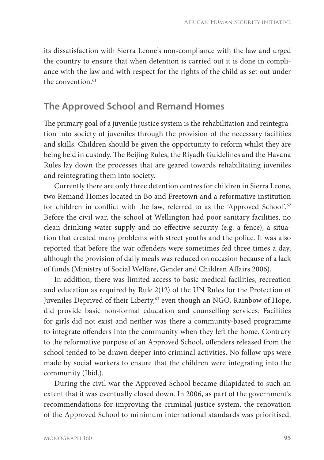its dissatisfaction with Sierra Leone's non-compliance with the law and urged the country to ensure that when detention is carried out it is done in compliance with the law and with respect for the rights of the child as set out under the convention.<sup>61</sup>

#### **The Approved School and Remand Homes**

The primary goal of a juvenile justice system is the rehabilitation and reintegration into society of juveniles through the provision of the necessary facilities and skills. Children should be given the opportunity to reform whilst they are being held in custody. The Beijing Rules, the Riyadh Guidelines and the Havana Rules lay down the processes that are geared towards rehabilitating juveniles and reintegrating them into society.

Currently there are only three detention centres for children in Sierra Leone, two Remand Homes located in Bo and Freetown and a reformative institution for children in conflict with the law, referred to as the 'Approved School'.<sup>62</sup> Before the civil war, the school at Wellington had poor sanitary facilities, no clean drinking water supply and no effective security (e.g. a fence), a situation that created many problems with street youths and the police. It was also reported that before the war offenders were sometimes fed three times a day, although the provision of daily meals was reduced on occasion because of a lack of funds (Ministry of Social Welfare, Gender and Children Affairs 2006).

In addition, there was limited access to basic medical facilities, recreation and education as required by Rule 2(12) of the UN Rules for the Protection of Juveniles Deprived of their Liberty,<sup>63</sup> even though an NGO, Rainbow of Hope, did provide basic non-formal education and counselling services. Facilities for girls did not exist and neither was there a community-based programme to integrate offenders into the community when they left the home. Contrary to the reformative purpose of an Approved School, offenders released from the school tended to be drawn deeper into criminal activities. No follow-ups were made by social workers to ensure that the children were integrating into the community (Ibid.).

During the civil war the Approved School became dilapidated to such an extent that it was eventually closed down. In 2006, as part of the government's recommendations for improving the criminal justice system, the renovation of the Approved School to minimum international standards was prioritised.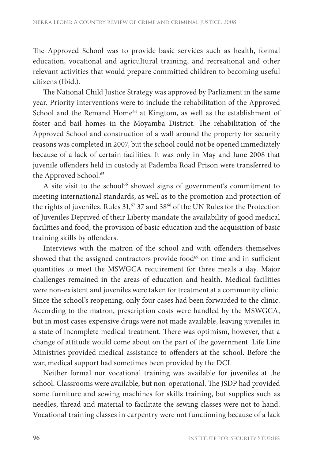The Approved School was to provide basic services such as health, formal education, vocational and agricultural training, and recreational and other relevant activities that would prepare committed children to becoming useful citizens (Ibid.).

The National Child Justice Strategy was approved by Parliament in the same year. Priority interventions were to include the rehabilitation of the Approved School and the Remand Home<sup>64</sup> at Kingtom, as well as the establishment of foster and bail homes in the Moyamba District. The rehabilitation of the Approved School and construction of a wall around the property for security reasons was completed in 2007, but the school could not be opened immediately because of a lack of certain facilities. It was only in May and June 2008 that juvenile offenders held in custody at Pademba Road Prison were transferred to the Approved School.<sup>65</sup>

A site visit to the school<sup>66</sup> showed signs of government's commitment to meeting international standards, as well as to the promotion and protection of the rights of juveniles. Rules 31,<sup>67</sup> 37 and 38<sup>68</sup> of the UN Rules for the Protection of Juveniles Deprived of their Liberty mandate the availability of good medical facilities and food, the provision of basic education and the acquisition of basic training skills by offenders.

Interviews with the matron of the school and with offenders themselves showed that the assigned contractors provide food<sup>69</sup> on time and in sufficient quantities to meet the MSWGCA requirement for three meals a day. Major challenges remained in the areas of education and health. Medical facilities were non-existent and juveniles were taken for treatment at a community clinic. Since the school's reopening, only four cases had been forwarded to the clinic. According to the matron, prescription costs were handled by the MSWGCA, but in most cases expensive drugs were not made available, leaving juveniles in a state of incomplete medical treatment. There was optimism, however, that a change of attitude would come about on the part of the government. Life Line Ministries provided medical assistance to offenders at the school. Before the war, medical support had sometimes been provided by the DCI.

Neither formal nor vocational training was available for juveniles at the school. Classrooms were available, but non-operational. The JSDP had provided some furniture and sewing machines for skills training, but supplies such as needles, thread and material to facilitate the sewing classes were not to hand. Vocational training classes in carpentry were not functioning because of a lack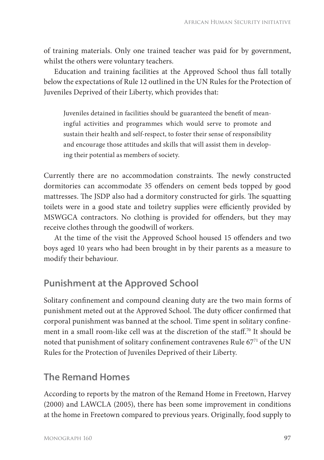of training materials. Only one trained teacher was paid for by government, whilst the others were voluntary teachers.

Education and training facilities at the Approved School thus fall totally below the expectations of Rule 12 outlined in the UN Rules for the Protection of Juveniles Deprived of their Liberty, which provides that:

Juveniles detained in facilities should be guaranteed the benefit of meaningful activities and programmes which would serve to promote and sustain their health and self-respect, to foster their sense of responsibility and encourage those attitudes and skills that will assist them in developing their potential as members of society.

Currently there are no accommodation constraints. The newly constructed dormitories can accommodate 35 offenders on cement beds topped by good mattresses. The JSDP also had a dormitory constructed for girls. The squatting toilets were in a good state and toiletry supplies were efficiently provided by MSWGCA contractors. No clothing is provided for offenders, but they may receive clothes through the goodwill of workers.

At the time of the visit the Approved School housed 15 offenders and two boys aged 10 years who had been brought in by their parents as a measure to modify their behaviour.

## **Punishment at the Approved School**

Solitary confinement and compound cleaning duty are the two main forms of punishment meted out at the Approved School. The duty officer confirmed that corporal punishment was banned at the school. Time spent in solitary confinement in a small room-like cell was at the discretion of the staff.<sup>70</sup> It should be noted that punishment of solitary confinement contravenes Rule 67<sup>71</sup> of the UN Rules for the Protection of Juveniles Deprived of their Liberty.

#### **The Remand Homes**

According to reports by the matron of the Remand Home in Freetown, Harvey (2000) and LAWCLA (2005), there has been some improvement in conditions at the home in Freetown compared to previous years. Originally, food supply to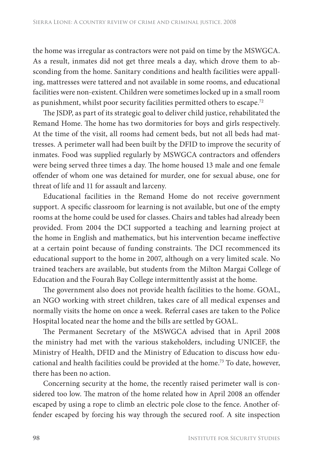the home was irregular as contractors were not paid on time by the MSWGCA. As a result, inmates did not get three meals a day, which drove them to absconding from the home. Sanitary conditions and health facilities were appalling, mattresses were tattered and not available in some rooms, and educational facilities were non-existent. Children were sometimes locked up in a small room as punishment, whilst poor security facilities permitted others to escape.72

The JSDP, as part of its strategic goal to deliver child justice, rehabilitated the Remand Home. The home has two dormitories for boys and girls respectively. At the time of the visit, all rooms had cement beds, but not all beds had mattresses. A perimeter wall had been built by the DFID to improve the security of inmates. Food was supplied regularly by MSWGCA contractors and offenders were being served three times a day. The home housed 13 male and one female offender of whom one was detained for murder, one for sexual abuse, one for threat of life and 11 for assault and larceny.

Educational facilities in the Remand Home do not receive government support. A specific classroom for learning is not available, but one of the empty rooms at the home could be used for classes. Chairs and tables had already been provided. From 2004 the DCI supported a teaching and learning project at the home in English and mathematics, but his intervention became ineffective at a certain point because of funding constraints. The DCI recommenced its educational support to the home in 2007, although on a very limited scale. No trained teachers are available, but students from the Milton Margai College of Education and the Fourah Bay College intermittently assist at the home.

The government also does not provide health facilities to the home. GOAL, an NGO working with street children, takes care of all medical expenses and normally visits the home on once a week. Referral cases are taken to the Police Hospital located near the home and the bills are settled by GOAL.

The Permanent Secretary of the MSWGCA advised that in April 2008 the ministry had met with the various stakeholders, including UNICEF, the Ministry of Health, DFID and the Ministry of Education to discuss how educational and health facilities could be provided at the home.73 To date, however, there has been no action.

Concerning security at the home, the recently raised perimeter wall is considered too low. The matron of the home related how in April 2008 an offender escaped by using a rope to climb an electric pole close to the fence. Another offender escaped by forcing his way through the secured roof. A site inspection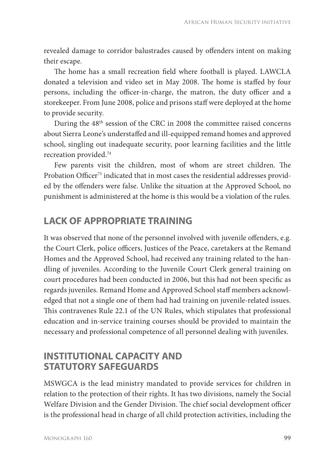revealed damage to corridor balustrades caused by offenders intent on making their escape.

The home has a small recreation field where football is played. LAWCLA donated a television and video set in May 2008. The home is staffed by four persons, including the officer-in-charge, the matron, the duty officer and a storekeeper. From June 2008, police and prisons staff were deployed at the home to provide security.

During the 48th session of the CRC in 2008 the committee raised concerns about Sierra Leone's understaffed and ill-equipped remand homes and approved school, singling out inadequate security, poor learning facilities and the little recreation provided.74

Few parents visit the children, most of whom are street children. The Probation Officer<sup>75</sup> indicated that in most cases the residential addresses provided by the offenders were false. Unlike the situation at the Approved School, no punishment is administered at the home is this would be a violation of the rules.

## **LACK OF APPROPRIATE TRAINING**

It was observed that none of the personnel involved with juvenile offenders, e.g. the Court Clerk, police officers, Justices of the Peace, caretakers at the Remand Homes and the Approved School, had received any training related to the handling of juveniles. According to the Juvenile Court Clerk general training on court procedures had been conducted in 2006, but this had not been specific as regards juveniles. Remand Home and Approved School staff members acknowledged that not a single one of them had had training on juvenile-related issues. This contravenes Rule 22.1 of the UN Rules, which stipulates that professional education and in-service training courses should be provided to maintain the necessary and professional competence of all personnel dealing with juveniles.

#### **INSTITUTIONAL CAPACITY AND STATUTORY SAFEGUARDS**

MSWGCA is the lead ministry mandated to provide services for children in relation to the protection of their rights. It has two divisions, namely the Social Welfare Division and the Gender Division. The chief social development officer is the professional head in charge of all child protection activities, including the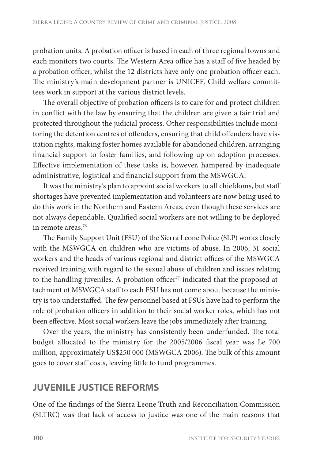probation units. A probation officer is based in each of three regional towns and each monitors two courts. The Western Area office has a staff of five headed by a probation officer, whilst the 12 districts have only one probation officer each. The ministry's main development partner is UNICEF. Child welfare committees work in support at the various district levels.

The overall objective of probation officers is to care for and protect children in conflict with the law by ensuring that the children are given a fair trial and protected throughout the judicial process. Other responsibilities include monitoring the detention centres of offenders, ensuring that child offenders have visitation rights, making foster homes available for abandoned children, arranging financial support to foster families, and following up on adoption processes. Effective implementation of these tasks is, however, hampered by inadequate administrative, logistical and financial support from the MSWGCA.

It was the ministry's plan to appoint social workers to all chiefdoms, but staff shortages have prevented implementation and volunteers are now being used to do this work in the Northern and Eastern Areas, even though these services are not always dependable. Qualified social workers are not willing to be deployed in remote areas.<sup>76</sup>

The Family Support Unit (FSU) of the Sierra Leone Police (SLP) works closely with the MSWGCA on children who are victims of abuse. In 2006, 31 social workers and the heads of various regional and district offices of the MSWGCA received training with regard to the sexual abuse of children and issues relating to the handling juveniles. A probation officer<sup>77</sup> indicated that the proposed attachment of MSWGCA staff to each FSU has not come about because the ministry is too understaffed. The few personnel based at FSUs have had to perform the role of probation officers in addition to their social worker roles, which has not been effective. Most social workers leave the jobs immediately after training.

Over the years, the ministry has consistently been underfunded. The total budget allocated to the ministry for the 2005/2006 fiscal year was Le 700 million, approximately US\$250 000 (MSWGCA 2006). The bulk of this amount goes to cover staff costs, leaving little to fund programmes.

#### **JUVENILE JUSTICE REFORMS**

One of the findings of the Sierra Leone Truth and Reconciliation Commission (SLTRC) was that lack of access to justice was one of the main reasons that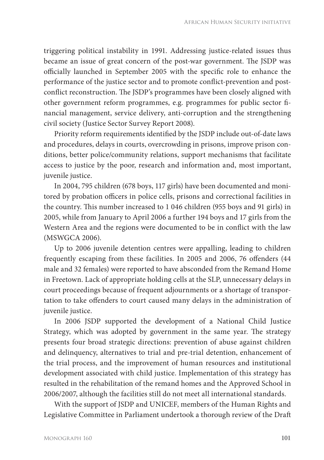triggering political instability in 1991. Addressing justice-related issues thus became an issue of great concern of the post-war government. The JSDP was officially launched in September 2005 with the specific role to enhance the performance of the justice sector and to promote conflict-prevention and postconflict reconstruction. The JSDP's programmes have been closely aligned with other government reform programmes, e.g. programmes for public sector financial management, service delivery, anti-corruption and the strengthening civil society (Justice Sector Survey Report 2008).

Priority reform requirements identified by the JSDP include out-of-date laws and procedures, delays in courts, overcrowding in prisons, improve prison conditions, better police/community relations, support mechanisms that facilitate access to justice by the poor, research and information and, most important, juvenile justice.

In 2004, 795 children (678 boys, 117 girls) have been documented and monitored by probation officers in police cells, prisons and correctional facilities in the country. This number increased to 1 046 children (955 boys and 91 girls) in 2005, while from January to April 2006 a further 194 boys and 17 girls from the Western Area and the regions were documented to be in conflict with the law (MSWGCA 2006).

Up to 2006 juvenile detention centres were appalling, leading to children frequently escaping from these facilities. In 2005 and 2006, 76 offenders (44 male and 32 females) were reported to have absconded from the Remand Home in Freetown. Lack of appropriate holding cells at the SLP, unnecessary delays in court proceedings because of frequent adjournments or a shortage of transportation to take offenders to court caused many delays in the administration of juvenile justice.

In 2006 JSDP supported the development of a National Child Justice Strategy, which was adopted by government in the same year. The strategy presents four broad strategic directions: prevention of abuse against children and delinquency, alternatives to trial and pre-trial detention, enhancement of the trial process, and the improvement of human resources and institutional development associated with child justice. Implementation of this strategy has resulted in the rehabilitation of the remand homes and the Approved School in 2006/2007, although the facilities still do not meet all international standards.

With the support of JSDP and UNICEF, members of the Human Rights and Legislative Committee in Parliament undertook a thorough review of the Draft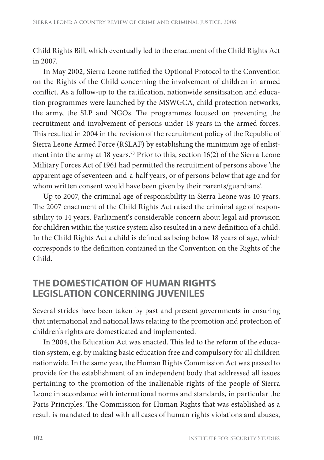Child Rights Bill, which eventually led to the enactment of the Child Rights Act in 2007.

In May 2002, Sierra Leone ratified the Optional Protocol to the Convention on the Rights of the Child concerning the involvement of children in armed conflict. As a follow-up to the ratification, nationwide sensitisation and education programmes were launched by the MSWGCA, child protection networks, the army, the SLP and NGOs. The programmes focused on preventing the recruitment and involvement of persons under 18 years in the armed forces. This resulted in 2004 in the revision of the recruitment policy of the Republic of Sierra Leone Armed Force (RSLAF) by establishing the minimum age of enlistment into the army at 18 years.78 Prior to this, section 16(2) of the Sierra Leone Military Forces Act of 1961 had permitted the recruitment of persons above 'the apparent age of seventeen-and-a-half years, or of persons below that age and for whom written consent would have been given by their parents/guardians'.

Up to 2007, the criminal age of responsibility in Sierra Leone was 10 years. The 2007 enactment of the Child Rights Act raised the criminal age of responsibility to 14 years. Parliament's considerable concern about legal aid provision for children within the justice system also resulted in a new definition of a child. In the Child Rights Act a child is defined as being below 18 years of age, which corresponds to the definition contained in the Convention on the Rights of the Child.

#### **THE DOMESTICATION OF HUMAN RIGHTS LEGISLATION CONCERNING JUVENILES**

Several strides have been taken by past and present governments in ensuring that international and national laws relating to the promotion and protection of children's rights are domesticated and implemented.

In 2004, the Education Act was enacted. This led to the reform of the education system, e.g. by making basic education free and compulsory for all children nationwide. In the same year, the Human Rights Commission Act was passed to provide for the establishment of an independent body that addressed all issues pertaining to the promotion of the inalienable rights of the people of Sierra Leone in accordance with international norms and standards, in particular the Paris Principles. The Commission for Human Rights that was established as a result is mandated to deal with all cases of human rights violations and abuses,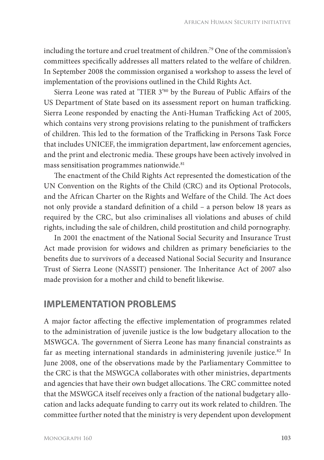including the torture and cruel treatment of children.79 One of the commission's committees specifically addresses all matters related to the welfare of children. In September 2008 the commission organised a workshop to assess the level of implementation of the provisions outlined in the Child Rights Act.

Sierra Leone was rated at 'TIER 3'80 by the Bureau of Public Affairs of the US Department of State based on its assessment report on human trafficking. Sierra Leone responded by enacting the Anti-Human Trafficking Act of 2005, which contains very strong provisions relating to the punishment of traffickers of children. This led to the formation of the Trafficking in Persons Task Force that includes UNICEF, the immigration department, law enforcement agencies, and the print and electronic media. These groups have been actively involved in mass sensitisation programmes nationwide.<sup>81</sup>

The enactment of the Child Rights Act represented the domestication of the UN Convention on the Rights of the Child (CRC) and its Optional Protocols, and the African Charter on the Rights and Welfare of the Child. The Act does not only provide a standard definition of a child – a person below 18 years as required by the CRC, but also criminalises all violations and abuses of child rights, including the sale of children, child prostitution and child pornography.

In 2001 the enactment of the National Social Security and Insurance Trust Act made provision for widows and children as primary beneficiaries to the benefits due to survivors of a deceased National Social Security and Insurance Trust of Sierra Leone (NASSIT) pensioner. The Inheritance Act of 2007 also made provision for a mother and child to benefit likewise.

#### **IMPLEMENTATION PROBLEMS**

A major factor affecting the effective implementation of programmes related to the administration of juvenile justice is the low budgetary allocation to the MSWGCA. The government of Sierra Leone has many financial constraints as far as meeting international standards in administering juvenile justice.<sup>82</sup> In June 2008, one of the observations made by the Parliamentary Committee to the CRC is that the MSWGCA collaborates with other ministries, departments and agencies that have their own budget allocations. The CRC committee noted that the MSWGCA itself receives only a fraction of the national budgetary allocation and lacks adequate funding to carry out its work related to children. The committee further noted that the ministry is very dependent upon development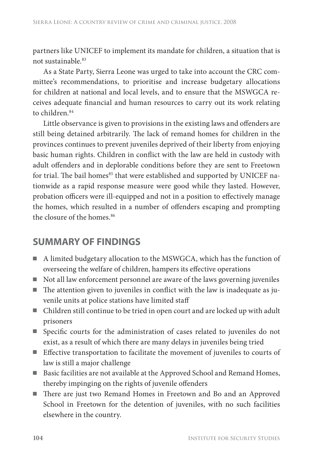partners like UNICEF to implement its mandate for children, a situation that is not sustainable.83

As a State Party, Sierra Leone was urged to take into account the CRC committee's recommendations, to prioritise and increase budgetary allocations for children at national and local levels, and to ensure that the MSWGCA receives adequate financial and human resources to carry out its work relating to children.<sup>84</sup>

Little observance is given to provisions in the existing laws and offenders are still being detained arbitrarily. The lack of remand homes for children in the provinces continues to prevent juveniles deprived of their liberty from enjoying basic human rights. Children in conflict with the law are held in custody with adult offenders and in deplorable conditions before they are sent to Freetown for trial. The bail homes<sup>85</sup> that were established and supported by UNICEF nationwide as a rapid response measure were good while they lasted. However, probation officers were ill-equipped and not in a position to effectively manage the homes, which resulted in a number of offenders escaping and prompting the closure of the homes.<sup>86</sup>

#### **SUMMARY OF FINDINGS**

- A limited budgetary allocation to the MSWGCA, which has the function of overseeing the welfare of children, hampers its effective operations
- Not all law enforcement personnel are aware of the laws governing juveniles
- $\blacksquare$  The attention given to juveniles in conflict with the law is inadequate as juvenile units at police stations have limited staff
- Children still continue to be tried in open court and are locked up with adult prisoners
- Specific courts for the administration of cases related to juveniles do not exist, as a result of which there are many delays in juveniles being tried
- Effective transportation to facilitate the movement of juveniles to courts of law is still a major challenge
- Basic facilities are not available at the Approved School and Remand Homes, thereby impinging on the rights of juvenile offenders
- There are just two Remand Homes in Freetown and Bo and an Approved School in Freetown for the detention of juveniles, with no such facilities elsewhere in the country.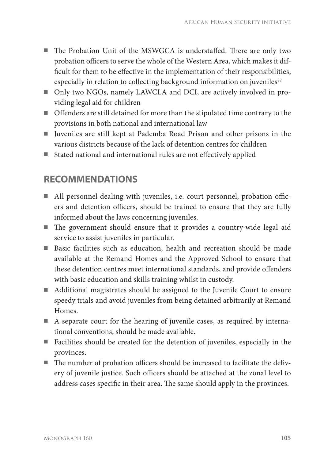- The Probation Unit of the MSWGCA is understaffed. There are only two probation officers to serve the whole of the Western Area, which makes it difficult for them to be effective in the implementation of their responsibilities, especially in relation to collecting background information on juveniles<sup>87</sup>
- Only two NGOs, namely LAWCLA and DCI, are actively involved in providing legal aid for children
- Offenders are still detained for more than the stipulated time contrary to the provisions in both national and international law
- Iuveniles are still kept at Pademba Road Prison and other prisons in the various districts because of the lack of detention centres for children
- $\blacksquare$  Stated national and international rules are not effectively applied

## **RECOMMENDATIONS**

- All personnel dealing with juveniles, i.e. court personnel, probation officers and detention officers, should be trained to ensure that they are fully informed about the laws concerning juveniles.
- $\blacksquare$  The government should ensure that it provides a country-wide legal aid service to assist juveniles in particular.
- Basic facilities such as education, health and recreation should be made available at the Remand Homes and the Approved School to ensure that these detention centres meet international standards, and provide offenders with basic education and skills training whilst in custody.
- Additional magistrates should be assigned to the Juvenile Court to ensure speedy trials and avoid juveniles from being detained arbitrarily at Remand Homes.
- A separate court for the hearing of juvenile cases, as required by international conventions, should be made available.
- Facilities should be created for the detention of juveniles, especially in the provinces.
- $\blacksquare$  The number of probation officers should be increased to facilitate the delivery of juvenile justice. Such officers should be attached at the zonal level to address cases specific in their area. The same should apply in the provinces.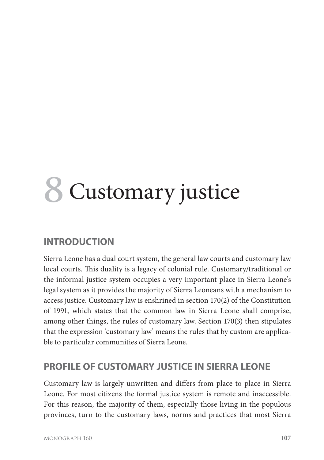# **8** Customary justice

## **INTRODUCTION**

Sierra Leone has a dual court system, the general law courts and customary law local courts. This duality is a legacy of colonial rule. Customary/traditional or the informal justice system occupies a very important place in Sierra Leone's legal system as it provides the majority of Sierra Leoneans with a mechanism to access justice. Customary law is enshrined in section 170(2) of the Constitution of 1991, which states that the common law in Sierra Leone shall comprise, among other things, the rules of customary law. Section 170(3) then stipulates that the expression 'customary law' means the rules that by custom are applicable to particular communities of Sierra Leone.

#### **PROFILE OF CUSTOMARY JUSTICE IN SIERRA LEONE**

Customary law is largely unwritten and differs from place to place in Sierra Leone. For most citizens the formal justice system is remote and inaccessible. For this reason, the majority of them, especially those living in the populous provinces, turn to the customary laws, norms and practices that most Sierra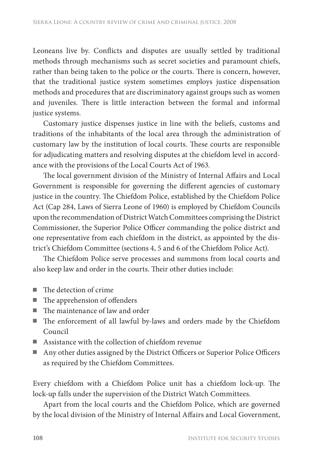Leoneans live by. Conflicts and disputes are usually settled by traditional methods through mechanisms such as secret societies and paramount chiefs, rather than being taken to the police or the courts. There is concern, however, that the traditional justice system sometimes employs justice dispensation methods and procedures that are discriminatory against groups such as women and juveniles. There is little interaction between the formal and informal justice systems.

Customary justice dispenses justice in line with the beliefs, customs and traditions of the inhabitants of the local area through the administration of customary law by the institution of local courts. These courts are responsible for adjudicating matters and resolving disputes at the chiefdom level in accordance with the provisions of the Local Courts Act of 1963.

The local government division of the Ministry of Internal Affairs and Local Government is responsible for governing the different agencies of customary justice in the country. The Chiefdom Police, established by the Chiefdom Police Act (Cap 284, Laws of Sierra Leone of 1960) is employed by Chiefdom Councils upon the recommendation of District Watch Committees comprising the District Commissioner, the Superior Police Officer commanding the police district and one representative from each chiefdom in the district, as appointed by the district's Chiefdom Committee (sections 4, 5 and 6 of the Chiefdom Police Act).

The Chiefdom Police serve processes and summons from local courts and also keep law and order in the courts. Their other duties include:

- $\blacksquare$  The detection of crime
- $\blacksquare$  The apprehension of offenders
- $\blacksquare$  The maintenance of law and order
- The enforcement of all lawful by-laws and orders made by the Chiefdom Council
- Assistance with the collection of chiefdom revenue
- Any other duties assigned by the District Officers or Superior Police Officers as required by the Chiefdom Committees.

Every chiefdom with a Chiefdom Police unit has a chiefdom lock-up. The lock-up falls under the supervision of the District Watch Committees.

Apart from the local courts and the Chiefdom Police, which are governed by the local division of the Ministry of Internal Affairs and Local Government,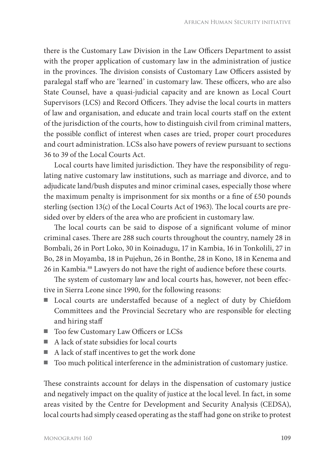there is the Customary Law Division in the Law Officers Department to assist with the proper application of customary law in the administration of justice in the provinces. The division consists of Customary Law Officers assisted by paralegal staff who are 'learned' in customary law. These officers, who are also State Counsel, have a quasi-judicial capacity and are known as Local Court Supervisors (LCS) and Record Officers. They advise the local courts in matters of law and organisation, and educate and train local courts staff on the extent of the jurisdiction of the courts, how to distinguish civil from criminal matters, the possible conflict of interest when cases are tried, proper court procedures and court administration. LCSs also have powers of review pursuant to sections 36 to 39 of the Local Courts Act.

Local courts have limited jurisdiction. They have the responsibility of regulating native customary law institutions, such as marriage and divorce, and to adjudicate land/bush disputes and minor criminal cases, especially those where the maximum penalty is imprisonment for six months or a fine of  $£50$  pounds sterling (section 13(c) of the Local Courts Act of 1963). The local courts are presided over by elders of the area who are proficient in customary law.

The local courts can be said to dispose of a significant volume of minor criminal cases. There are 288 such courts throughout the country, namely 28 in Bombali, 26 in Port Loko, 30 in Koinadugu, 17 in Kambia, 16 in Tonkolili, 27 in Bo, 28 in Moyamba, 18 in Pujehun, 26 in Bonthe, 28 in Kono, 18 in Kenema and 26 in Kambia.88 Lawyers do not have the right of audience before these courts.

The system of customary law and local courts has, however, not been effective in Sierra Leone since 1990, for the following reasons:

- Local courts are understaffed because of a neglect of duty by Chiefdom Committees and the Provincial Secretary who are responsible for electing and hiring staff
- Too few Customary Law Officers or LCSs
- A lack of state subsidies for local courts
- A lack of staff incentives to get the work done
- Too much political interference in the administration of customary justice.

These constraints account for delays in the dispensation of customary justice and negatively impact on the quality of justice at the local level. In fact, in some areas visited by the Centre for Development and Security Analysis (CEDSA), local courts had simply ceased operating as the staff had gone on strike to protest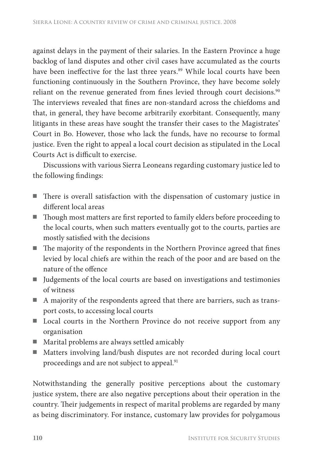against delays in the payment of their salaries. In the Eastern Province a huge backlog of land disputes and other civil cases have accumulated as the courts have been ineffective for the last three years.<sup>89</sup> While local courts have been functioning continuously in the Southern Province, they have become solely reliant on the revenue generated from fines levied through court decisions.<sup>90</sup> The interviews revealed that fines are non-standard across the chiefdoms and that, in general, they have become arbitrarily exorbitant. Consequently, many litigants in these areas have sought the transfer their cases to the Magistrates' Court in Bo. However, those who lack the funds, have no recourse to formal justice. Even the right to appeal a local court decision as stipulated in the Local Courts Act is difficult to exercise.

Discussions with various Sierra Leoneans regarding customary justice led to the following findings:

- There is overall satisfaction with the dispensation of customary justice in different local areas
- Though most matters are first reported to family elders before proceeding to the local courts, when such matters eventually got to the courts, parties are mostly satisfied with the decisions
- $\blacksquare$  The majority of the respondents in the Northern Province agreed that fines levied by local chiefs are within the reach of the poor and are based on the nature of the offence
- Judgements of the local courts are based on investigations and testimonies of witness
- A majority of the respondents agreed that there are barriers, such as transport costs, to accessing local courts
- Local courts in the Northern Province do not receive support from any organisation
- Marital problems are always settled amicably
- Matters involving land/bush disputes are not recorded during local court proceedings and are not subject to appeal.<sup>91</sup>

Notwithstanding the generally positive perceptions about the customary justice system, there are also negative perceptions about their operation in the country. Their judgements in respect of marital problems are regarded by many as being discriminatory. For instance, customary law provides for polygamous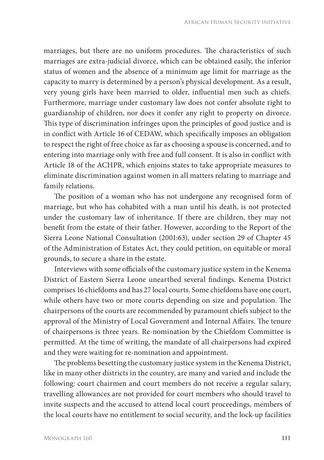marriages, but there are no uniform procedures. The characteristics of such marriages are extra-judicial divorce, which can be obtained easily, the inferior status of women and the absence of a minimum age limit for marriage as the capacity to marry is determined by a person's physical development. As a result, very young girls have been married to older, influential men such as chiefs. Furthermore, marriage under customary law does not confer absolute right to guardianship of children, nor does it confer any right to property on divorce. This type of discrimination infringes upon the principles of good justice and is in conflict with Article 16 of CEDAW, which specifically imposes an obligation to respect the right of free choice as far as choosing a spouse is concerned, and to entering into marriage only with free and full consent. It is also in conflict with Article 18 of the ACHPR, which enjoins states to take appropriate measures to eliminate discrimination against women in all matters relating to marriage and family relations.

The position of a woman who has not undergone any recognised form of marriage, but who has cohabited with a man until his death, is not protected under the customary law of inheritance. If there are children, they may not benefit from the estate of their father. However, according to the Report of the Sierra Leone National Consultation (2001:63), under section 29 of Chapter 45 of the Administration of Estates Act, they could petition, on equitable or moral grounds, to secure a share in the estate.

Interviews with some officials of the customary justice system in the Kenema District of Eastern Sierra Leone unearthed several findings. Kenema District comprises 16 chiefdoms and has 27 local courts. Some chiefdoms have one court, while others have two or more courts depending on size and population. The chairpersons of the courts are recommended by paramount chiefs subject to the approval of the Ministry of Local Government and Internal Affairs. The tenure of chairpersons is three years. Re-nomination by the Chiefdom Committee is permitted. At the time of writing, the mandate of all chairpersons had expired and they were waiting for re-nomination and appointment.

The problems besetting the customary justice system in the Kenema District, like in many other districts in the country, are many and varied and include the following: court chairmen and court members do not receive a regular salary, travelling allowances are not provided for court members who should travel to invite suspects and the accused to attend local court proceedings, members of the local courts have no entitlement to social security, and the lock-up facilities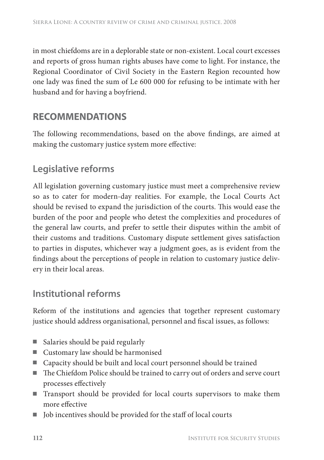in most chiefdoms are in a deplorable state or non-existent. Local court excesses and reports of gross human rights abuses have come to light. For instance, the Regional Coordinator of Civil Society in the Eastern Region recounted how one lady was fined the sum of Le 600 000 for refusing to be intimate with her husband and for having a boyfriend.

## **RECOMMENDATIONS**

The following recommendations, based on the above findings, are aimed at making the customary justice system more effective:

## **Legislative reforms**

All legislation governing customary justice must meet a comprehensive review so as to cater for modern-day realities. For example, the Local Courts Act should be revised to expand the jurisdiction of the courts. This would ease the burden of the poor and people who detest the complexities and procedures of the general law courts, and prefer to settle their disputes within the ambit of their customs and traditions. Customary dispute settlement gives satisfaction to parties in disputes, whichever way a judgment goes, as is evident from the findings about the perceptions of people in relation to customary justice delivery in their local areas.

## **Institutional reforms**

Reform of the institutions and agencies that together represent customary justice should address organisational, personnel and fiscal issues, as follows:

- Salaries should be paid regularly
- Customary law should be harmonised
- Capacity should be built and local court personnel should be trained
- The Chiefdom Police should be trained to carry out of orders and serve court processes effectively
- Transport should be provided for local courts supervisors to make them more effective
- Job incentives should be provided for the staff of local courts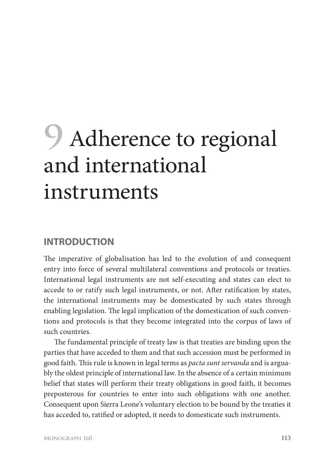## **9** Adherence to regional and international instruments

#### **INTRODUCTION**

The imperative of globalisation has led to the evolution of and consequent entry into force of several multilateral conventions and protocols or treaties. International legal instruments are not self-executing and states can elect to accede to or ratify such legal instruments, or not. After ratification by states, the international instruments may be domesticated by such states through enabling legislation. The legal implication of the domestication of such conventions and protocols is that they become integrated into the corpus of laws of such countries.

The fundamental principle of treaty law is that treaties are binding upon the parties that have acceded to them and that such accession must be performed in good faith. This rule is known in legal terms as *pacta sunt servanda* and is arguably the oldest principle of international law. In the absence of a certain minimum belief that states will perform their treaty obligations in good faith, it becomes preposterous for countries to enter into such obligations with one another. Consequent upon Sierra Leone's voluntary election to be bound by the treaties it has acceded to, ratified or adopted, it needs to domesticate such instruments.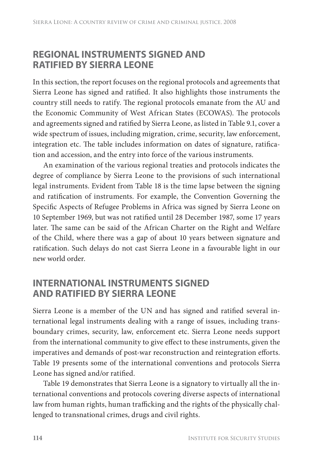#### **REGIONAL INSTRUMENTS SIGNED AND RATIFIED BY SIERRA LEONE**

In this section, the report focuses on the regional protocols and agreements that Sierra Leone has signed and ratified. It also highlights those instruments the country still needs to ratify. The regional protocols emanate from the AU and the Economic Community of West African States (ECOWAS). The protocols and agreements signed and ratified by Sierra Leone, as listed in Table 9.1, cover a wide spectrum of issues, including migration, crime, security, law enforcement, integration etc. The table includes information on dates of signature, ratification and accession, and the entry into force of the various instruments.

An examination of the various regional treaties and protocols indicates the degree of compliance by Sierra Leone to the provisions of such international legal instruments. Evident from Table 18 is the time lapse between the signing and ratification of instruments. For example, the Convention Governing the Specific Aspects of Refugee Problems in Africa was signed by Sierra Leone on 10 September 1969, but was not ratified until 28 December 1987, some 17 years later. The same can be said of the African Charter on the Right and Welfare of the Child, where there was a gap of about 10 years between signature and ratification. Such delays do not cast Sierra Leone in a favourable light in our new world order.

#### **INTERNATIONAL INSTRUMENTS SIGNED AND RATIFIED BY SIERRA LEONE**

Sierra Leone is a member of the UN and has signed and ratified several international legal instruments dealing with a range of issues, including transboundary crimes, security, law, enforcement etc. Sierra Leone needs support from the international community to give effect to these instruments, given the imperatives and demands of post-war reconstruction and reintegration efforts. Table 19 presents some of the international conventions and protocols Sierra Leone has signed and/or ratified.

Table 19 demonstrates that Sierra Leone is a signatory to virtually all the international conventions and protocols covering diverse aspects of international law from human rights, human trafficking and the rights of the physically challenged to transnational crimes, drugs and civil rights.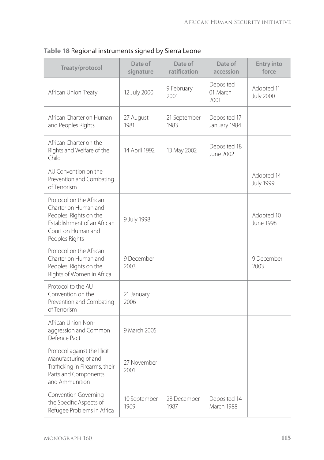| Treaty/protocol                                                                                                                                  | Date of<br>signature | Date of<br>ratification | Date of<br>accession          | <b>Entry into</b><br>force     |
|--------------------------------------------------------------------------------------------------------------------------------------------------|----------------------|-------------------------|-------------------------------|--------------------------------|
| African Union Treaty                                                                                                                             | 12 July 2000         | 9 February<br>2001      | Deposited<br>01 March<br>2001 | Adopted 11<br><b>July 2000</b> |
| African Charter on Human<br>and Peoples Rights                                                                                                   | 27 August<br>1981    | 21 September<br>1983    | Deposited 17<br>January 1984  |                                |
| African Charter on the<br>Rights and Welfare of the<br>Child                                                                                     | 14 April 1992        | 13 May 2002             | Deposited 18<br>June 2002     |                                |
| AU Convention on the<br>Prevention and Combating<br>of Terrorism                                                                                 |                      |                         |                               | Adopted 14<br><b>July 1999</b> |
| Protocol on the African<br>Charter on Human and<br>Peoples' Rights on the<br>Establishment of an African<br>Court on Human and<br>Peoples Rights | 9 July 1998          |                         |                               | Adopted 10<br><b>June 1998</b> |
| Protocol on the African<br>Charter on Human and<br>Peoples' Rights on the<br>Rights of Women in Africa                                           | 9 December<br>2003   |                         |                               | 9 December<br>2003             |
| Protocol to the AU<br>Convention on the<br>Prevention and Combating<br>of Terrorism                                                              | 21 January<br>2006   |                         |                               |                                |
| African Union Non-<br>aggression and Common<br>Defence Pact                                                                                      | 9 March 2005         |                         |                               |                                |
| Protocol against the Illicit<br>Manufacturing of and<br>Trafficking in Firearms, their<br>Parts and Components<br>and Ammunition                 | 27 November<br>2001  |                         |                               |                                |
| <b>Convention Governing</b><br>the Specific Aspects of<br>Refugee Problems in Africa                                                             | 10 September<br>1969 | 28 December<br>1987     | Deposited 14<br>March 1988    |                                |

#### **Table 18** Regional instruments signed by Sierra Leone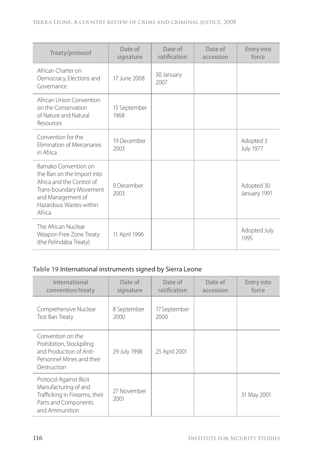| Treaty/protocol                                                                                                                                                      | Date of<br>signature | Date of<br>ratification | Date of<br>accession | <b>Entry into</b><br>force    |
|----------------------------------------------------------------------------------------------------------------------------------------------------------------------|----------------------|-------------------------|----------------------|-------------------------------|
| African Charter on<br>Democracy, Elections and<br>Governance                                                                                                         | 17 June 2008         | 30 January<br>2007      |                      |                               |
| African Union Convention<br>on the Conservation<br>of Nature and Natural<br>Resources                                                                                | 15 September<br>1968 |                         |                      |                               |
| Convention for the<br><b>Flimination of Mercenaries</b><br>in Africa                                                                                                 | 19 December<br>2003  |                         |                      | Adopted 3<br><b>July 1977</b> |
| Bamako Convention on<br>the Ban on the Import into<br>Africa and the Control of<br>Trans-boundary Movement<br>and Management of<br>Hazardous Wastes within<br>Africa | 9 December<br>2003   |                         |                      | Adopted 30<br>January 1991    |
| The African Nuclear<br>Weapon Free Zone Treaty<br>(the Pelindaba Treaty)                                                                                             | 11 April 1996        |                         |                      | Adopted July<br>1995          |

#### **Table 19** International instruments signed by Sierra Leone

| International<br>convention/treaty                                                                                           | Date of<br>signature | Date of<br>ratification | Date of<br>accession | <b>Entry into</b><br>force |
|------------------------------------------------------------------------------------------------------------------------------|----------------------|-------------------------|----------------------|----------------------------|
| Comprehensive Nuclear<br>Test Ban Treaty                                                                                     | 8 September<br>2000  | 17 September<br>2000    |                      |                            |
| Convention on the<br>Prohibition, Stockpiling<br>and Production of Anti-<br>Personnel Mines and their<br>Destruction         | 29 July 1998         | 25 April 2001           |                      |                            |
| Protocol Against Illicit<br>Manufacturing of and<br>Trafficking in Firearms, their<br>Parts and Components<br>and Ammunition | 27 November<br>2001  |                         |                      | 31 May 2001                |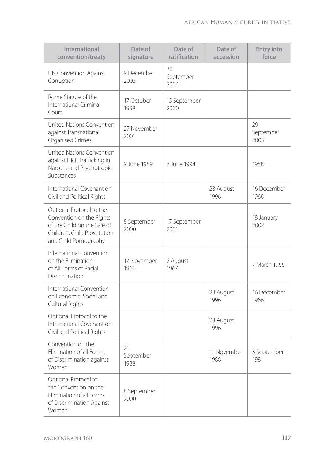| International<br>convention/treaty                                                                                                           | Date of<br>signature    | Date of<br>ratification | Date of<br>accession | <b>Entry into</b><br>force |
|----------------------------------------------------------------------------------------------------------------------------------------------|-------------------------|-------------------------|----------------------|----------------------------|
| UN Convention Against<br>Corruption                                                                                                          | 9 December<br>2003      | 30<br>September<br>2004 |                      |                            |
| Rome Statute of the<br>International Criminal<br>Court                                                                                       | 17 October<br>1998      | 15 September<br>2000    |                      |                            |
| United Nations Convention<br>against Transnational<br>Organised Crimes                                                                       | 27 November<br>2001     |                         |                      | 29<br>September<br>2003    |
| United Nations Convention<br>against Illicit Trafficking in<br>Narcotic and Psychotropic<br>Substances                                       | 9 June 1989             | 6 June 1994             |                      | 1988                       |
| International Covenant on<br>Civil and Political Rights                                                                                      |                         |                         | 23 August<br>1996    | 16 December<br>1966        |
| Optional Protocol to the<br>Convention on the Rights<br>of the Child on the Sale of<br>Children, Child Prostitution<br>and Child Pornography | 8 September<br>2000     | 17 September<br>2001    |                      | 18 January<br>2002         |
| International Convention<br>on the Elimination<br>of All Forms of Racial<br>Discrimination                                                   | 17 November<br>1966     | 2 August<br>1967        |                      | 7 March 1966               |
| International Convention<br>on Economic, Social and<br>Cultural Rights                                                                       |                         |                         | 23 August<br>1996    | 16 December<br>1966        |
| Optional Protocol to the<br>International Covenant on<br>Civil and Political Rights                                                          |                         |                         | 23 August<br>1996    |                            |
| Convention on the<br>Elimination of all Forms<br>of Discrimination against<br>Women                                                          | 21<br>September<br>1988 |                         | 11 November<br>1988  | 3 September<br>1981        |
| Optional Protocol to<br>the Convention on the<br>Elimination of all Forms<br>of Discrimination Against<br>Women                              | 8 September<br>2000     |                         |                      |                            |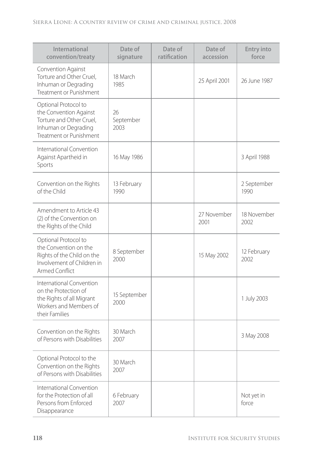| International<br>convention/treaty                                                                                            | Date of<br>signature    | Date of<br>ratification | Date of<br>accession | <b>Entry into</b><br>force |
|-------------------------------------------------------------------------------------------------------------------------------|-------------------------|-------------------------|----------------------|----------------------------|
| Convention Against<br>Torture and Other Cruel,<br>Inhuman or Degrading<br>Treatment or Punishment                             | 18 March<br>1985        |                         | 25 April 2001        | 26 June 1987               |
| Optional Protocol to<br>the Convention Against<br>Torture and Other Cruel,<br>Inhuman or Degrading<br>Treatment or Punishment | 26<br>September<br>2003 |                         |                      |                            |
| International Convention<br>Against Apartheid in<br>Sports                                                                    | 16 May 1986             |                         |                      | 3 April 1988               |
| Convention on the Rights<br>of the Child                                                                                      | 13 February<br>1990     |                         |                      | 2 September<br>1990        |
| Amendment to Article 43<br>(2) of the Convention on<br>the Rights of the Child                                                |                         |                         | 27 November<br>2001  | 18 November<br>2002        |
| Optional Protocol to<br>the Convention on the<br>Rights of the Child on the<br>Involvement of Children in<br>Armed Conflict   | 8 September<br>2000     |                         | 15 May 2002          | 12 February<br>2002        |
| International Convention<br>on the Protection of<br>the Rights of all Migrant<br>Workers and Members of<br>their Families     | 15 September<br>2000    |                         |                      | 1 July 2003                |
| Convention on the Rights<br>of Persons with Disabilities                                                                      | 30 March<br>2007        |                         |                      | 3 May 2008                 |
| Optional Protocol to the<br>Convention on the Rights<br>of Persons with Disabilities                                          | 30 March<br>2007        |                         |                      |                            |
| International Convention<br>for the Protection of all<br>Persons from Enforced<br>Disappearance                               | 6 February<br>2007      |                         |                      | Not yet in<br>force        |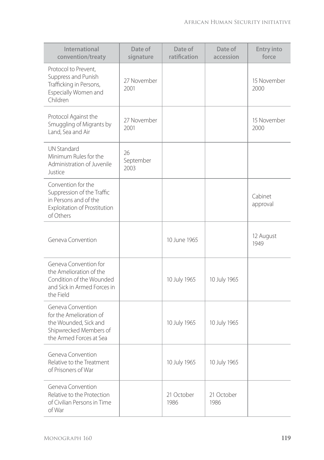| International<br>convention/treaty                                                                                            | Date of<br>signature    | Date of<br>ratification | Date of<br>accession | <b>Entry into</b><br>force |
|-------------------------------------------------------------------------------------------------------------------------------|-------------------------|-------------------------|----------------------|----------------------------|
| Protocol to Prevent,<br>Suppress and Punish<br>Trafficking in Persons,<br>Especially Women and<br>Children                    | 27 November<br>2001     |                         |                      | 15 November<br>2000        |
| Protocol Against the<br>Smuggling of Migrants by<br>Land, Sea and Air                                                         | 27 November<br>2001     |                         |                      | 15 November<br>2000        |
| <b>UN Standard</b><br>Minimum Rules for the<br>Administration of Juvenile<br>Justice                                          | 26<br>September<br>2003 |                         |                      |                            |
| Convention for the<br>Suppression of the Traffic<br>in Persons and of the<br><b>Exploitation of Prostitution</b><br>of Others |                         |                         |                      | Cabinet<br>approval        |
| Geneva Convention                                                                                                             |                         | 10 June 1965            |                      | 12 August<br>1949          |
| Geneva Convention for<br>the Amelioration of the<br>Condition of the Wounded<br>and Sick in Armed Forces in<br>the Field      |                         | 10 July 1965            | 10 July 1965         |                            |
| Geneva Convention<br>for the Amelioration of<br>the Wounded, Sick and<br>Shipwrecked Members of<br>the Armed Forces at Sea    |                         | 10 July 1965            | 10 July 1965         |                            |
| Geneva Convention<br>Relative to the Treatment<br>of Prisoners of War                                                         |                         | 10 July 1965            | 10 July 1965         |                            |
| Geneva Convention<br>Relative to the Protection<br>of Civilian Persons in Time<br>of War                                      |                         | 21 October<br>1986      | 21 October<br>1986   |                            |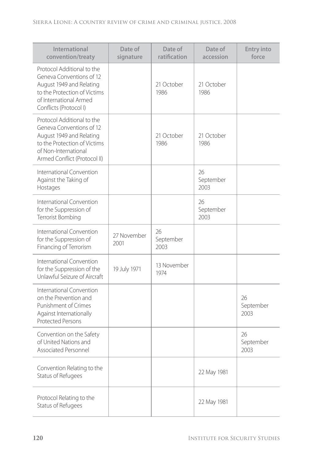| International<br>convention/treaty                                                                                                                                         | Date of<br>signature | Date of<br>ratification | Date of<br>accession    | <b>Entry into</b><br>force |
|----------------------------------------------------------------------------------------------------------------------------------------------------------------------------|----------------------|-------------------------|-------------------------|----------------------------|
| Protocol Additional to the<br>Geneva Conventions of 12<br>August 1949 and Relating<br>to the Protection of Victims<br>of International Armed<br>Conflicts (Protocol I)     |                      | 21 October<br>1986      | 21 October<br>1986      |                            |
| Protocol Additional to the<br>Geneva Conventions of 12<br>August 1949 and Relating<br>to the Protection of Victims<br>of Non-International<br>Armed Conflict (Protocol II) |                      | 21 October<br>1986      | 21 October<br>1986      |                            |
| International Convention<br>Against the Taking of<br>Hostages                                                                                                              |                      |                         | 26<br>September<br>2003 |                            |
| International Convention<br>for the Suppression of<br>Terrorist Bombing                                                                                                    |                      |                         | 26<br>September<br>2003 |                            |
| International Convention<br>for the Suppression of<br>Financing of Terrorism                                                                                               | 27 November<br>2001  | 26<br>September<br>2003 |                         |                            |
| International Convention<br>for the Suppression of the<br>Unlawful Seizure of Aircraft                                                                                     | 19 July 1971         | 13 November<br>1974     |                         |                            |
| International Convention<br>on the Prevention and<br>Punishment of Crimes<br>Against Internationally<br><b>Protected Persons</b>                                           |                      |                         |                         | 26<br>September<br>2003    |
| Convention on the Safety<br>of United Nations and<br>Associated Personnel                                                                                                  |                      |                         |                         | 26<br>September<br>2003    |
| Convention Relating to the<br>Status of Refugees                                                                                                                           |                      |                         | 22 May 1981             |                            |
| Protocol Relating to the<br>Status of Refugees                                                                                                                             |                      |                         | 22 May 1981             |                            |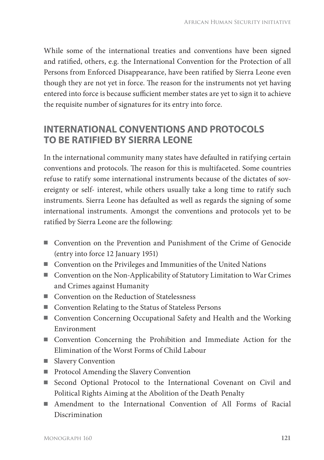While some of the international treaties and conventions have been signed and ratified, others, e.g. the International Convention for the Protection of all Persons from Enforced Disappearance, have been ratified by Sierra Leone even though they are not yet in force. The reason for the instruments not yet having entered into force is because sufficient member states are yet to sign it to achieve the requisite number of signatures for its entry into force.

## **INTERNATIONAL CONVENTIONS AND PROTOCOLS TO BE RATIFIED BY SIERRA LEONE**

In the international community many states have defaulted in ratifying certain conventions and protocols. The reason for this is multifaceted. Some countries refuse to ratify some international instruments because of the dictates of sovereignty or self- interest, while others usually take a long time to ratify such instruments. Sierra Leone has defaulted as well as regards the signing of some international instruments. Amongst the conventions and protocols yet to be ratified by Sierra Leone are the following:

- Convention on the Prevention and Punishment of the Crime of Genocide (entry into force 12 January 1951)
- Convention on the Privileges and Immunities of the United Nations
- Convention on the Non-Applicability of Statutory Limitation to War Crimes and Crimes against Humanity
- Convention on the Reduction of Statelessness
- Convention Relating to the Status of Stateless Persons
- Convention Concerning Occupational Safety and Health and the Working Environment
- Convention Concerning the Prohibition and Immediate Action for the Elimination of the Worst Forms of Child Labour
- Slavery Convention
- Protocol Amending the Slavery Convention
- Second Optional Protocol to the International Covenant on Civil and Political Rights Aiming at the Abolition of the Death Penalty
- Amendment to the International Convention of All Forms of Racial Discrimination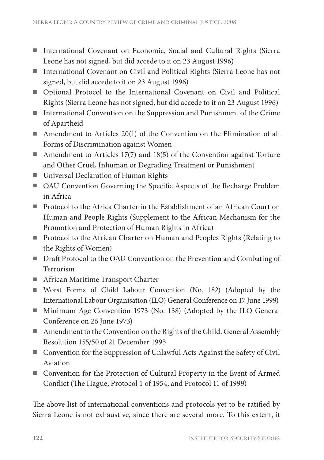- International Covenant on Economic, Social and Cultural Rights (Sierra Leone has not signed, but did accede to it on 23 August 1996)
- International Covenant on Civil and Political Rights (Sierra Leone has not signed, but did accede to it on 23 August 1996)
- Optional Protocol to the International Covenant on Civil and Political Rights (Sierra Leone has not signed, but did accede to it on 23 August 1996)
- International Convention on the Suppression and Punishment of the Crime of Apartheid
- Amendment to Articles 20(1) of the Convention on the Elimination of all Forms of Discrimination against Women
- Amendment to Articles 17(7) and 18(5) of the Convention against Torture and Other Cruel, Inhuman or Degrading Treatment or Punishment
- Universal Declaration of Human Rights
- OAU Convention Governing the Specific Aspects of the Recharge Problem in Africa
- Protocol to the Africa Charter in the Establishment of an African Court on Human and People Rights (Supplement to the African Mechanism for the Promotion and Protection of Human Rights in Africa)
- Protocol to the African Charter on Human and Peoples Rights (Relating to the Rights of Women)
- Draft Protocol to the OAU Convention on the Prevention and Combating of Terrorism
- African Maritime Transport Charter
- Worst Forms of Child Labour Convention (No. 182) (Adopted by the International Labour Organisation (ILO) General Conference on 17 June 1999)
- Minimum Age Convention 1973 (No. 138) (Adopted by the ILO General Conference on 26 June 1973)
- Amendment to the Convention on the Rights of the Child. General Assembly Resolution 155/50 of 21 December 1995
- Convention for the Suppression of Unlawful Acts Against the Safety of Civil Aviation
- Convention for the Protection of Cultural Property in the Event of Armed Conflict (The Hague, Protocol 1 of 1954, and Protocol 11 of 1999)

The above list of international conventions and protocols yet to be ratified by Sierra Leone is not exhaustive, since there are several more. To this extent, it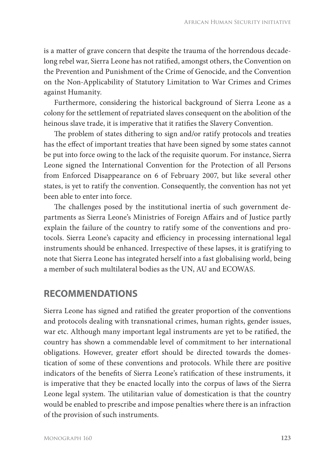is a matter of grave concern that despite the trauma of the horrendous decadelong rebel war, Sierra Leone has not ratified, amongst others, the Convention on the Prevention and Punishment of the Crime of Genocide, and the Convention on the Non-Applicability of Statutory Limitation to War Crimes and Crimes against Humanity.

Furthermore, considering the historical background of Sierra Leone as a colony for the settlement of repatriated slaves consequent on the abolition of the heinous slave trade, it is imperative that it ratifies the Slavery Convention.

The problem of states dithering to sign and/or ratify protocols and treaties has the effect of important treaties that have been signed by some states cannot be put into force owing to the lack of the requisite quorum. For instance, Sierra Leone signed the International Convention for the Protection of all Persons from Enforced Disappearance on 6 of February 2007, but like several other states, is yet to ratify the convention. Consequently, the convention has not yet been able to enter into force.

The challenges posed by the institutional inertia of such government departments as Sierra Leone's Ministries of Foreign Affairs and of Justice partly explain the failure of the country to ratify some of the conventions and protocols. Sierra Leone's capacity and efficiency in processing international legal instruments should be enhanced. Irrespective of these lapses, it is gratifying to note that Sierra Leone has integrated herself into a fast globalising world, being a member of such multilateral bodies as the UN, AU and ECOWAS.

## **RECOMMENDATIONS**

Sierra Leone has signed and ratified the greater proportion of the conventions and protocols dealing with transnational crimes, human rights, gender issues, war etc. Although many important legal instruments are yet to be ratified, the country has shown a commendable level of commitment to her international obligations. However, greater effort should be directed towards the domestication of some of these conventions and protocols. While there are positive indicators of the benefits of Sierra Leone's ratification of these instruments, it is imperative that they be enacted locally into the corpus of laws of the Sierra Leone legal system. The utilitarian value of domestication is that the country would be enabled to prescribe and impose penalties where there is an infraction of the provision of such instruments.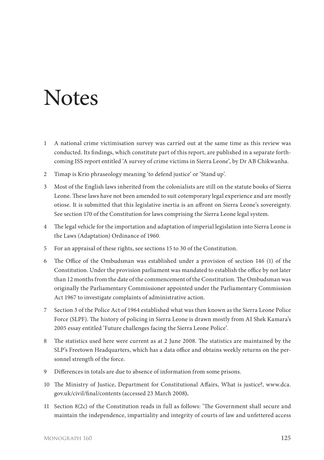## **Notes**

- 1 A national crime victimisation survey was carried out at the same time as this review was conducted. Its findings, which constitute part of this report, are published in a separate forthcoming ISS report entitled 'A survey of crime victims in Sierra Leone', by Dr AB Chikwanha.
- 2 Timap is Krio phraseology meaning 'to defend justice' or 'Stand up'.
- 3 Most of the English laws inherited from the colonialists are still on the statute books of Sierra Leone. These laws have not been amended to suit cotemporary legal experience and are mostly otiose. It is submitted that this legislative inertia is an affront on Sierra Leone's sovereignty. See section 170 of the Constitution for laws comprising the Sierra Leone legal system.
- 4 The legal vehicle for the importation and adaptation of imperial legislation into Sierra Leone is the Laws (Adaptation) Ordinance of 1960.
- 5 For an appraisal of these rights, see sections 15 to 30 of the Constitution.
- 6 The Office of the Ombudsman was established under a provision of section 146 (1) of the Constitution. Under the provision parliament was mandated to establish the office by not later than 12 months from the date of the commencement of the Constitution. The Ombudsman was originally the Parliamentary Commissioner appointed under the Parliamentary Commission Act 1967 to investigate complaints of administrative action.
- 7 Section 3 of the Police Act of 1964 established what was then known as the Sierra Leone Police Force (SLPF). The history of policing in Sierra Leone is drawn mostly from AI Shek Kamara's 2005 essay entitled 'Future challenges facing the Sierra Leone Police'.
- 8 The statistics used here were current as at 2 June 2008. The statistics are maintained by the SLP's Freetown Headquarters, which has a data office and obtains weekly returns on the personnel strength of the force.
- 9 Differences in totals are due to absence of information from some prisons.
- 10 The Ministry of Justice, Department for Constitutional Affairs, What is justice?, www.dca. gov.uk/civil/final/contents (accessed 23 March 2008).
- 11 Section 8(2c) of the Constitution reads in full as follows: 'The Government shall secure and maintain the independence, impartiality and integrity of courts of law and unfettered access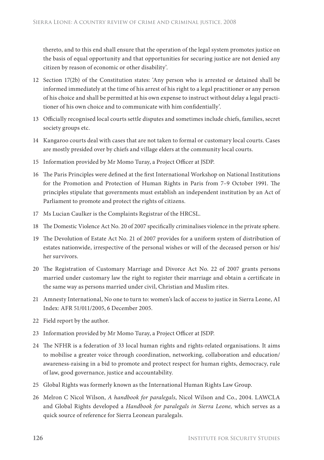thereto, and to this end shall ensure that the operation of the legal system promotes justice on the basis of equal opportunity and that opportunities for securing justice are not denied any citizen by reason of economic or other disability'.

- 12 Section 17(2b) of the Constitution states: 'Any person who is arrested or detained shall be informed immediately at the time of his arrest of his right to a legal practitioner or any person of his choice and shall be permitted at his own expense to instruct without delay a legal practitioner of his own choice and to communicate with him confidentially'.
- 13 Officially recognised local courts settle disputes and sometimes include chiefs, families, secret society groups etc.
- 14 Kangaroo courts deal with cases that are not taken to formal or customary local courts. Cases are mostly presided over by chiefs and village elders at the community local courts.
- 15 Information provided by Mr Momo Turay, a Project Officer at JSDP.
- 16 The Paris Principles were defined at the first International Workshop on National Institutions for the Promotion and Protection of Human Rights in Paris from 7-9 October 1991. The principles stipulate that governments must establish an independent institution by an Act of Parliament to promote and protect the rights of citizens.
- 17 Ms Lucian Caulker is the Complaints Registrar of the HRCSL.
- 18 The Domestic Violence Act No. 20 of 2007 specifically criminalises violence in the private sphere.
- 19 The Devolution of Estate Act No. 21 of 2007 provides for a uniform system of distribution of estates nationwide, irrespective of the personal wishes or will of the deceased person or his/ her survivors.
- 20 The Registration of Customary Marriage and Divorce Act No. 22 of 2007 grants persons married under customary law the right to register their marriage and obtain a certificate in the same way as persons married under civil, Christian and Muslim rites.
- 21 Amnesty International, No one to turn to: women's lack of access to justice in Sierra Leone, AI Index: AFR 51/011/2005, 6 December 2005.
- 22 Field report by the author.
- 23 Information provided by Mr Momo Turay, a Project Officer at JSDP.
- 24 The NFHR is a federation of 33 local human rights and rights-related organisations. It aims to mobilise a greater voice through coordination, networking, collaboration and education/ awareness-raising in a bid to promote and protect respect for human rights, democracy, rule of law, good governance, justice and accountability*.*
- 25 Global Rights was formerly known as the International Human Rights Law Group.
- 26 Melron C Nicol Wilson, *A handbook for paralegals*, Nicol Wilson and Co., 2004. LAWCLA and Global Rights developed a *Handbook for paralegals in Sierra Leone,* which serves as a quick source of reference for Sierra Leonean paralegals.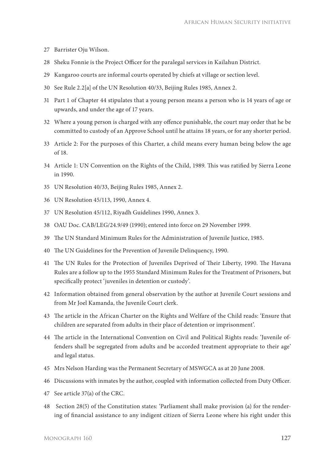- 27 Barrister Oju Wilson.
- 28 Sheku Fonnie is the Project Officer for the paralegal services in Kailahun District.
- 29 Kangaroo courts are informal courts operated by chiefs at village or section level.
- 30 See Rule 2.2[a] of the UN Resolution 40/33, Beijing Rules 1985, Annex 2.
- 31 Part 1 of Chapter 44 stipulates that a young person means a person who is 14 years of age or upwards, and under the age of 17 years.
- 32 Where a young person is charged with any offence punishable, the court may order that he be committed to custody of an Approve School until he attains 18 years, or for any shorter period.
- 33 Article 2: For the purposes of this Charter, a child means every human being below the age of 18.
- 34 Article 1: UN Convention on the Rights of the Child, 1989. This was ratified by Sierra Leone in 1990.
- 35 UN Resolution 40/33, Beijing Rules 1985, Annex 2.
- 36 UN Resolution 45/113, 1990, Annex 4.
- 37 UN Resolution 45/112, Riyadh Guidelines 1990, Annex 3.
- 38 OAU Doc. CAB/LEG/24.9/49 (1990); entered into force on 29 November 1999.
- 39 The UN Standard Minimum Rules for the Administration of Iuvenile Justice, 1985.
- 40 The UN Guidelines for the Prevention of Juvenile Delinquency, 1990.
- 41 The UN Rules for the Protection of Juveniles Deprived of Their Liberty, 1990. The Havana Rules are a follow up to the 1955 Standard Minimum Rules for the Treatment of Prisoners, but specifically protect 'juveniles in detention or custody'.
- 42 Information obtained from general observation by the author at Juvenile Court sessions and from Mr Joel Kamanda, the Juvenile Court clerk.
- 43 The article in the African Charter on the Rights and Welfare of the Child reads: 'Ensure that children are separated from adults in their place of detention or imprisonment'.
- 44 The article in the International Convention on Civil and Political Rights reads: 'Juvenile offenders shall be segregated from adults and be accorded treatment appropriate to their age' and legal status.
- 45 Mrs Nelson Harding was the Permanent Secretary of MSWGCA as at 20 June 2008.
- 46 Discussions with inmates by the author, coupled with information collected from Duty Officer.
- 47 See article 37(a) of the CRC.
- 48 Section 28(5) of the Constitution states: 'Parliament shall make provision (a) for the rendering of financial assistance to any indigent citizen of Sierra Leone where his right under this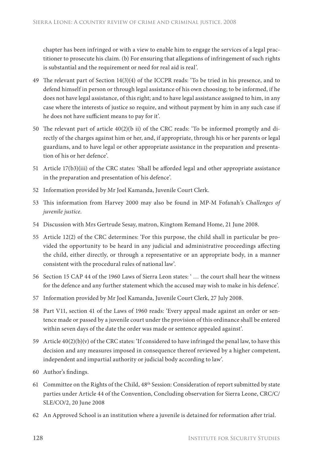chapter has been infringed or with a view to enable him to engage the services of a legal practitioner to prosecute his claim. (b) For ensuring that allegations of infringement of such rights is substantial and the requirement or need for real aid is real'.

- 49 The relevant part of Section 14(3)(4) of the ICCPR reads: 'To be tried in his presence, and to defend himself in person or through legal assistance of his own choosing; to be informed, if he does not have legal assistance, of this right; and to have legal assistance assigned to him, in any case where the interests of justice so require, and without payment by him in any such case if he does not have sufficient means to pay for it'.
- 50 The relevant part of article  $40(2)(b)$  ii) of the CRC reads: 'To be informed promptly and directly of the charges against him or her, and, if appropriate, through his or her parents or legal guardians, and to have legal or other appropriate assistance in the preparation and presentation of his or her defence'.
- 51 Article 17(b3)(iii) of the CRC states: 'Shall be afforded legal and other appropriate assistance in the preparation and presentation of his defence'.
- 52 Information provided by Mr Joel Kamanda, Juvenile Court Clerk.
- 53 Th is information from Harvey 2000 may also be found in MP-M Fofanah's *Challenges of juvenile justice*.
- 54 Discussion with Mrs Gertrude Sesay, matron, Kingtom Remand Home, 21 June 2008.
- 55 Article 12(2) of the CRC determines: 'For this purpose, the child shall in particular be provided the opportunity to be heard in any judicial and administrative proceedings affecting the child, either directly, or through a representative or an appropriate body, in a manner consistent with the procedural rules of national law'.
- 56 Section 15 CAP 44 of the 1960 Laws of Sierra Leon states: ' … the court shall hear the witness for the defence and any further statement which the accused may wish to make in his defence'.
- 57 Information provided by Mr Joel Kamanda, Juvenile Court Clerk, 27 July 2008.
- 58 Part V11, section 41 of the Laws of 1960 reads: 'Every appeal made against an order or sentence made or passed by a juvenile court under the provision of this ordinance shall be entered within seven days of the date the order was made or sentence appealed against'.
- 59 Article 40(2)(b)(v) of the CRC states: 'If considered to have infringed the penal law, to have this decision and any measures imposed in consequence thereof reviewed by a higher competent, independent and impartial authority or judicial body according to law'.
- 60 Author's findings.
- 61 Committee on the Rights of the Child, 48th Session: Consideration of report submitted by state parties under Article 44 of the Convention, Concluding observation for Sierra Leone, CRC/C/ SLE/CO/2, 20 June 2008
- 62 An Approved School is an institution where a juvenile is detained for reformation after trial.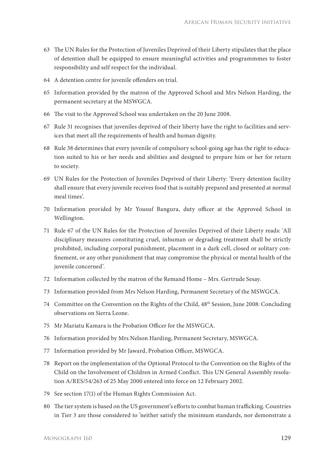- 63 The UN Rules for the Protection of Juveniles Deprived of their Liberty stipulates that the place of detention shall be equipped to ensure meaningful activities and programmmes to foster responsibility and self respect for the individual.
- 64 A detention centre for juvenile offenders on trial.
- 65 Information provided by the matron of the Approved School and Mrs Nelson Harding, the permanent secretary at the MSWGCA.
- 66 The visit to the Approved School was undertaken on the 20 June 2008.
- 67 Rule 31 recognises that juveniles deprived of their liberty have the right to facilities and services that meet all the requirements of health and human dignity.
- 68 Rule 38 determines that every juvenile of compulsory school-going age has the right to education suited to his or her needs and abilities and designed to prepare him or her for return to society.
- 69 UN Rules for the Protection of Juveniles Deprived of their Liberty: 'Every detention facility shall ensure that every juvenile receives food that is suitably prepared and presented at normal meal times'.
- 70 Information provided by Mr Yousuf Bangura, duty officer at the Approved School in Wellington.
- 71 Rule 67 of the UN Rules for the Protection of Juveniles Deprived of their Liberty reads: 'All disciplinary measures constituting cruel, inhuman or degrading treatment shall be strictly prohibited, including corporal punishment, placement in a dark cell, closed or solitary confinement, or any other punishment that may compromise the physical or mental health of the juvenile concerned'.
- 72 Information collected by the matron of the Remand Home Mrs. Gertrude Sesay.
- 73 Information provided from Mrs Nelson Harding, Permanent Secretary of the MSWGCA.
- 74 Committee on the Convention on the Rights of the Child, 48th Session, June 2008: Concluding observations on Sierra Leone.
- 75 Mr Mariatu Kamara is the Probation Officer for the MSWGCA.
- 76 Information provided by Mrs Nelson Harding, Permanent Secretary, MSWGCA.
- 77 Information provided by Mr Jaward, Probation Officer, MSWGCA.
- 78 Report on the implementation of the Optional Protocol to the Convention on the Rights of the Child on the Involvement of Children in Armed Conflict. This UN General Assembly resolution A/RES/54/263 of 25 May 2000 entered into force on 12 February 2002.
- 79 See section 17(1) of the Human Rights Commission Act.
- 80 The tier system is based on the US government's efforts to combat human trafficking. Countries in Tier 3 are those considered to 'neither satisfy the minimum standards, nor demonstrate a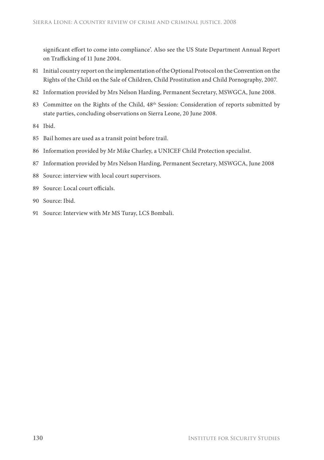significant effort to come into compliance'. Also see the US State Department Annual Report on Trafficking of 11 June 2004.

- 81 Initial country report on the implementation of the Optional Protocol on the Convention on the Rights of the Child on the Sale of Children, Child Prostitution and Child Pornography, 2007.
- 82 Information provided by Mrs Nelson Harding, Permanent Secretary, MSWGCA, June 2008.
- 83 Committee on the Rights of the Child, 48<sup>th</sup> Session: Consideration of reports submitted by state parties, concluding observations on Sierra Leone, 20 June 2008.
- 84 Ibid.
- 85 Bail homes are used as a transit point before trail.
- 86 Information provided by Mr Mike Charley, a UNICEF Child Protection specialist.
- 87 Information provided by Mrs Nelson Harding, Permanent Secretary, MSWGCA, June 2008
- 88 Source: interview with local court supervisors.
- 89 Source: Local court officials
- 90 Source: Ibid.
- 91 Source: Interview with Mr MS Turay, LCS Bombali.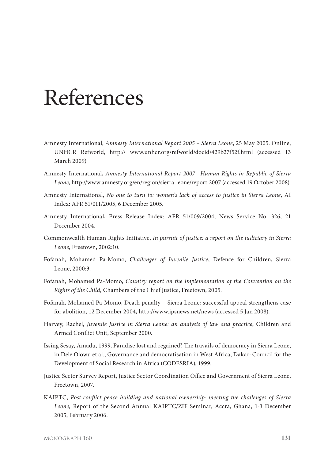## References

- Amnesty International, *Amnesty International Report 2005 Sierra Leone*, 25 May 2005. Online, UNHCR Refworld, http:// www.unhcr.org/refworld/docid/429b27f52f.html (accessed 13 March 2009)
- Amnesty International, *Amnesty International Report 2007* –*Human Rights in Republic of Sierra Leone,* http://www.amnesty.org/en/region/sierra-leone/report-2007 (accessed 19 October 2008).
- Amnesty International, *No one to turn to: women's lack of access to justice in Sierra Leone*, AI Index: AFR 51/011/2005, 6 December 2005.
- Amnesty International, Press Release Index: AFR 51/009/2004, News Service No. 326, 21 December 2004.
- Commonwealth Human Rights Initiative, *In pursuit of justice: a report on the judiciary in Sierra Leone,* Freetown, 2002:10.
- Fofanah, Mohamed Pa-Momo, *Challenges of Juvenile Justice*, Defence for Children, Sierra Leone, 2000:3.
- Fofanah, Mohamed Pa-Momo, *Country report on the implementation of the Convention on the Rights of the Child,* Chambers of the Chief Justice, Freetown, 2005.
- Fofanah, Mohamed Pa-Momo, Death penalty Sierra Leone: successful appeal strengthens case for abolition*,* 12 December 2004*,* http://www.ipsnews.net/news (accessed 5 Jan 2008).
- Harvey, Rachel, *Juvenile Justice in Sierra Leone: an analysis of law and practice*, Children and Armed Conflict Unit, September 2000.
- Issing Sesay, Amadu, 1999, Paradise lost and regained? The travails of democracy in Sierra Leone, in Dele Olowu et al., Governance and democratisation in West Africa, Dakar: Council for the Development of Social Research in Africa (CODESRIA), 1999.
- Justice Sector Survey Report, Justice Sector Coordination Office and Government of Sierra Leone, Freetown, 2007.
- KAIPTC, *Post-conflict peace building and national ownership: meeting the challenges of Sierra Leone,* Report of the Second Annual KAIPTC/ZIF Seminar, Accra, Ghana, 1-3 December 2005, February 2006.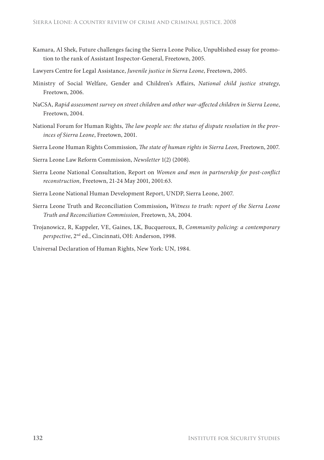- Kamara, Al Shek, Future challenges facing the Sierra Leone Police, Unpublished essay for promotion to the rank of Assistant Inspector-General, Freetown, 2005.
- Lawyers Centre for Legal Assistance, *Juvenile justice in Sierra Leone*, Freetown, 2005.
- Ministry of Social Welfare, Gender and Children's Affairs, *National child justice strategy*, Freetown, 2006.
- NaCSA, Rapid assessment survey on street children and other war-affected children in Sierra Leone, Freetown, 2004.
- National Forum for Human Rights, *The law people see: the status of dispute resolution in the provinces of Sierra Leone*, Freetown, 2001.
- Sierra Leone Human Rights Commission, *The state of human rights in Sierra Leon*, Freetown, 2007.
- Sierra Leone Law Reform Commission, *Newsletter* 1(2) (2008).
- Sierra Leone National Consultation, Report on *Women and men in partnership for post-conflict reconstruction,* Freetown, 21-24 May 2001, 2001:63.
- Sierra Leone National Human Development Report, UNDP, Sierra Leone, 2007.
- Sierra Leone Truth and Reconciliation Commission**,** *Witness to truth: report of the Sierra Leone Truth and Reconciliation Commission,* Freetown, 3A, 2004.
- Trojanowicz, R, Kappeler, VE, Gaines, LK, Bucqueroux, B, *Community policing: a contemporary perspective*, 2nd ed., Cincinnati, OH: Anderson, 1998.

Universal Declaration of Human Rights, New York: UN, 1984.